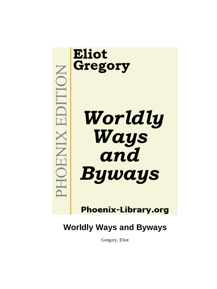

**Phoenix-Library.org** 

# **Worldly Ways and Byways**

Gregory, Eliot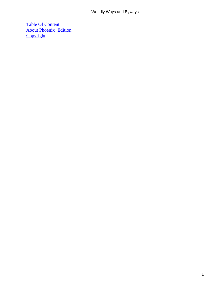#### Worldly Ways and Byways

[Table Of Content](#page-143-0) [About Phoenix−Edition](#page-145-0) **[Copyright](#page-148-0)**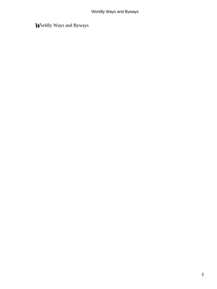*W*orldly Ways and Byways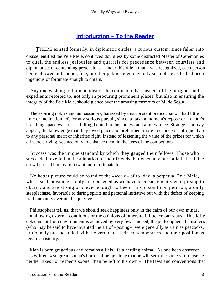## **[Introduction − To the Reader](#page-143-0)**

**THERE** existed formerly, in diplomatic circles, a curious custom, since fallen into disuse, entitled the Pele Mele, contrived doubtless by some distracted Master of Ceremonies to quell the endless jealousies and quarrels for precedence between courtiers and diplomatists of contending pretensions. Under this rule no rank was recognized, each person being allowed at banquet, fete, or other public ceremony only such place as he had been ingenious or fortunate enough to obtain.

 Any one wishing to form an idea of the confusion that ensued, of the intrigues and expedients resorted to, not only in procuring prominent places, but also in ensuring the integrity of the Pele Mele, should glance over the amusing memoirs of M. de Segur.

 The aspiring nobles and ambassadors, harassed by this constant preoccupation, had little time or inclination left for any serious pursuit, since, to take a moment's repose or an hour's breathing space was to risk falling behind in the endless and aimless race. Strange as it may appear, the knowledge that they owed place and preferment more to chance or intrigue than to any personal merit or inherited right, instead of lessening the value of the prizes for which all were striving, seemed only to enhance them in the eyes of the competitors.

 Success was the unique standard by which they gauged their fellows. Those who succeeded revelled in the adulation of their friends, but when any one failed, the fickle crowd passed him by to bow at more fortunate feet.

 No better picture could be found of the «world» of to−day, a perpetual Pele Mele, where such advantages only are conceded as we have been sufficiently enterprising to obtain, and are strong or clever enough to keep − a constant competition, a daily steeplechase, favorable to daring spirits and personal initiative but with the defect of keeping frail humanity ever on the qui vive.

 Philosophers tell us, that we should seek happiness only in the calm of our own minds, not allowing external conditions or the opinions of others to influence our ways. This lofty detachment from environment is achieved by very few. Indeed, the philosophers themselves (who may be said to have invented the art of «posing») were generally as vain as peacocks, profoundly pre−occupied with the verdict of their contemporaries and their position as regards posterity.

 Man is born gregarious and remains all his life a herding animal. As one keen observer has written, «So great is man's horror of being alone that he will seek the society of those he neither likes nor respects sooner than be left to his own.» The laws and conventions that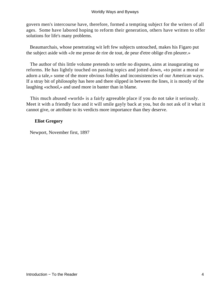govern men's intercourse have, therefore, formed a tempting subject for the writers of all ages. Some have labored hoping to reform their generation, others have written to offer solutions for life's many problems.

 Beaumarchais, whose penetrating wit left few subjects untouched, makes his Figaro put the subject aside with «Je me presse de rire de tout, de peur d'etre oblige d'en pleurer.»

 The author of this little volume pretends to settle no disputes, aims at inaugurating no reforms. He has lightly touched on passing topics and jotted down, «to point a moral or adorn a tale,» some of the more obvious foibles and inconsistencies of our American ways. If a stray bit of philosophy has here and there slipped in between the lines, it is mostly of the laughing «school,» and used more in banter than in blame.

 This much abused «world» is a fairly agreeable place if you do not take it seriously. Meet it with a friendly face and it will smile gayly back at you, but do not ask of it what it cannot give, or attribute to its verdicts more importance than they deserve.

#### **Eliot Gregory**

Newport, November first, 1897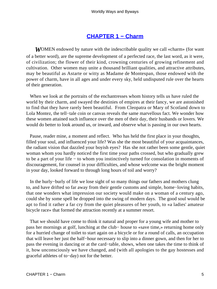#### **[CHAPTER 1 − Charm](#page-143-0)**

**WOMEN** endowed by nature with the indescribable quality we call «charm» (for want of a better word), are the supreme development of a perfected race, the last word, as it were, of civilization; the flower of their kind, crowning centuries of growing refinement and cultivation. Other women may unite a thousand brilliant qualities, and attractive attributes, may be beautiful as Astarte or witty as Madame de Montespan, those endowed with the power of charm, have in all ages and under every sky, held undisputed rule over the hearts of their generation.

 When we look at the portraits of the enchantresses whom history tells us have ruled the world by their charm, and swayed the destinies of empires at their fancy, we are astonished to find that they have rarely been beautiful. From Cleopatra or Mary of Scotland down to Lola Montez, the tell−tale coin or canvas reveals the same marvellous fact. We wonder how these women attained such influence over the men of their day, their husbands or lovers. We would do better to look around us, or inward, and observe what is passing in our own hearts.

 Pause, reader mine, a moment and reflect. Who has held the first place in your thoughts, filled your soul, and influenced your life? Was she the most beautiful of your acquaintances, the radiant vision that dazzled your boyish eyes? Has she not rather been some gentle, quiet woman whom you hardly noticed the first time your paths crossed, but who gradually grew to be a part of your life − to whom you instinctively turned for consolation in moments of discouragement, for counsel in your difficulties, and whose welcome was the bright moment in your day, looked forward to through long hours of toil and worry?

 In the hurly−burly of life we lose sight of so many things our fathers and mothers clung to, and have drifted so far away from their gentle customs and simple, home−loving habits, that one wonders what impression our society would make on a woman of a century ago, could she by some spell be dropped into the swing of modern days. The good soul would be apt to find it rather a far cry from the quiet pleasures of her youth, to «a ladies' amateur bicycle race» that formed the attraction recently at a summer resort.

 That we should have come to think it natural and proper for a young wife and mother to pass her mornings at golf, lunching at the club− house to «save time,» returning home only for a hurried change of toilet to start again on a bicycle or for a round of calls, an occupation that will leave her just the half−hour necessary to slip into a dinner gown, and then for her to pass the evening in dancing or at the card−table, shows, when one takes the time to think of it, how unconsciously we have changed, and (with all apologies to the gay hostesses and graceful athletes of to−day) not for the better.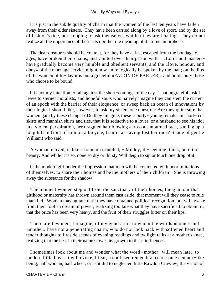#### Worldly Ways and Byways

 It is just in the subtle quality of charm that the women of the last ten years have fallen away from their elder sisters. They have been carried along by a love of sport, and by the set of fashion's tide, not stopping to ask themselves whither they are floating. They do not realize all the importance of their acts nor the true meaning of their metamorphosis.

 The dear creatures should be content, for they have at last escaped from the bondage of ages, have broken their chains, and vaulted over their prison walls. «Lords and masters» have gradually become very humble and obedient servants, and the «love, honour, and obey» of the marriage service might now more logically be spoken by the man; on the lips of the women of to−day it is but a graceful «FACON DE PARLER,» and holds only those who choose to be bound.

 It is not my intention to rail against the short−comings of the day. That ungrateful task I leave to sterner moralists, and hopeful souls who naively imagine they can stem the current of an epoch with the barrier of their eloquence, or sweep back an ocean of innovations by their logic. I should like, however, to ask my sisters one question: Are they quite sure that women gain by these changes? Do they imagine, these «sporty» young females in short− cut skirts and mannish shirts and ties, that it is seductive to a lover, or a husband to see his idol in a violent perspiration, her draggled hair blowing across a sunburned face, panting up a long hill in front of him on a bicycle, frantic at having lost her race? Shade of gentle William! who said

 A woman moved, is like a fountain troubled, − Muddy, ill−seeming, thick, bereft of beauty. And while it is so, none so dry or thirsty Will deign to sip or touch one drop of it.

 Is the modern girl under the impression that men will be contented with poor imitations of themselves, to share their homes and be the mothers of their children? She is throwing away the substance for the shadow!

 The moment women step out from the sanctuary of their homes, the glamour that girlhood or maternity has thrown around them cast aside, that moment will they cease to rule mankind. Women may agitate until they have obtained political recognition, but will awake from their foolish dream of power, realizing too late what they have sacrificed to obtain it, that the price has been very heavy, and the fruit of their struggles bitter on their lips.

 There are few men, I imagine, of my generation to whom the words «home» and «mother» have not a penetrating charm, who do not look back with softened heart and tender thoughts to fireside scenes of evening readings and twilight talks at a mother's knee, realizing that the best in their natures owes its growth to these influences.

 I sometimes look about me and wonder what the word «mother» will mean later, to modern little boys. It will evoke, I fear, a confused remembrance of some centaur−like being, half woman, half wheel, or as it did to neglected little Rawdon Crawley, the vision of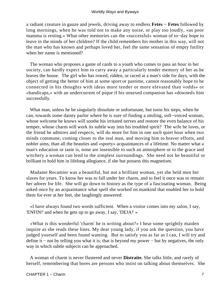a radiant creature in gauze and jewels, driving away to endless **Fetes − Fetes** followed by long mornings, when he was told not to make any noise, or play too loudly, «as poor mamma is resting.» What other memories can the «successful» woman of to−day hope to leave in the minds of her children? If the child remembers his mother in this way, will not the man who has known and perhaps loved her, feel the same sensation of empty futility when her name is mentioned?

 The woman who proposes a game of cards to a youth who comes to pass an hour in her society, can hardly expect him to carry away a particularly tender memory of her as he leaves the house. The girl who has rowed, ridden, or raced at a man's side for days, with the object of getting the better of him at some sport or pastime, cannot reasonably hope to be connected in his thoughts with ideas more tender or more elevated than «odds» or «handicaps,» with an undercurrent of pique if his unsexed companion has «downed» him successfully.

 What man, unless he be singularly dissolute or unfortunate, but turns his steps, when he can, towards some dainty parlor where he is sure of finding a smiling, soft−voiced woman, whose welcome he knows will soothe his irritated nerves and restore the even balance of his temper, whose charm will work its subtle way into his troubled spirit? The wife he loves, or the friend he admires and respects, will do more for him in one such quiet hour when two minds commune, coming closer to the real man, and moving him to braver efforts, and nobler aims, than all the beauties and «sporty» acquaintances of a lifetime. No matter what a man's education or taste is, none are insensible to such an atmosphere or to the grace and witchery a woman can lend to the simplest surroundings. She need not be beautiful or brilliant to hold him in lifelong allegiance, if she but possess this magnetism.

 Madame Recamier was a beautiful, but not a brilliant woman, yet she held men her slaves for years. To know her was to fall under her charm, and to feel it once was to remain her adorer for life. She will go down to history as the type of a fascinating woman. Being asked once by an acquaintance what spell she worked on mankind that enabled her to hold them for ever at her feet, she laughingly answered:

 «I have always found two words sufficient. When a visitor comes into my salon, I say, 'ENFIN!' and when he gets up to go away, I say, 'DEJA!' »

 «What is this wonderful 'charm' he is writing about?» I hear some sprightly maiden inquire as she reads these lines. My dear young lady, if you ask the question, you have judged yourself and been found wanting. But to satisfy you as far as I can, I will try and define it − not by telling you what it is; that is beyond my power − but by negatives, the only way in which subtle subjects can be approached.

 A woman of charm is never flustered and never **Distraite.** She talks little, and rarely of herself, remembering that bores are persons who insist on talking about themselves. She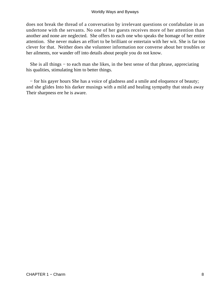does not break the thread of a conversation by irrelevant questions or confabulate in an undertone with the servants. No one of her guests receives more of her attention than another and none are neglected. She offers to each one who speaks the homage of her entire attention. She never makes an effort to be brilliant or entertain with her wit. She is far too clever for that. Neither does she volunteer information nor converse about her troubles or her ailments, nor wander off into details about people you do not know.

 She is all things − to each man she likes, in the best sense of that phrase, appreciating his qualities, stimulating him to better things.

 − for his gayer hours She has a voice of gladness and a smile and eloquence of beauty; and she glides Into his darker musings with a mild and healing sympathy that steals away Their sharpness ere he is aware.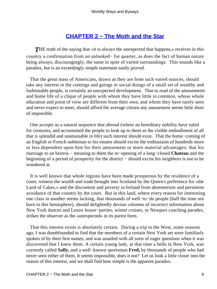## **[CHAPTER 2 − The Moth and the Star](#page-143-0)**

**THE** truth of the saying that «it is always the unexpected that happens,» receives in this country a confirmation from an unlooked− for quarter, as does the fact of human nature being always, discouragingly, the same in spite of varied surroundings. This sounds like a paradox, but is an exceedingly simple statement easily proved.

 That the great mass of Americans, drawn as they are from such varied sources, should take any interest in the comings and goings or social doings of a small set of wealthy and fashionable people, is certainly an unexpected development. That to read of the amusements and home life of a clique of people with whom they have little in common, whose whole education and point of view are different from their own, and whom they have rarely seen and never expect to meet, should afford the average citizen any amusement seems little short of impossible.

 One accepts as a natural sequence that abroad (where an hereditary nobility have ruled for centuries, and accustomed the people to look up to them as the visible embodiment of all that is splendid and unattainable in life) such interest should exist. That the home−coming of an English or French nobleman to his estates should excite the enthusiasm of hundreds more or less dependent upon him for their amusement or more material advantages; that his marriage to an heiress − meaning to them the re−opening of a long−closed **Chateau** and the beginning of a period of prosperity for the district − should excite his neighbors is not to be wondered at.

 It is well known that whole regions have been made prosperous by the residence of a court, witness the wealth and trade brought into Scotland by the Queen's preference for «the Land of Cakes,» and the discontent and poverty in Ireland from absenteeism and persistent avoidance of that country by the court. But in this land, where every reason for interesting one class in another seems lacking, that thousands of well−to−do people (half the time not born in this hemisphere), should delightedly devour columns of incorrect information about New York dances and Lenox house−parties, winter cruises, or Newport coaching parades, strikes the observer as the «unexpected» in its purest form.

 That this interest exists is absolutely certain. During a trip in the West, some seasons ago, I was dumbfounded to find that the members of a certain New York set were familiarly spoken of by their first names, and was assailed with all sorts of eager questions when it was discovered that I knew them. A certain young lady, at that time a belle in New York, was currently called **Sally,** and a well−known sportsman **Fred,** by thousands of people who had never seen either of them. It seems impossible, does it not? Let us look a little closer into the reason of this interest, and we shall find how simple is the apparent paradox.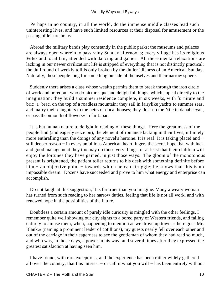Perhaps in no country, in all the world, do the immense middle classes lead such uninteresting lives, and have such limited resources at their disposal for amusement or the passing of leisure hours.

 Abroad the military bands play constantly in the public parks; the museums and palaces are always open wherein to pass rainy Sunday afternoons; every village has its religious **Fetes** and local fair, attended with dancing and games. All these mental relaxations are lacking in our newer civilization; life is stripped of everything that is not distinctly practical; the dull round of weekly toil is only broken by the duller idleness of an American Sunday. Naturally, these people long for something outside of themselves and their narrow sphere.

 Suddenly there arises a class whose wealth permits them to break through the iron circle of work and boredom, who do picturesque and delightful things, which appeal directly to the imagination; they build a summer residence complete, in six weeks, with furniture and bric−a−brac, on the top of a roadless mountain; they sail in fairylike yachts to summer seas, and marry their daughters to the heirs of ducal houses; they float up the Nile in dahabeeyah, or pass the «month of flowers» in far Japan.

 It is but human nature to delight in reading of these things. Here the great mass of the people find (and eagerly seize on), the element of romance lacking in their lives, infinitely more enthralling than the doings of any novel's heroine. It is real! It is taking place! and − still deeper reason – in every ambitious American heart lingers the secret hope that with luck and good management they too may do those very things, or at least that their children will enjoy the fortunes they have gained, in just those ways. The gloom of the monotonous present is brightened, the patient toiler returns to his desk with something definite before him − an objective point − towards which he can struggle; he knows that this is no impossible dream. Dozens have succeeded and prove to him what energy and enterprise can accomplish.

 Do not laugh at this suggestion; it is far truer than you imagine. Many a weary woman has turned from such reading to her narrow duties, feeling that life is not all work, and with renewed hope in the possibilities of the future.

 Doubtless a certain amount of purely idle curiosity is mingled with the other feelings. I remember quite well showing our city sights to a bored party of Western friends, and failing entirely to amuse them, when, happening to mention as we drove up town, «there goes Mr. Blank,» (naming a prominent leader of cotillions), my guests nearly fell over each other and out of the carriage in their eagerness to see the gentleman of whom they had read so much, and who was, in those days, a power in his way, and several times after they expressed the greatest satisfaction at having seen him.

 I have found, with rare exceptions, and the experience has been rather widely gathered all over the country, that this interest − or call it what you will − has been entirely without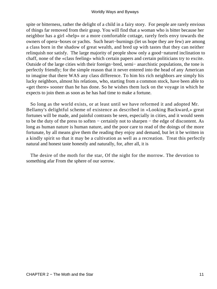#### Worldly Ways and Byways

spite or bitterness, rather the delight of a child in a fairy story. For people are rarely envious of things far removed from their grasp. You will find that a woman who is bitter because her neighbor has a girl «help» or a more comfortable cottage, rarely feels envy towards the owners of opera−boxes or yachts. Such heart−burnings (let us hope they are few) are among a class born in the shadow of great wealth, and bred up with tastes that they can neither relinquish nor satisfy. The large majority of people show only a good−natured inclination to chaff, none of the «class feeling» which certain papers and certain politicians try to excite. Outside of the large cities with their foreign−bred, semi− anarchistic populations, the tone is perfectly friendly; for the simple reason that it never entered into the head of any American to imagine that there WAS any class difference. To him his rich neighbors are simply his lucky neighbors, almost his relations, who, starting from a common stock, have been able to «get there» sooner than he has done. So he wishes them luck on the voyage in which he expects to join them as soon as he has had time to make a fortune.

 So long as the world exists, or at least until we have reformed it and adopted Mr. Bellamy's delightful scheme of existence as described in «Looking Backward,» great fortunes will be made, and painful contrasts be seen, especially in cities, and it would seem to be the duty of the press to soften − certainly not to sharpen − the edge of discontent. As long as human nature is human nature, and the poor care to read of the doings of the more fortunate, by all means give them the reading they enjoy and demand, but let it be written in a kindly spirit so that it may be a cultivation as well as a recreation. Treat this perfectly natural and honest taste honestly and naturally, for, after all, it is

 The desire of the moth for the star, Of the night for the morrow. The devotion to something afar From the sphere of our sorrow.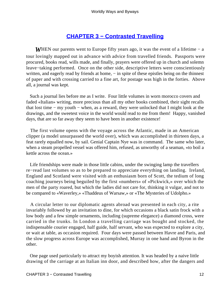## **[CHAPTER 3 − Contrasted Travelling](#page-143-0)**

*WHEN* our parents went to Europe fifty years ago, it was the event of a lifetime – a tour lovingly mapped out in advance with advice from travelled friends. Passports were procured, books read, wills made, and finally, prayers were offered up in church and solemn leave−taking performed. Once on the other side, descriptive letters were conscientiously written, and eagerly read by friends at home, – in spite of these epistles being on the thinnest of paper and with crossing carried to a fine art, for postage was high in the forties. Above all, a journal was kept.

 Such a journal lies before me as I write. Four little volumes in worn morocco covers and faded «Italian» writing, more precious than all my other books combined, their sight recalls that lost time − my youth − when, as a reward, they were unlocked that I might look at the drawings, and the sweetest voice in the world would read to me from them! Happy, vanished days, that are so far away they seem to have been in another existence!

 The first volume opens with the voyage across the Atlantic, made in an American clipper (a model unsurpassed the world over), which was accomplished in thirteen days, a feat rarely equalled now, by sail. Genial Captain Nye was in command. The same who later, when a steam propelled vessel was offered him, refused, as unworthy of a seaman, «to boil a kettle across the ocean.»

 Life friendships were made in those little cabins, under the swinging lamp the travellers re−read last volumes so as to be prepared to appreciate everything on landing. Ireland, England and Scotland were visited with an enthusiasm born of Scott, the tedium of long coaching journeys being beguiled by the first «numbers» of «Pickwick,» over which the men of the party roared, but which the ladies did not care for, thinking it vulgar, and not to be compared to «Waverley,» «Thaddeus of Warsaw,» or «The Mysteries of Udolpho.»

 A circular letter to our diplomatic agents abroad was presented in each city, a rite invariably followed by an invitation to dine, for which occasions a black satin frock with a low body and a few simple ornaments, including (supreme elegance) a diamond cross, were carried in the trunks. In London a travelling carriage was bought and stocked, the indispensable courier engaged, half guide, half servant, who was expected to explore a city, or wait at table, as occasion required. Four days were passed between Havre and Paris, and the slow progress across Europe was accomplished, Murray in one hand and Byron in the other.

 One page used particularly to attract my boyish attention. It was headed by a naive little drawing of the carriage at an Italian inn door, and described how, after the dangers and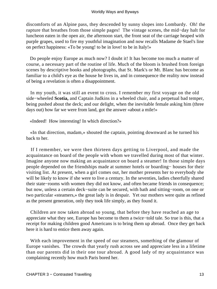discomforts of an Alpine pass, they descended by sunny slopes into Lombardy. Oh! the rapture that breathes from those simple pages! The vintage scenes, the mid−day halt for luncheon eaten in the open air, the afternoon start, the front seat of the carriage heaped with purple grapes, used to fire my youthful imagination and now recalls Madame de Stael's line on perfect happiness: «To be young! to be in love! to be in Italy!»

 Do people enjoy Europe as much now? I doubt it! It has become too much a matter of course, a necessary part of the routine of life. Much of the bloom is brushed from foreign scenes by descriptive books and photographs, that St. Mark's or Mt. Blanc has become as familiar to a child's eye as the house he lives in, and in consequence the reality now instead of being a revelation is often a disappointment.

 In my youth, it was still an event to cross. I remember my first voyage on the old side−wheeled **Scotia,** and Captain Judkins in a wheeled chair, and a perpetual bad temper, being pushed about the deck; and our delight, when the inevitable female asking him (three days out) how far we were from land, got the answer «about a mile!»

«Indeed! How interesting! In which direction?»

 «In that direction, madam,» shouted the captain, pointing downward as he turned his back to her.

 If I remember, we were then thirteen days getting to Liverpool, and made the acquaintance on board of the people with whom we travelled during most of that winter. Imagine anyone now making an acquaintance on board a steamer! In those simple days people depended on the friendships made at summer hotels or boarding− houses for their visiting list. At present, when a girl comes out, her mother presents her to everybody she will be likely to know if she were to live a century. In the seventies, ladies cheerfully shared their state−rooms with women they did not know, and often became friends in consequence; but now, unless a certain deck−suite can be secured, with bath and sitting−room, on one or two particular «steamers,» the great lady is in despair. Yet our mothers were quite as refined as the present generation, only they took life simply, as they found it.

 Children are now taken abroad so young, that before they have reached an age to appreciate what they see, Europe has become to them a twice−told tale. So true is this, that a receipt for making children good Americans is to bring them up abroad. Once they get back here it is hard to entice them away again.

 With each improvement in the speed of our steamers, something of the glamour of Europe vanishes. The crowds that yearly rush across see and appreciate less in a lifetime than our parents did in their one tour abroad. A good lady of my acquaintance was complaining recently how much Paris bored her.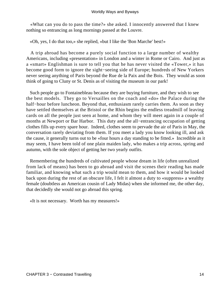«What can you do to pass the time?» she asked. I innocently answered that I knew nothing so entrancing as long mornings passed at the Louvre.

«Oh, yes, I do that too,» she replied, «but I like the 'Bon Marche' best!»

 A trip abroad has become a purely social function to a large number of wealthy Americans, including «presentation» in London and a winter in Rome or Cairo. And just as a «smart» Englishman is sure to tell you that he has never visited the «Tower,» it has become good form to ignore the sight−seeing side of Europe; hundreds of New Yorkers never seeing anything of Paris beyond the Rue de la Paix and the Bois. They would as soon think of going to Cluny or St. Denis as of visiting the museum in our park!

 Such people go to Fontainebleau because they are buying furniture, and they wish to see the best models. They go to Versailles on the coach and «do» the Palace during the half−hour before luncheon. Beyond that, enthusiasm rarely carries them. As soon as they have settled themselves at the Bristol or the Rhin begins the endless treadmill of leaving cards on all the people just seen at home, and whom they will meet again in a couple of months at Newport or Bar Harbor. This duty and the all−entrancing occupation of getting clothes fills up every spare hour. Indeed, clothes seem to pervade the air of Paris in May, the conversation rarely deviating from them. If you meet a lady you know looking ill, and ask the cause, it generally turns out to be «four hours a day standing to be fitted.» Incredible as it may seem, I have been told of one plain maiden lady, who makes a trip across, spring and autumn, with the sole object of getting her two yearly outfits.

 Remembering the hundreds of cultivated people whose dream in life (often unrealized from lack of means) has been to go abroad and visit the scenes their reading has made familiar, and knowing what such a trip would mean to them, and how it would be looked back upon during the rest of an obscure life, I felt it almost a duty to «suppress» a wealthy female (doubtless an American cousin of Lady Midas) when she informed me, the other day, that decidedly she would not go abroad this spring.

«It is not necessary. Worth has my measures!»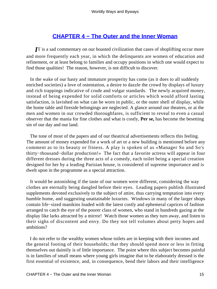## **[CHAPTER 4 − The Outer and the Inner Woman](#page-143-0)**

*I*T is a sad commentary on our boasted civilization that cases of shoplifting occur more and more frequently each year, in which the delinquents are women of education and refinement, or at least belong to families and occupy positions in which one would expect to find those qualities! The reason, however, is not difficult to discover.

 In the wake of our hasty and immature prosperity has come (as it does to all suddenly enriched societies) a love of ostentation, a desire to dazzle the crowd by displays of luxury and rich trappings indicative of crude and vulgar standards. The newly acquired money, instead of being expended for solid comforts or articles which would afford lasting satisfaction, is lavished on what can be worn in public, or the outer shell of display, while the home table and fireside belongings are neglected. A glance around our theatres, or at the men and women in our crowded thoroughfares, is sufficient to reveal to even a casual observer that the mania for fine clothes and what is costly, **Per se,** has become the besetting sin of our day and our land.

 The tone of most of the papers and of our theatrical advertisements reflects this feeling. The amount of money expended for a work of art or a new building is mentioned before any comment as to its beauty or fitness. A play is spoken of as «Manager So and So's thirty−thousand−dollar production!» The fact that a favorite actress will appear in four different dresses during the three acts of a comedy, each toilet being a special creation designed for her by a leading Parisian house, is considered of supreme importance and is dwelt upon in the programme as a special attraction.

 It would be astonishing if the taste of our women were different, considering the way clothes are eternally being dangled before their eyes. Leading papers publish illustrated supplements devoted exclusively to the subject of attire, thus carrying temptation into every humble home, and suggesting unattainable luxuries. Windows in many of the larger shops contain life−sized manikins loaded with the latest costly and ephemeral caprices of fashion arranged to catch the eye of the poorer class of women, who stand in hundreds gazing at the display like larks attracted by a mirror! Watch those women as they turn away, and listen to their sighs of discontent and envy. Do they not tell volumes about petty hopes and ambitions?

 I do not refer to the wealthy women whose toilets are in keeping with their incomes and the general footing of their households; that they should spend more or less in fitting themselves out daintily is of little importance. The point where this subject becomes painful is in families of small means where young girls imagine that to be elaborately dressed is the first essential of existence, and, in consequence, bend their labors and their intelligence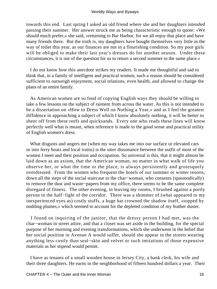towards this end. Last spring I asked an old friend where she and her daughters intended passing their summer. Her answer struck me as being characteristic enough to quote: «We should much prefer,» she said, «returning to Bar Harbor, for we all enjoy that place and have many friends there. But the truth is, my daughters have bought themselves very little in the way of toilet this year, as our finances are not in a flourishing condition. So my poor girls will be obliged to make their last year's dresses do for another season. Under these circumstances, it is out of the question for us to return a second summer to the same place.»

 I do not know how this anecdote strikes my readers. It made me thoughtful and sad to think that, in a family of intelligent and practical women, such a reason should be considered sufficient to outweigh enjoyment, social relations, even health, and allowed to change the plans of an entire family.

 As American women are so fond of copying English ways they should be willing to take a few lessons on the subject of raiment from across the water. As this is not intended to be a dissertation on «How to Dress Well on Nothing a Year,» and as I feel the greatest diffidence in approaching a subject of which I know absolutely nothing, it will be better to sheer off from these reefs and quicksands. Every one who reads these lines will know perfectly well what is meant, when reference is made to the good sense and practical utility of English women's dress.

 What disgusts and angers me (when my way takes me into our surface or elevated cars or into ferry boats and local trains) is the utter dissonance between the outfit of most of the women I meet and their position and occupation. So universal is this, that it might almost be laid down as an axiom, that the American woman, no matter in what walk of life you observe her, or what the time or the place, is always persistently and grotesquely overdressed. From the women who frequent the hotels of our summer or winter resorts, down all the steps of the social staircase to the char−woman, who consents (spasmodically) to remove the dust and waste−papers from my office, there seems to be the same complete disregard of fitness. The other evening, in leaving my rooms, I brushed against a portly person in the half−light of the corridor. There was a shimmer of (what appeared to my inexperienced eyes as) costly stuffs, a huge hat crowned the shadow itself, «topped by nodding plumes,» which seemed to account for the depleted condition of my feather duster.

 I found on inquiring of the janitor, that the dressy person I had met, was the char−woman in street attire, and that a closet was set aside in the building, for the special purpose of her morning and evening transformations, which she underwent in the belief that her social position in Avenue A would suffer, should she appear in the streets wearing anything less costly than seal−skin and velvet or such imitations of those expensive materials as her stipend would permit.

 I have as tenants of a small wooden house in Jersey City, a bank clerk, his wife and their three daughters. He earns in the neighborhood of fifteen hundred dollars a year. Their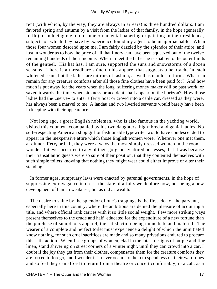rent (with which, by the way, they are always in arrears) is three hundred dollars. I am favored spring and autumn by a visit from the ladies of that family, in the hope (generally futile) of inducing me to do some ornamental papering or painting in their residence, subjects on which they have by experience found my agent to be unapproachable. When those four women descend upon me, I am fairly dazzled by the splendor of their attire, and lost in wonder as to how the price of all that finery can have been squeezed out of the twelve remaining hundreds of their income. When I meet the father he is shabby to the outer limits of the genteel. His hat has, I am sure, supported the suns and snowstorms of a dozen seasons. There is a threadbare shine on his apparel that suggests a heartache in each whitened seam, but the ladies are mirrors of fashion, as well as moulds of form. What can remain for any creature comforts after all those fine clothes have been paid for? And how much is put away for the years when the long−suffering money maker will be past work, or saved towards the time when sickness or accident shall appear on the horizon? How those ladies had the «nerve» to enter a ferry boat or crowd into a cable car, dressed as they were, has always been a marvel to me. A landau and two liveried servants would barely have been in keeping with their appearance.

 Not long ago, a great English nobleman, who is also famous in the yachting world, visited this country accompanied by his two daughters, high−bred and genial ladies. No self−respecting American shop girl or fashionable typewriter would have condescended to appear in the inexpensive attire which those English women wore. Wherever one met them, at dinner, **Fete,** or ball, they were always the most simply dressed women in the room. I wonder if it ever occurred to any of their gorgeously attired hostesses, that it was because their transatlantic guests were so sure of their position, that they contented themselves with such simple toilets knowing that nothing they might wear could either improve or alter their standing

 In former ages, sumptuary laws were enacted by parental governments, in the hope of suppressing extravagance in dress, the state of affairs we deplore now, not being a new development of human weakness, but as old as wealth.

 The desire to shine by the splendor of one's trappings is the first idea of the parvenu, especially here in this country, where the ambitious are denied the pleasure of acquiring a title, and where official rank carries with it so little social weight. Few more striking ways present themselves to the crude and half−educated for the expenditure of a new fortune than the purchase of sumptuous apparel, the satisfaction being immediate and material. The wearer of a complete and perfect toilet must experience a delight of which the uninitiated know nothing, for such cruel sacrifices are made and so many privations endured to procure this satisfaction. When I see groups of women, clad in the latest designs of purple and fine linen, stand shivering on street corners of a winter night, until they can crowd into a car, I doubt if the joy they get from their clothes, compensates them for the creature comforts they are forced to forego, and I wonder if it never occurs to them to spend less on their wardrobes and so feel they can afford to return from a theatre or concert comfortably, in a cab, as a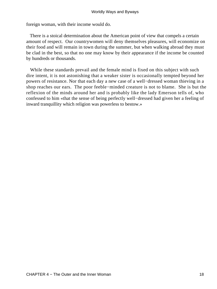foreign woman, with their income would do.

 There is a stoical determination about the American point of view that compels a certain amount of respect. Our countrywomen will deny themselves pleasures, will economize on their food and will remain in town during the summer, but when walking abroad they must be clad in the best, so that no one may know by their appearance if the income be counted by hundreds or thousands.

 While these standards prevail and the female mind is fixed on this subject with such dire intent, it is not astonishing that a weaker sister is occasionally tempted beyond her powers of resistance. Nor that each day a new case of a well−dressed woman thieving in a shop reaches our ears. The poor feeble−minded creature is not to blame. She is but the reflexion of the minds around her and is probably like the lady Emerson tells of, who confessed to him «that the sense of being perfectly well−dressed had given her a feeling of inward tranquillity which religion was powerless to bestow.»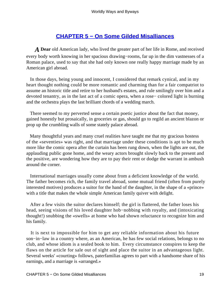# **[CHAPTER 5 − On Some Gilded Misalliances](#page-143-0)**

*A* **Dear** old American lady, who lived the greater part of her life in Rome, and received every body worth knowing in her spacious drawing−rooms, far up in the dim vastnesses of a Roman palace, used to say that she had only known one really happy marriage made by an American girl abroad.

 In those days, being young and innocent, I considered that remark cynical, and in my heart thought nothing could be more romantic and charming than for a fair compatriot to assume an historic title and retire to her husband's estates, and rule smilingly over him and a devoted tenantry, as in the last act of a comic opera, when a rose− colored light is burning and the orchestra plays the last brilliant chords of a wedding march.

 There seemed to my perverted sense a certain poetic justice about the fact that money, gained honestly but prosaically, in groceries or gas, should go to regild an ancient blazon or prop up the crumbling walls of some stately palace abroad.

 Many thoughtful years and many cruel realities have taught me that my gracious hostess of the «seventies» was right, and that marriage under these conditions is apt to be much more like the comic opera after the curtain has been rung down, when the lights are out, the applauding public gone home, and the weary actors brought slowly back to the present and the positive, are wondering how they are to pay their rent or dodge the warrant in ambush around the corner.

 International marriages usually come about from a deficient knowledge of the world. The father becomes rich, the family travel abroad, some mutual friend (often from purely interested motives) produces a suitor for the hand of the daughter, in the shape of a «prince» with a title that makes the whole simple American family quiver with delight.

 After a few visits the suitor declares himself; the girl is flattered, the father loses his head, seeing visions of his loved daughter hob−nobbing with royalty, and (intoxicating thought!) snubbing the «swells» at home who had shown reluctance to recognize him and his family.

 It is next to impossible for him to get any reliable information about his future son−in−law in a country where, as an American, he has few social relations, belongs to no club, and whose idiom is a sealed book to him. Every circumstance conspires to keep the flaws on the article for sale out of sight and place the suitor in an advantageous light. Several weeks' «courting» follows, paterfamilias agrees to part with a handsome share of his earnings, and a marriage is «arranged.»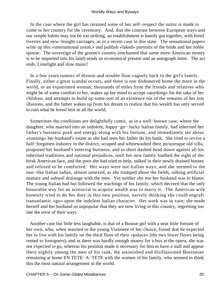In the case where the girl has retained some of her self−respect the suitor is made to come to her country for the ceremony. And, that the contrast between European ways and our simple habits may not be too striking, an establishment is hastily got together, with hired liveries and new−bought carriages, as in a recent case in this state. The sensational papers write up this «international union,» and publish «faked» portraits of the bride and her noble spouse. The sovereign of the groom's country (enchanted that some more American money is to be imported into his land) sends an economical present and an autograph letter. The act ends. Limelight and slow music!

 In a few years rumors of dissent and trouble float vaguely back to the girl's family. Finally, either a great scandal occurs, and there is one dishonored home the more in the world, or an expatriated woman, thousands of miles from the friends and relatives who might be of some comfort to her, makes up her mind to accept «anything» for the sake of her children, and attempts to build up some sort of an existence out of the remains of her lost illusions, and the father wakes up from his dream to realize that his wealth has only served to ruin what he loved best in all the world.

 Sometimes the conditions are delightfully comic, as in a well−known case, where the daughter, who married into an indolent, happy−go− lucky Italian family, had inherited her father's business push and energy along with his fortune, and immediately set about «running» her husband's estate as she had seen her father do his bank. She tried to revive a half−forgotten industry in the district, scraped and whitewashed their picturesque old villa, proposed her husband's entering business, and in short dashed head down against all his inherited traditions and national prejudices, until her new family loathed the sight of the brisk American face, and the poor she had tried to help, sulked in their newly drained houses and refused to be comforted. Her ways were not Italian ways, and she seemed to the nun−like Italian ladies, almost unsexed, as she tramped about the fields, talking artificial manure and subsoil drainage with the men. Yet neither she nor her husband was to blame. The young Italian had but followed the teachings of his family, which decreed that the only honorable way for an aristocrat to acquire wealth was to marry it. The American wife honestly tried to do her duty in this new position, naively thinking she could engraft transatlantic «go» upon the indolent Italian character. Her work was in vain; she made herself and her husband so unpopular that they are now living in this country, regretting too late the error of their ways.

 Another case but little less laughable, is that of a Boston girl with a neat little fortune of her own, who, when married to the young Viennese of her choice, found that he expected her to live with his family on the third floor of their «palace» (the two lower floors being rented to foreigners), and as there was hardly enough money for a box at the opera, she was not expected to go, whereas his position made it necessary for him to have a stall and appear there nightly among the men of his rank, the astonished and disillusioned Bostonian remaining at home EN TETE−A−TETE with the women of his family, who seemed to think this the most natural arrangement in the world.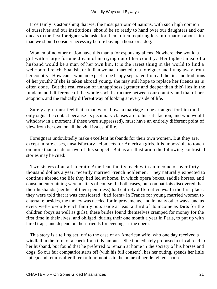It certainly is astonishing that we, the most patriotic of nations, with such high opinion of ourselves and our institutions, should be so ready to hand over our daughters and our ducats to the first foreigner who asks for them, often requiring less information about him than we should consider necessary before buying a horse or a dog.

 Women of no other nation have this mania for espousing aliens. Nowhere else would a girl with a large fortune dream of marrying out of her country. Her highest ideal of a husband would be a man of her own kin. It is the rarest thing in the world to find a well−born French, Spanish, or Italian woman married to a foreigner and living away from her country. How can a woman expect to be happy separated from all the ties and traditions of her youth? If she is taken abroad young, she may still hope to replace her friends as is often done. But the real reason of unhappiness (greater and deeper than this) lies in the fundamental difference of the whole social structure between our country and that of her adoption, and the radically different way of looking at every side of life.

 Surely a girl must feel that a man who allows a marriage to be arranged for him (and only signs the contact because its pecuniary clauses are to his satisfaction, and who would withdraw in a moment if these were suppressed), must have an entirely different point of view from her own on all the vital issues of life.

 Foreigners undoubtedly make excellent husbands for their own women. But they are, except in rare cases, unsatisfactory helpmeets for American girls. It is impossible to touch on more than a side or two of this subject. But as an illustration the following contrasted stories may be cited:

 Two sisters of an aristocratic American family, each with an income of over forty thousand dollars a year, recently married French noblemen. They naturally expected to continue abroad the life they had led at home, in which opera boxes, saddle horses, and constant entertaining were matters of course. In both cases, our compatriots discovered that their husbands (neither of them penniless) had entirely different views. In the first place, they were told that it was considered «bad form» in France for young married women to entertain; besides, the money was needed for improvements, and in many other ways, and as every well−to−do French family puts aside at least a third of its income as **Dots** for the children (boys as well as girls), these brides found themselves cramped for money for the first time in their lives, and obliged, during their one month a year in Paris, to put up with hired traps, and depend on their friends for evenings at the opera.

 This story is a telling set−off to the case of an American wife, who one day received a windfall in the form of a check for a tidy amount. She immediately proposed a trip abroad to her husband, but found that he preferred to remain at home in the society of his horses and dogs. So our fair compatriot starts off (with his full consent), has her outing, spends her little «pile,» and returns after three or four months to the home of her delighted spouse.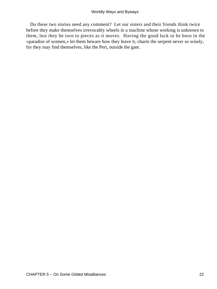Do these two stories need any comment? Let our sisters and their friends think twice before they make themselves irrevocably wheels in a machine whose working is unknown to them, lest they be torn to pieces as it moves. Having the good luck to be born in the «paradise of women,» let them beware how they leave it, charm the serpent never so wisely, for they may find themselves, like the Peri, outside the gate.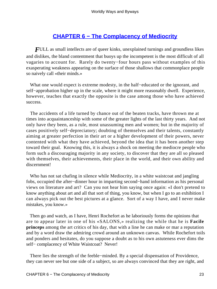# **[CHAPTER 6 − The Complacency of Mediocrity](#page-143-0)**

*FULL* as small intellects are of queer kinks, unexplained turnings and groundless likes and dislikes, the bland contentment that buoys up the incompetent is the most difficult of all vagaries to account for. Rarely do twenty−four hours pass without examples of this exasperating weakness appearing on the surface of those shallows that commonplace people so naively call «their minds.»

 What one would expect is extreme modesty, in the half−educated or the ignorant, and self−approbation higher up in the scale, where it might more reasonably dwell. Experience, however, teaches that exactly the opposite is the case among those who have achieved success.

 The accidents of a life turned by chance out of the beaten tracks, have thrown me at times into acquaintanceship with some of the greater lights of the last thirty years. And not only have they been, as a rule, most unassuming men and women; but in the majority of cases positively self−depreciatory; doubting of themselves and their talents, constantly aiming at greater perfection in their art or a higher development of their powers, never contented with what they have achieved, beyond the idea that it has been another step toward their goal. Knowing this, it is always a shock on meeting the mediocre people who form such a discouraging majority in any society, to discover that they are all so pleased with themselves, their achievements, their place in the world, and their own ability and discernment!

 Who has not sat chafing in silence while Mediocrity, in a white waistcoat and jangling fobs, occupied the after−dinner hour in imparting second−hand information as his personal views on literature and art? Can you not hear him saying once again: «I don't pretend to know anything about art and all that sort of thing, you know, but when I go to an exhibition I can always pick out the best pictures at a glance. Sort of a way I have, and I never make mistakes, you know.»

 Then go and watch, as I have, Henri Rochefort as he laboriously forms the opinions that are to appear later in one of his «SALONS,» realizing the while that he is **Facile princeps** among the art critics of his day, that with a line he can make or mar a reputation and by a word draw the admiring crowd around an unknown canvas. While Rochefort toils and ponders and hesitates, do you suppose a doubt as to his own astuteness ever dims the self– complacency of White Waistcoat? Never!

 There lies the strength of the feeble−minded. By a special dispensation of Providence, they can never see but one side of a subject, so are always convinced that they are right, and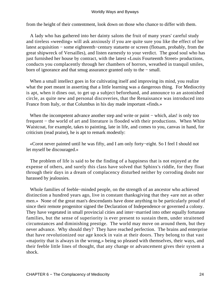#### Worldly Ways and Byways

from the height of their contentment, look down on those who chance to differ with them.

 A lady who has gathered into her dainty salons the fruit of many years' careful study and tireless «weeding» will ask anxiously if you are quite sure you like the effect of her latest acquisition − some eighteenth−century statuette or screen (flotsam, probably, from the great shipwreck of Versailles), and listen earnestly to your verdict. The good soul who has just furnished her house by contract, with the latest «Louis Fourteenth Street» productions, conducts you complacently through her chambers of horrors, wreathed in tranquil smiles, born of ignorance and that smug assurance granted only to the − small.

When a small intellect goes in for cultivating itself and improving its mind, you realize what the poet meant in asserting that a little learning was a dangerous thing. For Mediocrity is apt, when it dines out, to get up a subject beforehand, and announce to an astonished circle, as quite new and personal discoveries, that the Renaissance was introduced into France from Italy, or that Columbus in his day made important «finds.»

When the incompetent advance another step and write or paint – which, alas! is only too frequent − the world of art and literature is flooded with their productions. When White Waistcoat, for example, takes to painting, late in life, and comes to you, canvas in hand, for criticism (read praise), he is apt to remark modestly:

 «Corot never painted until he was fifty, and I am only forty−eight. So I feel I should not let myself be discouraged.»

 The problem of life is said to be the finding of a happiness that is not enjoyed at the expense of others, and surely this class have solved that Sphinx's riddle, for they float through their days in a dream of complacency disturbed neither by corroding doubt nor harassed by jealousies.

 Whole families of feeble−minded people, on the strength of an ancestor who achieved distinction a hundred years ago, live in constant thanksgiving that they «are not as other men.» None of the great man's descendants have done anything to be particularly proud of since their remote progenitor signed the Declaration of Independence or governed a colony. They have vegetated in small provincial cities and inter−married into other equally fortunate families, but the sense of superiority is ever present to sustain them, under straitened circumstances and diminishing prestige. The world may move on around them, but they never advance. Why should they? They have reached perfection. The brains and enterprise that have revolutionized our age knock in vain at their doors. They belong to that vast «majority that is always in the wrong,» being so pleased with themselves, their ways, and their feeble little lines of thought, that any change or advancement gives their system a shock.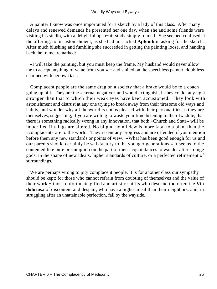#### Worldly Ways and Byways

 A painter I know was once importuned for a sketch by a lady of this class. After many delays and renewed demands he presented her one day, when she and some friends were visiting his studio, with a delightful open−air study simply framed. She seemed confused at the offering, to his astonishment, as she had not lacked **Aplomb** in asking for the sketch. After much blushing and fumbling she succeeded in getting the painting loose, and handing back the frame, remarked:

 «I will take the painting, but you must keep the frame. My husband would never allow me to accept anything of value from you!» − and smiled on the speechless painter, doubtless charmed with her own tact.

 Complacent people are the same drag on a society that a brake would be to a coach going up hill. They are the «eternal negative» and would extinguish, if they could, any light stronger than that to which their weak eyes have been accustomed. They look with astonishment and distrust at any one trying to break away from their tiresome old ways and habits, and wonder why all the world is not as pleased with their personalities as they are themselves, suggesting, if you are willing to waste your time listening to their twaddle, that there is something radically wrong in any innovation, that both «Church and State» will be imperilled if things are altered. No blight, no mildew is more fatal to a plant than the «complacent» are to the world. They resent any progress and are offended if you mention before them any new standards or points of view. «What has been good enough for us and our parents should certainly be satisfactory to the younger generations.» It seems to the contented like pure presumption on the part of their acquaintances to wander after strange gods, in the shape of new ideals, higher standards of culture, or a perfected refinement of surroundings.

 We are perhaps wrong to pity complacent people. It is for another class our sympathy should be kept; for those who cannot refrain from doubting of themselves and the value of their work − those unfortunate gifted and artistic spirits who descend too often the **Via dolorosa** of discontent and despair, who have a higher ideal than their neighbors, and, in struggling after an unattainable perfection, fall by the wayside.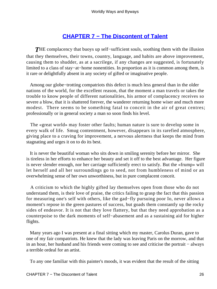# **[CHAPTER 7 − The Discontent of Talent](#page-143-0)**

*T*HE complacency that buoys up self−sufficient souls, soothing them with the illusion that they themselves, their towns, country, language, and habits are above improvement, causing them to shudder, as at a sacrilege, if any changes are suggested, is fortunately limited to a class of stay−at−home nonentities. In proportion as it is common among them, is it rare or delightfully absent in any society of gifted or imaginative people.

 Among our globe−trotting compatriots this defect is much less general than in the older nations of the world, for the excellent reason, that the moment a man travels or takes the trouble to know people of different nationalities, his armor of complacency receives so severe a blow, that it is shattered forever, the wanderer returning home wiser and much more modest. There seems to be something fatal to conceit in the air of great centres; professionally or in general society a man so soon finds his level.

 The «great world» may foster other faults; human nature is sure to develop some in every walk of life. Smug contentment, however, disappears in its rarefied atmosphere, giving place to a craving for improvement, a nervous alertness that keeps the mind from stagnating and urges it on to do its best.

 It is never the beautiful woman who sits down in smiling serenity before her mirror. She is tireless in her efforts to enhance her beauty and set it off to the best advantage. Her figure is never slender enough, nor her carriage sufficiently erect to satisfy. But the «frump» will let herself and all her surroundings go to seed, not from humbleness of mind or an overwhelming sense of her own unworthiness, but in pure complacent conceit.

 A criticism to which the highly gifted lay themselves open from those who do not understand them, is their love of praise, the critics failing to grasp the fact that this passion for measuring one's self with others, like the gad−fly pursuing poor Io, never allows a moment's repose in the green pastures of success, but goads them constantly up the rocky sides of endeavor. It is not that they love flattery, but that they need approbation as a counterpoise to the dark moments of self−abasement and as a sustaining aid for higher flights.

 Many years ago I was present at a final sitting which my master, Carolus Duran, gave to one of my fair compatriots. He knew that the lady was leaving Paris on the morrow, and that in an hour, her husband and his friends were coming to see and criticise the portrait − always a terrible ordeal for an artist.

To any one familiar with this painter's moods, it was evident that the result of the sitting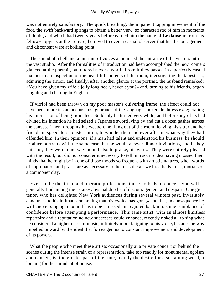was not entirely satisfactory. The quick breathing, the impatient tapping movement of the foot, the swift backward springs to obtain a better view, so characteristic of him in moments of doubt, and which had twenty years before earned him the name of **Le danseur** from his fellow−copyists at the Louvre, betrayed to even a casual observer that his discouragement and discontent were at boiling point.

 The sound of a bell and a murmur of voices announced the entrance of the visitors into the vast studio. After the formalities of introduction had been accomplished the new−comers glanced at the portrait, but uttered never a word. From it they passed in a perfectly casual manner to an inspection of the beautiful contents of the room, investigating the tapestries, admiring the armor, and finally, after another glance at the portrait, the husband remarked: «You have given my wife a jolly long neck, haven't you?» and, turning to his friends, began laughing and chatting in English.

 If vitriol had been thrown on my poor master's quivering frame, the effect could not have been more instantaneous, his ignorance of the language spoken doubtless exaggerating his impression of being ridiculed. Suddenly he turned very white, and before any of us had divined his intention he had seized a Japanese sword lying by and cut a dozen gashes across the canvas. Then, dropping his weapon, he flung out of the room, leaving his sitter and her friends in speechless consternation, to wonder then and ever after in what way they had offended him. In their opinions, if a man had talent and understood his business, he should produce portraits with the same ease that he would answer dinner invitations, and if they paid for, they were in no way bound also to praise, his work. They were entirely pleased with the result, but did not consider it necessary to tell him so, no idea having crossed their minds that he might be in one of those moods so frequent with artistic natures, when words of approbation and praise are as necessary to them, as the air we breathe is to us, mortals of a commoner clay.

 Even in the theatrical and operatic professions, those hotbeds of conceit, you will generally find among the «stars» abysmal depths of discouragement and despair. One great tenor, who has delighted New York audiences during several winters past, invariably announces to his intimates on arising that his «voice has gone,» and that, in consequence he will «never sing again,» and has to be caressed and cajoled back into some semblance of confidence before attempting a performance. This same artist, with an almost limitless repertoire and a reputation no new successes could enhance, recently risked all to sing what he considered a higher class of music, infinitely more fatiguing to his voice, because he was impelled onward by the ideal that forces genius to constant improvement and development of its powers.

 What the people who meet these artists occasionally at a private concert or behind the scenes during the intense strain of a representation, take too readily for monumental egoism and conceit, is, the greater part of the time, merely the desire for a sustaining word, a longing for the stimulant of praise.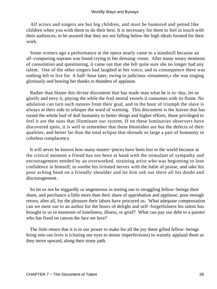All actors and singers are but big children, and must be humored and petted like children when you wish them to do their best. It is necessary for them to feel in touch with their audiences; to be assured that they are not falling below the high ideals formed for their work.

 Some winters ago a performance at the opera nearly came to a standstill because an all−conquering soprano was found crying in her dressing−room. After many weary moments of consolation and questioning, it came out that she felt quite sure she no longer had any talent. One of the other singers had laughed at her voice, and in consequence there was nothing left to live for. A half−hour later, owing to judicious «treatment,» she was singing gloriously and bowing her thanks to thunders of applause.

 Rather than blame this divine discontent that has made man what he is to−day, let us glorify and envy it, pitying the while the frail mortal vessels it consumes with its flame. No adulation can turn such natures from their goal, and in the hour of triumph the slave is always at their side to whisper the word of warning. This discontent is the leaven that has raised the whole loaf of dull humanity to better things and higher efforts, those privileged to feel it are the suns that illuminate our system. If on these luminaries observers have discovered spots, it is well to remember that these blemishes are but the defects of their qualities, and better far than the total eclipse that shrouds so large a part of humanity in colorless complacency.

 It will never be known how many master−pieces have been lost to the world because at the critical moment a friend has not been at hand with the stimulant of sympathy and encouragement needed by an overworked, straining artist who was beginning to lose confidence in himself; to soothe his irritated nerves with the balm of praise, and take his poor aching head on a friendly shoulder and let him sob out there all his doubt and discouragement.

 So let us not be niggardly or ungenerous in meting out to struggling fellow−beings their share, and perchance a little more than their share of approbation and applause, poor enough return, after all, for the pleasure their labors have procured us. What adequate compensation can we mete out to an author for the hours of delight and self−forgetfulness his talent has brought to us in moments of loneliness, illness, or grief? What can pay our debt to a painter who has fixed on canvas the face we love?

 The little return that it is in our power to make for all the joy these gifted fellow−beings bring into our lives is (closing our eyes to minor imperfections) to warmly applaud them as they move upward, along their stony path.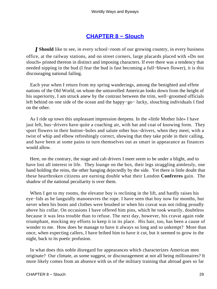#### **[CHAPTER 8 − Slouch](#page-143-0)**

*I* **Should** like to see, in every school−room of our growing country, in every business office, at the railway stations, and on street corners, large placards placed with «Do not slouch» printed thereon in distinct and imposing characters. If ever there was a tendency that needed nipping in the bud (I fear the bud is fast becoming a full−blown flower), it is this discouraging national failing.

 Each year when I return from my spring wanderings, among the benighted and effete nations of the Old World, on whom the untravelled American looks down from the height of his superiority, I am struck anew by the contrast between the trim, well−groomed officials left behind on one side of the ocean and the happy−go− lucky, slouching individuals I find on the other.

 As I ride up town this unpleasant impression deepens. In the «little Mother Isle» I have just left, bus−drivers have quite a coaching air, with hat and coat of knowing form. They sport flowers in their button–holes and salute other bus–drivers, when they meet, with a twist of whip and elbow refreshingly correct, showing that they take pride in their calling, and have been at some pains to turn themselves out as smart in appearance as finances would allow.

 Here, on the contrary, the stage and cab drivers I meet seem to be under a blight, and to have lost all interest in life. They lounge on the box, their legs straggling aimlessly, one hand holding the reins, the other hanging dejectedly by the side. Yet there is little doubt that these heartbroken citizens are earning double what their London **Confreres** gain. The shadow of the national peculiarity is over them.

When I get to my rooms, the elevator boy is reclining in the lift, and hardly raises his eye−lids as he languidly manoeuvres the rope. I have seen that boy now for months, but never when his boots and clothes were brushed or when his cravat was not riding proudly above his collar. On occasions I have offered him pins, which he took wearily, doubtless because it was less trouble than to refuse. The next day, however, his cravat again rode triumphant, mocking my efforts to keep it in its place. His hair, too, has been a cause of wonder to me. How does he manage to have it always so long and so unkempt? More than once, when expecting callers, I have bribed him to have it cut, but it seemed to grow in the night, back to its poetic profusion.

 In what does this noble disregard for appearances which characterizes American men originate? Our climate, as some suggest, or discouragement at not all being millionaires? It more likely comes from an absence with us of the military training that abroad goes so far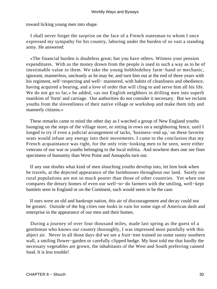toward licking young men into shape.

 I shall never forget the surprise on the face of a French statesman to whom I once expressed my sympathy for his country, laboring under the burden of so vast a standing army. He answered:

 «The financial burden is doubtless great; but you have others. Witness your pension expenditures. With us the money drawn from the people is used in such a way as to be of inestimable value to them. We take the young hobbledehoy farm−hand or mechanic, ignorant, mannerless, uncleanly as he may be, and turn him out at the end of three years with his regiment, self−respecting and well− mannered, with habits of cleanliness and obedience, having acquired a bearing, and a love of order that will cling to and serve him all his life. We do not go so far,» he added, «as our English neighbors in drilling men into superb manikins of 'form' and carriage. Our authorities do not consider it necessary. But we reclaim youths from the slovenliness of their native village or workshop and make them tidy and mannerly citizens.»

 These remarks came to mind the other day as I watched a group of New England youths lounging on the steps of the village store, or sitting in rows on a neighboring fence, until I longed to try if even a judicial arrangement of tacks, 'business−end up,' on these favorite seats would infuse any energy into their movements. I came to the conclusion that my French acquaintance was right, for the only trim−looking men to be seen, were either veterans of our war or youths belonging to the local militia. And nowhere does one see finer specimens of humanity than West Point and Annapolis turn out.

 If any one doubts what kind of men slouching youths develop into, let him look when he travels, at the dejected appearance of the farmhouses throughout our land. Surely our rural populations are not so much poorer than those of other countries. Yet when one compares the dreary homes of even our well−to−do farmers with the smiling, well−kept hamlets seen in England or on the Continent, such would seem to be the case.

 If ours were an old and bankrupt nation, this air of discouragement and decay could not be greater. Outside of the big cities one looks in vain for some sign of American dash and enterprise in the appearance of our men and their homes.

 During a journey of over four thousand miles, made last spring as the guest of a gentleman who knows our country thoroughly, I was impressed most painfully with this abject air. Never in all those days did we see a fruit−tree trained on some sunny southern wall, a smiling flower−garden or carefully clipped hedge. My host told me that hardly the necessary vegetables are grown, the inhabitants of the West and South preferring canned food. It is less trouble!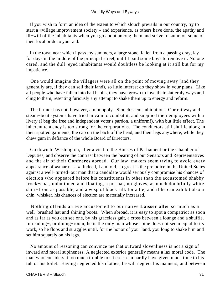If you wish to form an idea of the extent to which slouch prevails in our country, try to start a «village improvement society,» and experience, as others have done, the apathy and ill−will of the inhabitants when you go about among them and strive to summon some of their local pride to your aid.

 In the town near which I pass my summers, a large stone, fallen from a passing dray, lay for days in the middle of the principal street, until I paid some boys to remove it. No one cared, and the dull−eyed inhabitants would doubtless be looking at it still but for my impatience.

 One would imagine the villagers were all on the point of moving away (and they generally are, if they can sell their land), so little interest do they show in your plans. Like all people who have fallen into bad habits, they have grown to love their slatternly ways and cling to them, resenting furiously any attempt to shake them up to energy and reform.

 The farmer has not, however, a monopoly. Slouch seems ubiquitous. Our railway and steam−boat systems have tried in vain to combat it, and supplied their employees with a livery (I beg the free and independent voter's pardon, a uniform!), with but little effect. The inherent tendency is too strong for the corporations. The conductors still shuffle along in their spotted garments, the cap on the back of the head, and their legs anywhere, while they chew gum in defiance of the whole Board of Directors.

 Go down to Washington, after a visit to the Houses of Parliament or the Chamber of Deputies, and observe the contrast between the bearing of our Senators and Representatives and the air of their **Confreres** abroad. Our law−makers seem trying to avoid every appearance of «smartness.» Indeed, I am told, so great is the prejudice in the United States against a well−turned−out man that a candidate would seriously compromise his chances of election who appeared before his constituents in other than the accustomed shabby frock−coat, unbuttoned and floating, a pot hat, no gloves, as much doubtfully white shirt−front as possible, and a wisp of black silk for a tie; and if he can exhibit also a chin−whisker, his chances of election are materially increased.

 Nothing offends an eye accustomed to our native **Laisser aller** so much as a well−brushed hat and shining boots. When abroad, it is easy to spot a compatriot as soon and as far as you can see one, by his graceless gait, a cross between a lounge and a shuffle. In reading−, or dining−room, he is the only man whose spine does not seem equal to its work, so he flops and straggles until, for the honor of your land, you long to shake him and set him squarely on his legs.

 No amount of reasoning can convince me that outward slovenliness is not a sign of inward and moral supineness. A neglected exterior generally means a lax moral code. The man who considers it too much trouble to sit erect can hardly have given much time to his tub or his toilet. Having neglected his clothes, he will neglect his manners, and between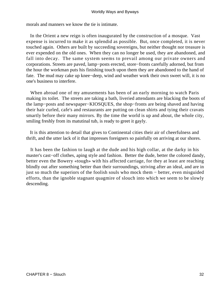morals and manners we know the tie is intimate.

 In the Orient a new reign is often inaugurated by the construction of a mosque. Vast expense is incurred to make it as splendid as possible. But, once completed, it is never touched again. Others are built by succeeding sovereigns, but neither thought nor treasure is ever expended on the old ones. When they can no longer be used, they are abandoned, and fall into decay. The same system seems to prevail among our private owners and corporations. Streets are paved, lamp−posts erected, store−fronts carefully adorned, but from the hour the workman puts his finishing touch upon them they are abandoned to the hand of fate. The mud may cake up knee−deep, wind and weather work their own sweet will, it is no one's business to interfere.

 When abroad one of my amusements has been of an early morning to watch Paris making its toilet. The streets are taking a bath, liveried attendants are blacking the boots of the lamp−posts and newspaper−KIOSQUES, the shop−fronts are being shaved and having their hair curled, cafe's and restaurants are putting on clean shirts and tying their cravats smartly before their many mirrors. By the time the world is up and about, the whole city, smiling freshly from its matutinal tub, is ready to greet it gayly.

 It is this attention to detail that gives to Continental cities their air of cheerfulness and thrift, and the utter lack of it that impresses foreigners so painfully on arriving at our shores.

 It has been the fashion to laugh at the dude and his high collar, at the darky in his master's cast−off clothes, aping style and fashion. Better the dude, better the colored dandy, better even the Bowery «tough» with his affected carriage, for they at least are reaching blindly out after something better than their surroundings, striving after an ideal, and are in just so much the superiors of the foolish souls who mock them − better, even misguided efforts, than the ignoble stagnant quagmire of slouch into which we seem to be slowly descending.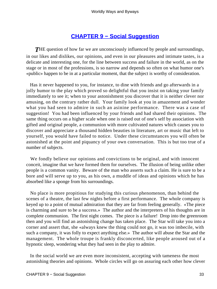### **[CHAPTER 9 − Social Suggestion](#page-143-0)**

**THE** question of how far we are unconsciously influenced by people and surroundings, in our likes and dislikes, our opinions, and even in our pleasures and intimate tastes, is a delicate and interesting one, for the line between success and failure in the world, as on the stage or in most of the professions, is so narrow and depends so often on what humor one's «public» happen to be in at a particular moment, that the subject is worthy of consideration.

 Has it never happened to you, for instance, to dine with friends and go afterwards in a jolly humor to the play which proved so delightful that you insist on taking your family immediately to see it; when to your astonishment you discover that it is neither clever nor amusing, on the contrary rather dull. Your family look at you in amazement and wonder what you had seen to admire in such an asinine performance. There was a case of suggestion! You had been influenced by your friends and had shared their opinions. The same thing occurs on a higher scale when one is raised out of one's self by association with gifted and original people, a communion with more cultivated natures which causes you to discover and appreciate a thousand hidden beauties in literature, art or music that left to yourself, you would have failed to notice. Under these circumstances you will often be astonished at the point and piquancy of your own conversation. This is but too true of a number of subjects.

 We fondly believe our opinions and convictions to be original, and with innocent conceit, imagine that we have formed them for ourselves. The illusion of being unlike other people is a common vanity. Beware of the man who asserts such a claim. He is sure to be a bore and will serve up to you, as his own, a muddle of ideas and opinions which he has absorbed like a sponge from his surroundings.

 No place is more propitious for studying this curious phenomenon, than behind the scenes of a theatre, the last few nights before a first performance. The whole company is keyed up to a point of mutual admiration that they are far from feeling generally. «The piece is charming and sure to be a success.» The author and the interpreters of his thoughts are in complete communion. The first night comes. The piece is a failure! Drop into the greenroom then and you will find an astonishing change has taken place. The Star will take you into a corner and assert that, she «always knew the thing could not go, it was too imbecile, with such a company, it was folly to expect anything else.» The author will abuse the Star and the management. The whole troupe is frankly disconcerted, like people aroused out of a hypnotic sleep, wondering what they had seen in the play to admire.

 In the social world we are even more inconsistent, accepting with tameness the most astonishing theories and opinions. Whole circles will go on assuring each other how clever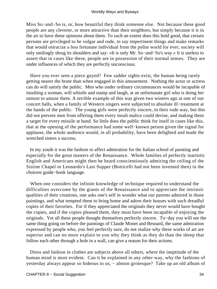Miss So−and−So is, or, how beautiful they think someone else. Not because these good people are any cleverer, or more attractive than their neighbors, but simply because it is in the air to have these opinions about them. To such an extent does this hold good, that certain persons are privileged to be vulgar and rude, to say impertinent things and make remarks that would ostracize a less fortunate individual from the polite world for ever; society will only smilingly shrug its shoulders and say: «It is only Mr. So−and−So's way.» It is useless to assert that in cases like these, people are in possession of their normal senses. They are under influences of which they are perfectly unconscious.

 Have you ever seen a piece guyed? Few sadder sights exist, the human being rarely getting nearer the brute than when engaged in this amusement. Nothing the actor or actress can do will satisfy the public. Men who under ordinary circumstances would be incapable of insulting a woman, will whistle and stamp and laugh, at an unfortunate girl who is doing her utmost to amuse them. A terrible example of this was given two winters ago at one of our concert halls, when a family of Western singers were subjected to absolute ill−treatment at the hands of the public. The young girls were perfectly sincere, in their rude way, but this did not prevent men from offering them every insult malice could devise, and making them a target for every missile at hand. So little does the public think for itself in cases like this, that at the opening of the performance had some well−known person given the signal for applause, the whole audience would, in all probability, have been delighted and made the wretched sisters a success.

 In my youth it was the fashion to affect admiration for the Italian school of painting and especially for the great masters of the Renaissance. Whole families of perfectly inartistic English and Americans might then he heard conscientiously admiring the ceiling of the Sistine Chapel or Leonardo's Last Supper (Botticelli had not been invented then) in the choicest guide−book language.

 When one considers the infinite knowledge of technique required to understand the difficulties overcome by the giants of the Renaissance and to appreciate the intrinsic qualities of their creations, one asks one's self in wonder what our parents admired in those paintings, and what tempted them to bring home and adorn their houses with such dreadful copies of their favorites. For if they appreciated the originals they never would have bought the copies, and if the copies pleased them, they must have been incapable of enjoying the originals. Yet all these people thought themselves perfectly sincere. To−day you will see the same thing going on before the paintings of Claude Monet and Besnard, the same admiration expressed by people who, you feel perfectly sure, do not realize why these works of art are superior and can no more explain to you why they think as they do than the sheep that follow each other through a hole in a wall, can give a reason for their actions.

 Dress and fashion in clothes are subjects above all others, where the ineptitude of the human mind is most evident. Can it be explained in any other way, why the fashions of yesterday always appear so hideous to us, − almost grotesque? Take up an old album of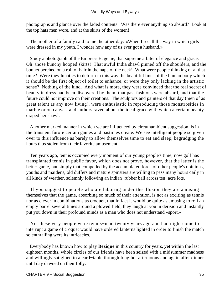photographs and glance over the faded contents. Was there ever anything so absurd? Look at the top hats men wore, and at the skirts of the women!

 The mother of a family said to me the other day: «When I recall the way in which girls were dressed in my youth, I wonder how any of us ever got a husband.»

 Study a photograph of the Empress Eugenie, that supreme arbiter of elegance and grace. Oh! those bunchy hooped skirts! That awful India shawl pinned off the shoulders, and the bonnet perched on a roll of hair in the nape of the neck! What were people thinking of at that time? Were they lunatics to deform in this way the beautiful lines of the human body which it should be the first object of toilet to enhance, or were they only lacking in the artistic sense? Nothing of the kind. And what is more, they were convinced that the real secret of beauty in dress had been discovered by them; that past fashions were absurd, and that the future could not improve on their creations. The sculptors and painters of that day (men of as great talent as any now living), were enthusiastic in reproducing those monstrosities in marble or on canvas, and authors raved about the ideal grace with which a certain beauty draped her shawl.

 Another marked manner in which we are influenced by circumambient suggestion, is in the transient furore certain games and pastimes create. We see intelligent people so given over to this influence as barely to allow themselves time to eat and sleep, begrudging the hours thus stolen from their favorite amusement.

 Ten years ago, tennis occupied every moment of our young people's time; now golf has transplanted tennis in public favor, which does not prove, however, that the latter is the better game, but simply that compelled by the accumulated force of other people's opinions, youths and maidens, old duffers and mature spinsters are willing to pass many hours daily in all kinds of weather, solemnly following an indian−rubber ball across ten−acre lots.

 If you suggest to people who are laboring under the illusion they are amusing themselves that the game, absorbing so much of their attention, is not as exciting as tennis nor as clever in combinations as croquet, that in fact it would be quite as amusing to roll an empty barrel several times around a plowed field, they laugh at you in derision and instantly put you down in their profound minds as a man who does not understand «sport.»

 Yet these very people were tennis−mad twenty years ago and had night come to interrupt a game of croquet would have ordered lanterns lighted in order to finish the match so enthralling were its intricacies.

 Everybody has known how to play **Bezique** in this country for years, yet within the last eighteen months, whole circles of our friends have been seized with a midsummer madness and willingly sat glued to a card−table through long hot afternoons and again after dinner until day dawned on their folly.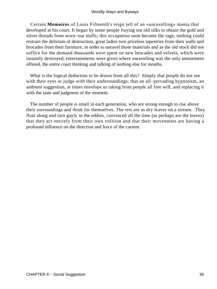Certain **Memoires** of Louis Fifteenth's reign tell of an «unravelling» mania that developed at his court. It began by some people fraying out old silks to obtain the gold and silver threads from worn−out stuffs; this occupation soon became the rage, nothing could restrain the delirium of destruction, great ladies tore priceless tapestries from their walls and brocades from their furniture, in order to unravel those materials and as the old stock did not suffice for the demand thousands were spent on new brocades and velvets, which were instantly destroyed, entertainments were given where unravelling was the only amusement offered, the entire court thinking and talking of nothing else for months.

 What is the logical deduction to be drawn from all this? Simply that people do not see with their eyes or judge with their understandings; that an all−pervading hypnotism, an ambient suggestion, at times envelops us taking from people all free will, and replacing it with the taste and judgment of the moment.

 The number of people is small in each generation, who are strong enough to rise above their surroundings and think for themselves. The rest are as dry leaves on a stream. They float along and turn gayly in the eddies, convinced all the time (as perhaps are the leaves) that they act entirely from their own volition and that their movements are having a profound influence on the direction and force of the current.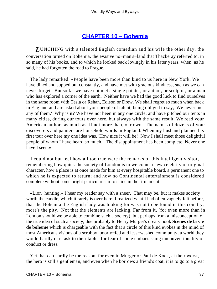## **[CHAPTER 10 − Bohemia](#page-143-0)**

*L*UNCHING with a talented English comedian and his wife the other day, the conversation turned on Bohemia, the evasive no−man's−land that Thackeray referred to, in so many of his books, and to which he looked back lovingly in his later years, when, as he said, he had forgotten the road to Prague.

 The lady remarked: «People have been more than kind to us here in New York. We have dined and supped out constantly, and have met with gracious kindness, such as we can never forget. But so far we have not met a single painter, or author, or sculptor, or a man who has explored a corner of the earth. Neither have we had the good luck to find ourselves in the same room with Tesla or Rehan, Edison or Drew. We shall regret so much when back in England and are asked about your people of talent, being obliged to say, 'We never met any of them.' Why is it? We have not been in any one circle, and have pitched our tents in many cities, during our tours over here, but always with the same result. We read your American authors as much as, if not more than, our own. The names of dozens of your discoverers and painters are household words in England. When my husband planned his first tour over here my one idea was, 'How nice it will be! Now I shall meet those delightful people of whom I have heard so much.' The disappointment has been complete. Never one have I seen.»

 I could not but feel how all too true were the remarks of this intelligent visitor, remembering how quick the society of London is to welcome a new celebrity or original character, how a place is at once made for him at every hospitable board, a permanent one to which he is expected to return; and how no Continental entertainment is considered complete without some bright particular star to shine in the firmament.

 «Lion−hunting,» I hear my reader say with a sneer. That may be, but it makes society worth the candle, which it rarely is over here. I realized what I had often vaguely felt before, that the Bohemia the English lady was looking for was not to be found in this country, more's the pity. Not that the elements are lacking. Far from it, (for even more than in London should we be able to combine such a society), but perhaps from a misconception of the true idea of such a society, due probably to Henry Murger's dreary book **Scenes de la vie de boheme** which is chargeable with the fact that a circle of this kind evokes in the mind of most Americans visions of a scrubby, poorly−fed and less−washed community, a world they would hardly dare ask to their tables for fear of some embarrassing unconventionality of conduct or dress.

 Yet that can hardly be the reason, for even in Murger or Paul de Kock, at their worst, the hero is still a gentleman, and even when he borrows a friend's coat, it is to go to a great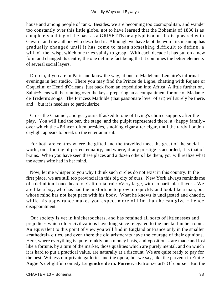house and among people of rank. Besides, we are becoming too cosmopolitan, and wander too constantly over this little globe, not to have learned that the Bohemia of 1830 is as completely a thing of the past as a GRISETTE or a glyphisodon. It disappeared with Gavarni and the authors who described it. Although we have kept the word, its meaning has gradually changed until it has come to mean something difficult to define, a will−o'−the−wisp, which one tries vainly to grasp. With each decade it has put on a new form and changed its centre, the one definite fact being that it combines the better elements of several social layers.

 Drop in, if you are in Paris and know the way, at one of Madeleine Lemaire's informal evenings in her studio. There you may find the Prince de Ligne, chatting with Rejane or Coquelin; or Henri d'Orleans, just back from an expedition into Africa. A little further on, Saint−Saens will be running over the keys, preparing an accompaniment for one of Madame de Tredern's songs. The Princess Mathilde (that passionate lover of art) will surely be there, and − but it is needless to particularize.

 Cross the Channel, and get yourself asked to one of Irving's choice suppers after the play. You will find the bar, the stage, and the pulpit represented there, a «happy family» over which the «Prince» often presides, smoking cigar after cigar, until the tardy London daylight appears to break up the entertainment.

 For both are centres where the gifted and the travelled meet the great of the social world, on a footing of perfect equality, and where, if any prestige is accorded, it is that of brains. When you have seen these places and a dozen others like them, you will realize what the actor's wife had in her mind.

 Now, let me whisper to you why I think such circles do not exist in this country. In the first place, we are still too provincial in this big city of ours. New York always reminds me of a definition I once heard of California fruit: «Very large, with no particular flavor.» We are like a boy, who has had the misfortune to grow too quickly and look like a man, but whose mind has not kept pace with his body. What he knows is undigested and chaotic, while his appearance makes you expect more of him than he can give − hence disappointment.

 Our society is yet in knickerbockers, and has retained all sorts of littlenesses and prejudices which older civilizations have long since relegated to the mental lumber room. An equivalent to this point of view you will find in England or France only in the smaller «cathedral» cities, and even there the old aristocrats have the courage of their opinions. Here, where everything is quite frankly on a money basis, and «positions» are made and lost like a fortune, by a turn of the market, those qualities which are purely mental, and on which it is hard to put a practical value, are naturally at a discount. We are quite ready to pay for the best. Witness our private galleries and the opera, but we say, like the parvenu in Emile Augier's delightful comedy **Le gendre de m. Poirier,** «Patronize art? Of course! But the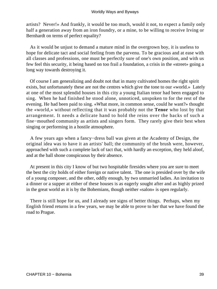artists? Never!» And frankly, it would be too much, would it not, to expect a family only half a generation away from an iron foundry, or a mine, to be willing to receive Irving or Bernhardt on terms of perfect equality?

 As it would be unjust to demand a mature mind in the overgrown boy, it is useless to hope for delicate tact and social feeling from the parvenu. To be gracious and at ease with all classes and professions, one must be perfectly sure of one's own position, and with us few feel this security, it being based on too frail a foundation, a crisis in the «street» going a long way towards destroying it.

 Of course I am generalizing and doubt not that in many cultivated homes the right spirit exists, but unfortunately these are not the centres which give the tone to our «world.» Lately at one of the most splendid houses in this city a young Italian tenor had been engaged to sing. When he had finished he stood alone, unnoticed, unspoken to for the rest of the evening. He had been paid to sing. «What more, in common sense, could he want?» thought the «world,» without reflecting that it was probably not the **Tenor** who lost by that arrangement. It needs a delicate hand to hold the reins over the backs of such a fine−mouthed community as artists and singers form. They rarely give their best when singing or performing in a hostile atmosphere.

 A few years ago when a fancy−dress ball was given at the Academy of Design, the original idea was to have it an artists' ball; the community of the brush were, however, approached with such a complete lack of tact that, with hardly an exception, they held aloof, and at the ball shone conspicuous by their absence.

 At present in this city I know of but two hospitable firesides where you are sure to meet the best the city holds of either foreign or native talent. The one is presided over by the wife of a young composer, and the other, oddly enough, by two unmarried ladies. An invitation to a dinner or a supper at either of these houses is as eagerly sought after and as highly prized in the great world as it is by the Bohemians, though neither «salon» is open regularly.

 There is still hope for us, and I already see signs of better things. Perhaps, when my English friend returns in a few years, we may be able to prove to her that we have found the road to Prague.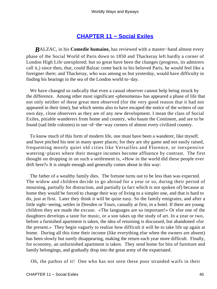## **[CHAPTER 11 − Social Exiles](#page-143-0)**

*B*ALZAC, in his **Comedie humaine,** has reviewed with a master−hand almost every phase of the Social World of Paris down to 1850 and Thackeray left hardly a corner of London High Life unexplored; but so great have been the changes (progress, its admirers call it,) since then, that, could Balzac come back to his beloved Paris, he would feel like a foreigner there; and Thackeray, who was among us but yesterday, would have difficulty in finding his bearings in the sea of the London world to−day.

 We have changed so radically that even a casual observer cannot help being struck by the difference. Among other most significant «phenomena» has appeared a phase of life that not only neither of these great men observed (for the very good reason that it had not appeared in their time), but which seems also to have escaped the notice of the writers of our own day, close observers as they are of any new development. I mean the class of Social Exiles, pitiable wanderers from home and country, who haunt the Continent, and are to be found (sad little colonies) in out−of−the−way corners of almost every civilized country.

 To know much of this form of modern life, one must have been a wanderer, like myself, and have pitched his tent in many queer places; for they are shy game and not easily raised, frequenting mostly quiet old cities like Versailles and Florence, or inexpensive watering−places where their meagre incomes become affluence by contrast. The first thought on dropping in on such a settlement is, «How in the world did these people ever drift here?» It is simple enough and generally comes about in this way:

 The father of a wealthy family dies. The fortune turns out to be less than was expected. The widow and children decide to go abroad for a year or so, during their period of mourning, partially for distraction, and partially (a fact which is not spoken of) because at home they would be forced to change their way of living to a simpler one, and that is hard to do, just at first. Later they think it will be quite easy. So the family emigrates, and after a little sight−seeing, settles in Dresden or Tours, casually at first, in a hotel. If there are young children they are made the excuse. «The languages are so important!» Or else one of the daughters develops a taste for music, or a son takes up the study of art. In a year or two, before a furnished apartment is taken, the idea of returning is discussed, but abandoned «for the present.» They begin vaguely to realize how difficult it will be to take life up again at home. During all this time their income (like everything else when the owners are absent) has been slowly but surely disappearing, making the return each year more difficult. Finally, for economy, an unfurnished apartment is taken. They send home for bits of furniture and family belongings, and gradually drop into the great army of the expatriated.

Oh, the pathos of it! One who has not seen these poor stranded waifs in their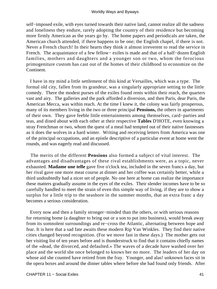self–imposed exile, with eyes turned towards their native land, cannot realize all the sadness and loneliness they endure, rarely adopting the country of their residence but becoming more firmly American as the years go by. The home papers and periodicals are taken, the American church attended, if there happens to be one; the English chapel, if there is not. Never a French church! In their hearts they think it almost irreverent to read the service in French. The acquaintance of a few fellow− exiles is made and that of a half−dozen English families, mothers and daughters and a younger son or two, whom the ferocious primogeniture custom has cast out of the homes of their childhood to economize on the Continent.

 I have in my mind a little settlement of this kind at Versailles, which was a type. The formal old city, fallen from its grandeur, was a singularly appropriate setting to the little comedy. There the modest purses of the exiles found rents within their reach, the quarters vast and airy. The galleries and the park afforded a diversion, and then Paris, dear Paris, the American Mecca, was within reach. At the time I knew it, the colony was fairly prosperous, many of its members living in the two or three principal **Pensions,** the others in apartments of their own. They gave feeble little entertainments among themselves, card−parties and teas, and dined about with each other at their respective **Tables** D'HOTE, even knowing a stray Frenchman or two, whom the quest of a meal had tempted out of their native fastnesses as it does the wolves in a hard winter. Writing and receiving letters from America was one of the principal occupations, and an epistle descriptive of a particular event at home went the rounds, and was eagerly read and discussed.

 The merits of the different **Pensions** also formed a subject of vital interest. The advantages and disadvantages of these rival establishments were, as a topic, never exhausted. **Madame une telle** gave five o'clock tea, included in the seven francs a day, but her rival gave one more meat course at dinner and her coffee was certainly better, while a third undoubtedly had a nicer set of people. No one here at home can realize the importance these matters gradually assume in the eyes of the exiles. Their slender incomes have to be so carefully handled to meet the strain of even this simple way of living, if they are to show a surplus for a little trip to the seashore in the summer months, that an extra franc a day becomes a serious consideration.

 Every now and then a family stronger−minded than the others, or with serious reasons for returning home (a daughter to bring out or a son to put into business), would break away from its somnolent surroundings and re−cross the Atlantic, alternating between hope and fear. It is here that a sad fate awaits these modern Rip Van Winkles. They find their native cities changed beyond recognition. (For we move fast in these days.) The mother gets out her visiting list of ten years before and is thunderstruck to find that it contains chiefly names of the «dead, the divorced, and defaulted.» The waves of a decade have washed over her place and the world she once belonged to knows her no more. The leaders of her day on whose aid she counted have retired from the fray. Younger, and alas! unknown faces sit in the opera boxes and around the dinner tables where before she had found only friends. After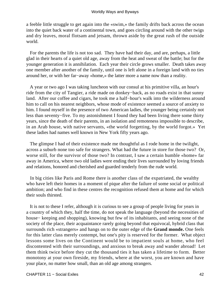a feeble little struggle to get again into the «swim,» the family drifts back across the ocean into the quiet back water of a continental town, and goes circling around with the other twigs and dry leaves, moral flotsam and jetsam, thrown aside by the great rush of the outside world.

 For the parents the life is not too sad. They have had their day, and are, perhaps, a little glad in their hearts of a quiet old age, away from the heat and sweat of the battle; but for the younger generation it is annihilation. Each year their circle grows smaller. Death takes away one member after another of the family, until one is left alone in a foreign land with no ties around her, or with her far−away «home,» the latter more a name now than a reality.

 A year or two ago I was taking luncheon with our consul at his primitive villa, an hour's ride from the city of Tangier, a ride made on donkey−back, as no roads exist in that sunny land. After our coffee and cigars, he took me a half−hour's walk into the wilderness around him to call on his nearest neighbors, whose mode of existence seemed a source of anxiety to him. I found myself in the presence of two American ladies, the younger being certainly not less than seventy−five. To my astonishment I found they had been living there some thirty years, since the death of their parents, in an isolation and remoteness impossible to describe, in an Arab house, with native servants, «the world forgetting, by the world forgot.» Yet these ladies had names well known in New York fifty years ago.

 The glimpse I had of their existence made me thoughtful as I rode home in the twilight, across a suburb none too safe for strangers. What had the future in store for those two? Or, worse still, for the survivor of those two? In contrast, I saw a certain humble «home» far away in America, where two old ladies were ending their lives surrounded by loving friends and relations, honored and cherished and guarded tenderly from the rude world.

 In big cities like Paris and Rome there is another class of the expatriated, the wealthy who have left their homes in a moment of pique after the failure of some social or political ambition; and who find in these centres the recognition refused them at home and for which their souls thirsted.

 It is not to these I refer, although it is curious to see a group of people living for years in a country of which they, half the time, do not speak the language (beyond the necessities of house− keeping and shopping), knowing but few of its inhabitants, and seeing none of the society of the place, their acquaintance rarely going beyond that equivocal, hybrid class that surrounds rich «strangers» and hangs on to the outer edge of the **Grand monde.** One feels for this latter class merely contempt, but one's pity is reserved for the former. What object lessons some lives on the Continent would be to impatient souls at home, who feel discontented with their surroundings, and anxious to break away and wander abroad! Let them think twice before they cut the thousand ties it has taken a lifetime to form. Better monotony at your own fireside, my friends, where at the worst, you are known and have your place, no matter how small, than an old age among strangers.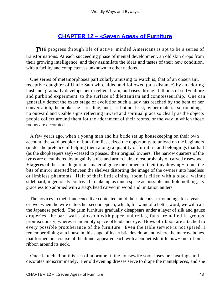## **[CHAPTER 12 − «Seven Ages» of Furniture](#page-143-0)**

*T*HE progress through life of active−minded Americans is apt to be a series of transformations. At each succeeding phase of mental development, an old skin drops from their growing intelligence, and they assimilate the ideas and tastes of their new condition, with a facility and completeness unknown to other nations.

 One series of metamorphoses particularly amusing to watch is, that of an observant, receptive daughter of Uncle Sam who, aided and followed (at a distance) by an adoring husband, gradually develops her excellent brain, and rises through fathoms of self−culture and purblind experiment, to the surface of dilettantism and connoisseurship. One can generally detect the exact stage of evolution such a lady has reached by the bent of her conversation, the books she is reading, and, last but not least, by her material surroundings; no outward and visible signs reflecting inward and spiritual grace so clearly as the objects people collect around them for the adornment of their rooms, or the way in which those rooms are decorated.

 A few years ago, when a young man and his bride set up housekeeping on their own account, the «old people» of both families seized the opportunity to unload on the beginners (under the pretence of helping them along) a quantity of furniture and belongings that had (as the shopkeepers say) «ceased to please» their original owners. The narrow quarters of the tyros are encumbered by ungainly sofas and arm−chairs, most probably of carved rosewood. **Etageres of** the same lugubrious material grace the corners of their tiny drawing− room, the bits of mirror inserted between the shelves distorting the image of the owners into headless or limbless phantoms. Half of their little dining−room is filled with a black−walnut sideboard, ingeniously contrived to take up as much space as possible and hold nothing, its graceless top adorned with a stag's head carved in wood and imitation antlers.

 The novices in their innocence live contented amid their hideous surroundings for a year or two, when the wife enters her second epoch, which, for want of a better word, we will call the Japanese period. The grim furniture gradually disappears under a layer of silk and gauze draperies, the bare walls blossom with paper umbrellas, fans are nailed in groups promiscuously, wherever an empty space offends her eye. Bows of ribbon are attached to every possible protuberance of the furniture. Even the table service is not spared. I remember dining at a house in this stage of its artistic development, where the marrow bones that formed one course of the dinner appeared each with a coquettish little bow−knot of pink ribbon around its neck.

 Once launched on this sea of adornment, the housewife soon loses her bearings and decorates indiscriminately. Her old evening dresses serve to drape the mantelpieces, and she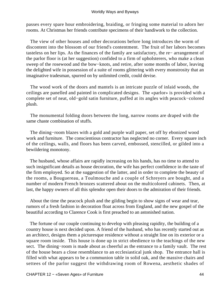passes every spare hour embroidering, braiding, or fringing some material to adorn her rooms. At Christmas her friends contribute specimens of their handiwork to the collection.

 The view of other houses and other decorations before long introduces the worm of discontent into the blossom of our friend's contentment. The fruit of her labors becomes tasteless on her lips. As the finances of the family are satisfactory, the re− arrangement of the parlor floor is (at her suggestion) confided to a firm of upholsterers, who make a clean sweep of the rosewood and the bow−knots, and retire, after some months of labor, leaving the delighted wife in possession of a suite of rooms glittering with every monstrosity that an imaginative tradesman, spurred on by unlimited credit, could devise.

 The wood work of the doors and mantels is an intricate puzzle of inlaid woods, the ceilings are panelled and painted in complicated designs. The «parlor» is provided with a complete set of neat, old−gold satin furniture, puffed at its angles with peacock−colored plush.

 The monumental folding doors between the long, narrow rooms are draped with the same chaste combination of stuffs.

 The dining−room blazes with a gold and purple wall paper, set off by ebonized wood work and furniture. The conscientious contractor has neglected no corner. Every square inch of the ceilings, walls, and floors has been carved, embossed, stencilled, or gilded into a bewildering monotony.

 The husband, whose affairs are rapidly increasing on his hands, has no time to attend to such insignificant details as house decoration, the wife has perfect confidence in the taste of the firm employed. So at the suggestion of the latter, and in order to complete the beauty of the rooms, a Bouguereau, a Toulmouche and a couple of Schreyers are bought, and a number of modern French bronzes scattered about on the multicolored cabinets. Then, at last, the happy owners of all this splendor open their doors to the admiration of their friends.

 About the time the peacock plush and the gilding begin to show signs of wear and tear, rumors of a fresh fashion in decoration float across from England, and the new gospel of the beautiful according to Clarence Cook is first preached to an astonished nation.

 The fortune of our couple continuing to develop with pleasing rapidity, the building of a country house is next decided upon. A friend of the husband, who has recently started out as an architect, designs them a picturesque residence without a straight line on its exterior or a square room inside. This house is done up in strict obedience to the teachings of the new sect. The dining−room is made about as cheerful as the entrance to a family vault. The rest of the house bears a close resemblance to an ecclesiastical junk shop. The entrance hall is filled with what appears to be a communion table in solid oak, and the massive chairs and settees of the parlor suggest the withdrawing room of Rowena, aesthetic shades of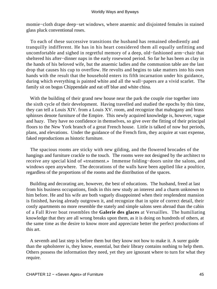momie−cloth drape deep−set windows, where anaemic and disjointed females in stained glass pluck conventional roses.

 To each of these successive transitions the husband has remained obediently and tranquilly indifferent. He has in his heart considered them all equally unfitting and uncomfortable and sighed in regretful memory of a deep, old−fashioned arm−chair that sheltered his after−dinner naps in the early rosewood period. So far he has been as clay in the hands of his beloved wife, but the anaemic ladies and the communion table are the last drop that causes his cup to overflow. He revolts and begins to take matters into his own hands with the result that the household enters its fifth incarnation under his guidance, during which everything is painted white and all the wall−papers are a vivid scarlet. The family sit on bogus Chippendale and eat off blue and white china.

With the building of their grand new house near the park the couple rise together into the sixth cycle of their development. Having travelled and studied the epochs by this time, they can tell a Louis XIV. from a Louis XV. room, and recognize that mahogany and brass sphinxes denote furniture of the Empire. This newly acquired knowledge is, however, vague and hazy. They have no confidence in themselves, so give over the fitting of their principal floors to the New York branch of a great French house. Little is talked of now but periods, plans, and elevations. Under the guidance of the French firm, they acquire at vast expense, faked reproductions as historic furniture.

 The spacious rooms are sticky with new gilding, and the flowered brocades of the hangings and furniture crackle to the touch. The rooms were not designed by the architect to receive any special kind of «treatment.» Immense folding−doors unite the salons, and windows open anywhere. The decorations of the walls have been applied like a poultice, regardless of the proportions of the rooms and the distribution of the spaces.

 Building and decorating are, however, the best of educations. The husband, freed at last from his business occupations, finds in this new study an interest and a charm unknown to him before. He and his wife are both vaguely disappointed when their resplendent mansion is finished, having already outgrown it, and recognize that in spite of correct detail, their costly apartments no more resemble the stately and simple salons seen abroad than the cabin of a Fall River boat resembles the **Galerie des glaces** at Versailles. The humiliating knowledge that they are all wrong breaks upon them, as it is doing on hundreds of others, at the same time as the desire to know more and appreciate better the perfect productions of this art.

 A seventh and last step is before them but they know not how to make it. A surer guide than the upholsterer is, they know, essential, but their library contains nothing to help them. Others possess the information they need, yet they are ignorant where to turn for what they require.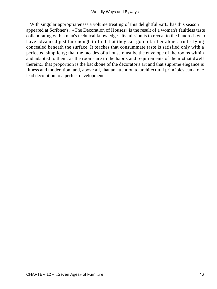With singular appropriateness a volume treating of this delightful «art» has this season appeared at Scribner's. «The Decoration of Houses» is the result of a woman's faultless taste collaborating with a man's technical knowledge. Its mission is to reveal to the hundreds who have advanced just far enough to find that they can go no farther alone, truths lying concealed beneath the surface. It teaches that consummate taste is satisfied only with a perfected simplicity; that the facades of a house must be the envelope of the rooms within and adapted to them, as the rooms are to the habits and requirements of them «that dwell therein;» that proportion is the backbone of the decorator's art and that supreme elegance is fitness and moderation; and, above all, that an attention to architectural principles can alone lead decoration to a perfect development.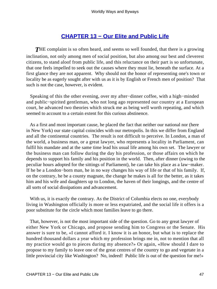# **[CHAPTER 13 − Our Elite and Public Life](#page-143-0)**

**THE** complaint is so often heard, and seems so well founded, that there is a growing inclination, not only among men of social position, but also among our best and cleverest citizens, to stand aloof from public life, and this reluctance on their part is so unfortunate, that one feels impelled to seek out the causes where they must lie, beneath the surface. At a first glance they are not apparent. Why should not the honor of representing one's town or locality be as eagerly sought after with us as it is by English or French men of position? That such is not the case, however, is evident.

 Speaking of this the other evening, over my after−dinner coffee, with a high−minded and public−spirited gentleman, who not long ago represented our country at a European court, he advanced two theories which struck me as being well worth repeating, and which seemed to account to a certain extent for this curious abstinence.

 As a first and most important cause, he placed the fact that neither our national nor (here in New York) our state capital coincides with our metropolis. In this we differ from England and all the continental countries. The result is not difficult to perceive. In London, a man of the world, a business man, or a great lawyer, who represents a locality in Parliament, can fulfil his mandate and at the same time lead his usual life among his own set. The lawyer or the business man can follow during the day his profession, or those affairs on which he depends to support his family and his position in the world. Then, after dinner (owing to the peculiar hours adopted for the sittings of Parliament), he can take his place as a law−maker. If he be a London−born man, he in no way changes his way of life or that of his family. If, on the contrary, he be a county magnate, the change he makes is all for the better, as it takes him and his wife and daughters up to London, the haven of their longings, and the centre of all sorts of social dissipations and advancement.

With us, it is exactly the contrary. As the District of Columbia elects no one, everybody living in Washington officially is more or less expatriated, and the social life it offers is a poor substitute for the circle which most families leave to go there.

 That, however, is not the most important side of the question. Go to any great lawyer of either New York or Chicago, and propose sending him to Congress or the Senate. His answer is sure to be, «I cannot afford it. I know it is an honor, but what is to replace the hundred thousand dollars a year which my profession brings me in, not to mention that all my practice would go to pieces during my absence?» Or again, «How should I dare to propose to my family to leave one of the great centres of the country to go and vegetate in a little provincial city like Washington? No, indeed! Public life is out of the question for me!»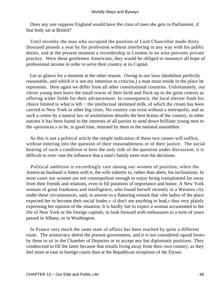Does any one suppose England would have the class of men she gets in Parliament, if that body sat at Bristol?

 Until recently the man who occupied the position of Lord Chancellor made thirty thousand pounds a year by his profession without interfering in any way with his public duties, and at the present moment a recordership in London in no wise prevents private practice. Were these gentlemen Americans, they would be obliged to renounce all hope of professional income in order to serve their country at its Capital.

 Let us glance for a moment at the other reason. Owing to our laws (doubtless perfectly reasonable, and which it is not my intention to criticise,) a man must reside in the place he represents. Here again we differ from all other constitutional countries. Unfortunately, our clever young men leave the small towns of their birth and flock up to the great centres as offering wider fields for their advancement. In consequence, the local elector finds his choice limited to what is left − the intellectual skimmed milk, of which the cream has been carried to New York or other big cities. No country can exist without a metropolis, and as such a centre by a natural law of assimilation absorbs the best brains of the country, in other nations it has been found to the interests of all parties to send down brilliant young men to the «provinces,» to be, in good time, returned by them to the national assemblies.

 As this is not a political article the simple indication of these two causes will suffice, without entering into the question of their reasonableness or of their justice. The social bearing of such a condition is here the only side of the question under discussion; it is difficult to over−rate the influence that a man's family exert over his decisions.

 Political ambition is exceedingly rare among our women of position; when the American husband is bitten with it, the wife submits to, rather than abets, his inclinations. In most cases our women are not cosmopolitan enough to enjoy being transplanted far away from their friends and relations, even to fill positions of importance and honor. A New York woman of great frankness and intelligence, who found herself recently in a Western city under these circumstances, said, in answer to a flattering remark that «the ladies of the place expected her to become their social leader,» «I don't see anything to lead,» thus very plainly expressing her opinion of the situation. It is hardly fair to expect a woman accustomed to the life of New York or the foreign capitals, to look forward with enthusiasm to a term of years passed in Albany, or in Washington.

 In France very much the same state of affairs has been reached by quite a different route. The aristocracy detest the present government, and it is not considered «good form» by them to sit in the Chamber of Deputies or to accept any but diplomatic positions. They condescend to fill the latter because that entails living away from their own country, as they feel more at ease in foreign courts than at the Republican receptions of the Elysee.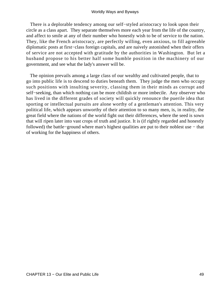There is a deplorable tendency among our self−styled aristocracy to look upon their circle as a class apart. They separate themselves more each year from the life of the country, and affect to smile at any of their number who honestly wish to be of service to the nation. They, like the French aristocracy, are perfectly willing, even anxious, to fill agreeable diplomatic posts at first−class foreign capitals, and are naively astonished when their offers of service are not accepted with gratitude by the authorities in Washington. But let a husband propose to his better half some humble position in the machinery of our government, and see what the lady's answer will be.

 The opinion prevails among a large class of our wealthy and cultivated people, that to go into public life is to descend to duties beneath them. They judge the men who occupy such positions with insulting severity, classing them in their minds as corrupt and self−seeking, than which nothing can be more childish or more imbecile. Any observer who has lived in the different grades of society will quickly renounce the puerile idea that sporting or intellectual pursuits are alone worthy of a gentleman's attention. This very political life, which appears unworthy of their attention to so many men, is, in reality, the great field where the nations of the world fight out their differences, where the seed is sown that will ripen later into vast crops of truth and justice. It is (if rightly regarded and honestly followed) the battle−ground where man's highest qualities are put to their noblest use − that of working for the happiness of others.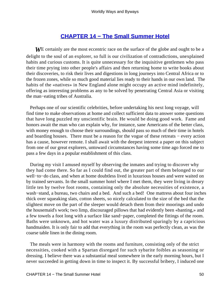## **[CHAPTER 14 − The Small Summer Hotel](#page-143-0)**

*W*E certainly are the most eccentric race on the surface of the globe and ought to be a delight to the soul of an explorer, so full is our civilization of contradictions, unexplained habits and curious customs. It is quite unnecessary for the inquisitive gentlemen who pass their time prying into other people's affairs and then returning home to write books about their discoveries, to risk their lives and digestions in long journeys into Central Africa or to the frozen zones, while so much good material lies ready to their hands in our own land. The habits of the «natives» in New England alone might occupy an active mind indefinitely, offering as interesting problems as any to be solved by penetrating Central Asia or visiting the man−eating tribes of Australia.

 Perhaps one of our scientific celebrities, before undertaking his next long voyage, will find time to make observations at home and collect sufficient data to answer some questions that have long puzzled my unscientific brain. He would be doing good work. Fame and honors await the man who can explain why, for instance, sane Americans of the better class, with money enough to choose their surroundings, should pass so much of their time in hotels and boarding houses. There must be a reason for the vogue of these retreats − every action has a cause, however remote. I shall await with the deepest interest a paper on this subject from one of our great explorers, untoward circumstances having some time ago forced me to pass a few days in a popular establishment of this class.

 During my visit I amused myself by observing the inmates and trying to discover why they had come there. So far as I could find out, the greater part of them belonged to our well−to−do class, and when at home doubtless lived in luxurious houses and were waited on by trained servants. In the small summer hotel where I met them, they were living in dreary little ten by twelve foot rooms, containing only the absolute necessities of existence, a wash−stand, a bureau, two chairs and a bed. And such a bed! One mattress about four inches thick over squeaking slats, cotton sheets, so nicely calculated to the size of the bed that the slightest move on the part of the sleeper would detach them from their moorings and undo the housemaid's work; two limp, discouraged pillows that had evidently been «banting,» and a few towels a foot long with a surface like sand−paper, completed the fittings of the room. Baths were unknown, and hot water was a luxury distributed sparingly by a capricious handmaiden. It is only fair to add that everything in the room was perfectly clean, as was the coarse table linen in the dining room.

 The meals were in harmony with the rooms and furniture, consisting only of the strict necessities, cooked with a Spartan disregard for such sybarite foibles as seasoning or dressing. I believe there was a substantial meal somewhere in the early morning hours, but I never succeeded in getting down in time to inspect it. By successful bribery, I induced one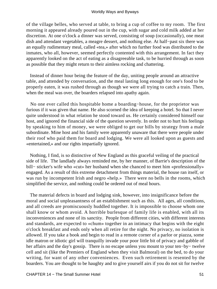of the village belles, who served at table, to bring a cup of coffee to my room. The first morning it appeared already poured out in the cup, with sugar and cold milk added at her discretion. At one o'clock a dinner was served, consisting of soup (occasionally), one meat dish and attendant vegetables, a meagre dessert, and nothing else. At half−past six there was an equally rudimentary meal, called «tea,» after which no further food was distributed to the inmates, who all, however, seemed perfectly contented with this arrangement. In fact they apparently looked on the act of eating as a disagreeable task, to be hurried through as soon as possible that they might return to their aimless rocking and chattering.

 Instead of dinner hour being the feature of the day, uniting people around an attractive table, and attended by conversation, and the meal lasting long enough for one's food to be properly eaten, it was rushed through as though we were all trying to catch a train. Then, when the meal was over, the boarders relapsed into apathy again.

 No one ever called this hospitable home a boarding−house, for the proprietor was furious if it was given that name. He also scorned the idea of keeping a hotel. So that I never quite understood in what relation he stood toward us. He certainly considered himself our host, and ignored the financial side of the question severely. In order not to hurt his feelings by speaking to him of money, we were obliged to get our bills by strategy from a male subordinate. Mine host and his family were apparently unaware that there were people under their roof who paid them for board and lodging. We were all looked upon as guests and «entertained,» and our rights impartially ignored.

 Nothing, I find, is so distinctive of New England as this graceful veiling of the practical side of life. The landlady always reminded me, by her manner, of Barrie's description of the bill− sticker's wife who «cut» her husband when she chanced to meet him «professionally» engaged. As a result of this extreme detachment from things material, the house ran itself, or was run by incompetent Irish and negro «help.» There were no bells in the rooms, which simplified the service, and nothing could be ordered out of meal hours.

 The material defects in board and lodging sink, however, into insignificance before the moral and social unpleasantness of an establishment such as this. All ages, all conditions, and all creeds are promiscuously huddled together. It is impossible to choose whom one shall know or whom avoid. A horrible burlesque of family life is enabled, with all its inconveniences and none of its sanctity. People from different cities, with different interests and standards, are expected to «chum» together in an intimacy that begins with the eight o'clock breakfast and ends only when all retire for the night. No privacy, no isolation is allowed. If you take a book and begin to read in a remote corner of a parlor or piazza, some idle matron or idiotic girl will tranquilly invade your poor little bit of privacy and gabble of her affairs and the day's gossip. There is no escape unless you mount to your ten−by− twelve cell and sit (like the Premiers of England when they visit Balmoral) on the bed, to do your writing, for want of any other conveniences. Even such retirement is resented by the boarders. You are thought to be haughty and to give yourself airs if you do not sit for twelve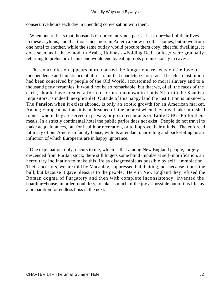consecutive hours each day in unending conversation with them.

 When one reflects that thousands of our countrymen pass at least one−half of their lives in these asylums, and that thousands more in America know no other homes, but move from one hotel to another, while the same outlay would procure them cosy, cheerful dwellings, it does seem as if these modern Arabs, Holmes's «Folding Bed− ouins,» were gradually returning to prehistoric habits and would end by eating roots promiscuously in caves.

 The contradiction appears more marked the longer one reflects on the love of independence and impatience of all restraint that characterize our race. If such an institution had been conceived by people of the Old World, accustomed to moral slavery and to a thousand petty tyrannies, it would not be so remarkable, but that we, of all the races of the earth, should have created a form of torture unknown to Louis XI. or to the Spanish Inquisitors, is indeed inexplicable! Outside of this happy land the institution is unknown. The **Pension** when it exists abroad, is only an exotic growth for an American market. Among European nations it is undreamed of; the poorest when they travel take furnished rooms, where they are served in private, or go to restaurants or **Table** D'HOTES for their meals. In a strictly continental hotel the public parlor does not exist. People do not travel to make acquaintances, but for health or recreation, or to improve their minds. The enforced intimacy of our American family house, with its attendant quarrelling and back−biting, is an infliction of which Europeans are in happy ignorance.

 One explanation, only, occurs to me, which is that among New England people, largely descended from Puritan stock, there still lingers some blind impulse at self−mortification, an hereditary inclination to make this life as disagreeable as possible by self− immolation. Their ancestors, we are told by Macaulay, suppressed bull baiting, not because it hurt the bull, but because it gave pleasure to the people. Here in New England they refused the Roman dogma of Purgatory and then with complete inconsistency, invented the boarding−house, in order, doubtless, to take as much of the joy as possible out of this life, as a preparation for endless bliss in the next.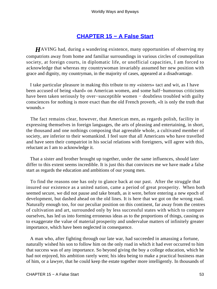## **[CHAPTER 15 − A False Start](#page-143-0)**

*H*AVING had, during a wandering existence, many opportunities of observing my compatriots away from home and familiar surroundings in various circles of cosmopolitan society, at foreign courts, in diplomatic life, or unofficial capacities, I am forced to acknowledge that whereas my countrywoman invariably assumed her new position with grace and dignity, my countryman, in the majority of cases, appeared at a disadvantage.

 I take particular pleasure in making this tribute to my «sisters» tact and wit, as I have been accused of being «hard» on American women, and some half−humorous criticisms have been taken seriously by over−susceptible women − doubtless troubled with guilty consciences for nothing is more exact than the old French proverb, «It is only the truth that wounds.»

 The fact remains clear, however, that American men, as regards polish, facility in expressing themselves in foreign languages, the arts of pleasing and entertaining, in short, the thousand and one nothings composing that agreeable whole, a cultivated member of society, are inferior to their womankind. I feel sure that all Americans who have travelled and have seen their compatriot in his social relations with foreigners, will agree with this, reluctant as I am to acknowledge it.

 That a sister and brother brought up together, under the same influences, should later differ to this extent seems incredible. It is just this that convinces me we have made a false start as regards the education and ambitions of our young men.

 To find the reasons one has only to glance back at our past. After the struggle that insured our existence as a united nation, came a period of great prosperity. When both seemed secure, we did not pause and take breath, as it were, before entering a new epoch of development, but dashed ahead on the old lines. It is here that we got on the wrong road. Naturally enough too, for our peculiar position on this continent, far away from the centres of cultivation and art, surrounded only by less successful states with which to compare ourselves, has led us into forming erroneous ideas as to the proportions of things, causing us to exaggerate the value of material prosperity and undervalue matters of infinitely greater importance, which have been neglected in consequence.

 A man who, after fighting through our late war, had succeeded in amassing a fortune, naturally wished his son to follow him on the only road in which it had ever occurred to him that success was of any importance. So beyond giving the boy a college education, which he had not enjoyed, his ambition rarely went; his idea being to make a practical business man of him, or a lawyer, that he could keep the estate together more intelligently. In thousands of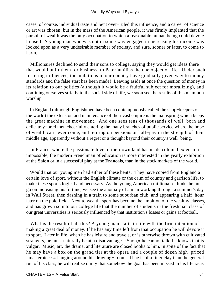cases, of course, individual taste and bent over−ruled this influence, and a career of science or art was chosen; but in the mass of the American people, it was firmly implanted that the pursuit of wealth was the only occupation to which a reasonable human being could devote himself. A young man who was not in some way engaged in increasing his income was looked upon as a very undesirable member of society, and sure, sooner or later, to come to harm.

 Millionaires declined to send their sons to college, saying they would get ideas there that would unfit them for business, to Paterfamilias the one object of life. Under such fostering influences, the ambitions in our country have gradually given way to money standards and the false start has been made! Leaving aside at once the question of money in its relation to our politics (although it would be a fruitful subject for moralizing), and confining ourselves strictly to the social side of life, we soon see the results of this mammon worship.

 In England (although Englishmen have been contemptuously called the shop−keepers of the world) the extension and maintenance of their vast empire is the mainspring which keeps the great machine in movement. And one sees tens of thousands of well−born and delicately−bred men cheerfully entering the many branches of public service where the hope of wealth can never come, and retiring on pensions or half−pay in the strength of their middle age, apparently without a regret or a thought beyond their country's well−being.

 In France, where the passionate love of their own land has made colonial extension impossible, the modern Frenchman of education is more interested in the yearly exhibition at the **Salon** or in a successful play at the **Francais,** than in the stock markets of the world.

 Would that our young men had either of these bents! They have copied from England a certain love of sport, without the English climate or the calm of country and garrison life, to make these sports logical and necessary. As the young American millionaire thinks he must go on increasing his fortune, we see the anomaly of a man working through a summer's day in Wall Street, then dashing in a train to some suburban club, and appearing a half−hour later on the polo field. Next to wealth, sport has become the ambition of the wealthy classes, and has grown so into our college life that the number of students in the freshman class of our great universities is seriously influenced by that institution's losses or gains at football.

 What is the result of all this? A young man starts in life with the firm intention of making a great deal of money. If he has any time left from that occupation he will devote it to sport. Later in life, when he has leisure and travels, or is otherwise thrown with cultivated strangers, he must naturally be at a disadvantage. «Shop,» he cannot talk; he knows that is vulgar. Music, art, the drama, and literature are closed books to him, in spite of the fact that he may have a box on the grand tier at the opera and a couple of dozen high−priced «masterpieces» hanging around his drawing− rooms. If he is of a finer clay than the general run of his class, he will realize dimly that somehow the goal has been missed in his life race.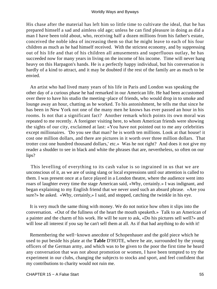His chase after the material has left him so little time to cultivate the ideal, that he has prepared himself a sad and aimless old age; unless he can find pleasure in doing as did a man I have been told about, who, receiving half a dozen millions from his father's estate, conceived the noble idea of increasing them so that he might leave to each of his four children as much as he had himself received. With the strictest economy, and by suppressing out of his life and that of his children all amusements and superfluous outlay, he has succeeded now for many years in living on the income of his income. Time will never hang heavy on this Harpagon's hands. He is a perfectly happy individual, but his conversation is hardly of a kind to attract, and it may be doubted if the rest of the family are as much to be envied.

 An artist who had lived many years of his life in Paris and London was speaking the other day of a curious phase he had remarked in our American life. He had been accustomed over there to have his studio the meeting−place of friends, who would drop in to smoke and lounge away an hour, chatting as he worked. To his astonishment, he tells me that since he has been in New York not one of the many men he knows has ever passed an hour in his rooms. Is not that a significant fact? Another remark which points its own moral was repeated to me recently. A foreigner visiting here, to whom American friends were showing the sights of our city, exclaimed at last: «You have not pointed out to me any celebrities except millionaires. 'Do you see that man? he is worth ten millions. Look at that house! it cost one million dollars, and there are pictures in it worth over three million dollars. That trotter cost one hundred thousand dollars,' etc.» Was he not right? And does it not give my reader a shudder to see in black and white the phrases that are, nevertheless, so often on our lips?

 This levelling of everything to its cash value is so ingrained in us that we are unconscious of it, as we are of using slang or local expressions until our attention is called to them. I was present once at a farce played in a London theatre, where the audience went into roars of laughter every time the stage American said, «Why, certainly.» I was indignant, and began explaining to my English friend that we never used such an absurd phrase. «Are you sure?» he asked. «Why, certainly,» I said, and stopped, catching the twinkle in his eye.

 It is very much the same thing with money. We do not notice how often it slips into the conversation. «Out of the fullness of the heart the mouth speaketh.» Talk to an American of a painter and the charm of his work. He will be sure to ask, «Do his pictures sell well?» and will lose all interest if you say he can't sell them at all. As if that had anything to do with it!

 Remembering the well−known anecdote of Schopenhauer and the gold piece which he used to put beside his plate at the **Table** D'HOTE, where he ate, surrounded by the young officers of the German army, and which was to be given to the poor the first time he heard any conversation that was not about promotion or women, I have been tempted to try the experiment in our clubs, changing the subjects to stocks and sport, and feel confident that my contributions to charity would not ruin me.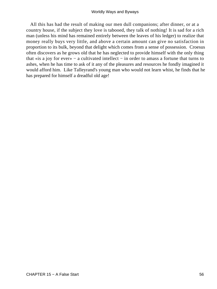All this has had the result of making our men dull companions; after dinner, or at a country house, if the subject they love is tabooed, they talk of nothing! It is sad for a rich man (unless his mind has remained entirely between the leaves of his ledger) to realize that money really buys very little, and above a certain amount can give no satisfaction in proportion to its bulk, beyond that delight which comes from a sense of possession. Croesus often discovers as he grows old that he has neglected to provide himself with the only thing that «is a joy for ever» − a cultivated intellect − in order to amass a fortune that turns to ashes, when he has time to ask of it any of the pleasures and resources he fondly imagined it would afford him. Like Talleyrand's young man who would not learn whist, he finds that he has prepared for himself a dreadful old age!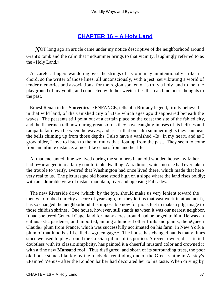# **[CHAPTER 16 − A Holy Land](#page-143-0)**

*N*OT long ago an article came under my notice descriptive of the neighborhood around Grant's tomb and the calm that midsummer brings to that vicinity, laughingly referred to as the «Holy Land.»

 As careless fingers wandering over the strings of a violin may unintentionally strike a chord, so the writer of those lines, all unconsciously, with a jest, set vibrating a world of tender memories and associations; for the region spoken of is truly a holy land to me, the playground of my youth, and connected with the sweetest ties that can bind one's thoughts to the past.

 Ernest Renan in his **Souvenirs** D'ENFANCE, tells of a Brittany legend, firmly believed in that wild land, of the vanished city of «Is,» which ages ago disappeared beneath the waves. The peasants still point out at a certain place on the coast the site of the fabled city, and the fishermen tell how during great storms they have caught glimpses of its belfries and ramparts far down between the waves; and assert that on calm summer nights they can hear the bells chiming up from those depths. I also have a vanished «Is» in my heart, and as I grow older, I love to listen to the murmurs that float up from the past. They seem to come from an infinite distance, almost like echoes from another life.

 At that enchanted time we lived during the summers in an old wooden house my father had re−arranged into a fairly comfortable dwelling. A tradition, which no one had ever taken the trouble to verify, averred that Washington had once lived there, which made that hero very real to us. The picturesque old house stood high on a slope where the land rises boldly; with an admirable view of distant mountain, river and opposing Palisades.

 The new Riverside drive (which, by the bye, should make us very lenient toward the men who robbed our city a score of years ago, for they left us that vast work in atonement), has so changed the neighborhood it is impossible now for pious feet to make a pilgrimage to those childish shrines. One house, however, still stands as when it was our nearest neighbor. It had sheltered General Gage, land for many acres around had belonged to him. He was an enthusiastic gardener, and imported, among a hundred other fruits and plants, the «Queen Claude» plum from France, which was successfully acclimated on his farm. In New York a plum of that kind is still called a «green gage.» The house has changed hands many times since we used to play around the Grecian pillars of its portico. A recent owner, dissatisfied doubtless with its classic simplicity, has painted it a cheerful mustard color and crowned it with a fine new **Mansard** roof. Thus disfigured, and shorn of its surrounding trees, the poor old house stands blankly by the roadside, reminding one of the Greek statue in Anstey's «Painted Venus» after the London barber had decorated her to his taste. When driving by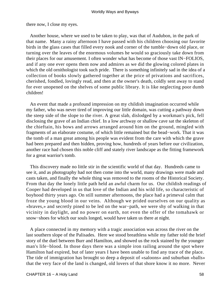there now, I close my eyes.

 Another house, where we used to be taken to play, was that of Audubon, in the park of that name. Many a rainy afternoon I have passed with his children choosing our favorite birds in the glass cases that filled every nook and corner of the tumble−down old place, or turning over the leaves of the enormous volumes he would so graciously take down from their places for our amusement. I often wonder what has become of those vast IN−FOLIOS, and if any one ever opens them now and admires as we did the glowing colored plates in which the old ornithologist took such pride. There is something infinitely sad in the idea of a collection of books slowly gathered together at the price of privations and sacrifices, cherished, fondled, lovingly read, and then at the owner's death, coldly sent away to stand for ever unopened on the shelves of some public library. It is like neglecting poor dumb children!

 An event that made a profound impression on my childish imagination occurred while my father, who was never tired of improving our little domain, was cutting a pathway down the steep side of the slope to the river. A great slab, dislodged by a workman's pick, fell disclosing the grave of an Indian chief. In a low archway or shallow cave sat the skeleton of the chieftain, his bows and arrows arranged around him on the ground, mingled with fragments of an elaborate costume, of which little remained but the bead−work. That it was the tomb of a man great among his people was evident from the care with which the grave had been prepared and then hidden, proving how, hundreds of years before our civilization, another race had chosen this noble cliff and stately river landscape as the fitting framework for a great warrior's tomb.

 This discovery made no little stir in the scientific world of that day. Hundreds came to see it, and as photography had not then come into the world, many drawings were made and casts taken, and finally the whole thing was removed to the rooms of the Historical Society. From that day the lonely little path held an awful charm for us. Our childish readings of Cooper had developed in us that love of the Indian and his wild life, so characteristic of boyhood thirty years ago. On still summer afternoons, the place had a primeval calm that froze the young blood in our veins. Although we prided ourselves on our quality as «braves,» and secretly pined to be led on the war−path, we were shy of walking in that vicinity in daylight, and no power on earth, not even the offer of the tomahawk or snow−shoes for which our souls longed, would have taken us there at night.

 A place connected in my memory with a tragic association was across the river on the last southern slope of the Palisades. Here we stood breathless while my father told the brief story of the duel between Burr and Hamilton, and showed us the rock stained by the younger man's life–blood. In those days there was a simple iron railing around the spot where Hamilton had expired, but of later years I have been unable to find any trace of the place. The tide of immigration has brought so deep a deposit of «saloons» and suburban «balls» that the very face of the land is changed, old lovers of that shore know it no more. Never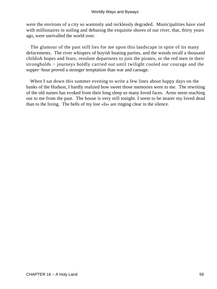were the environs of a city so wantonly and recklessly degraded. Municipalities have vied with millionaires in soiling and debasing the exquisite shores of our river, that, thirty years ago, were unrivalled the world over.

 The glamour of the past still lies for me upon this landscape in spite of its many defacements. The river whispers of boyish boating parties, and the woods recall a thousand childish hopes and fears, resolute departures to join the pirates, or the red men in their strongholds – journeys boldly carried out until twilight cooled our courage and the supper−hour proved a stronger temptation than war and carnage.

When I sat down this summer evening to write a few lines about happy days on the banks of the Hudson, I hardly realized how sweet those memories were to me. The rewriting of the old names has evoked from their long sleep so many loved faces. Arms seem reaching out to me from the past. The house is very still tonight. I seem to be nearer my loved dead than to the living. The bells of my lost «Is» are ringing clear in the silence.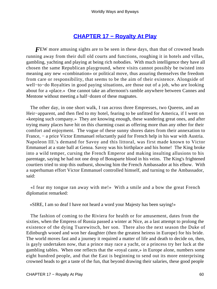# **[CHAPTER 17 − Royalty At Play](#page-143-0)**

**FEW** more amusing sights are to be seen in these days, than that of crowned heads running away from their dull old courts and functions, roughing it in hotels and villas, gambling, yachting and playing at being rich nobodies. With much intelligence they have all chosen the same Republican playground, where visits cannot possibly be twisted into meaning any new «combination» or political move, thus assuring themselves the freedom from care or responsibility, that seems to be the aim of their existence. Alongside of well−to−do Royalties in good paying situations, are those out of a job, who are looking about for a «place.» One cannot take an afternoon's ramble anywhere between Cannes and Mentone without meeting a half−dozen of these magnates.

 The other day, in one short walk, I ran across three Empresses, two Queens, and an Heir−apparent, and then fled to my hotel, fearing to be unfitted for America, if I went on «keeping such company.» They are knowing enough, these wandering great ones, and after trying many places have hit on this charming coast as offering more than any other for their comfort and enjoyment. The vogue of these sunny shores dates from their annexation to France, − a price Victor Emmanuel reluctantly paid for French help in his war with Austria. Napoleon III.'s demand for Savoy and this littoral, was first made known to Victor Emmanuel at a state ball at Genoa. Savoy was his birthplace and his home! The King broke into a wild temper, cursing the French Emperor and making insulting allusions to his parentage, saying he had not one drop of Bonaparte blood in his veins. The King's frightened courtiers tried to stop this outburst, showing him the French Ambassador at his elbow. With a superhuman effort Victor Emmanuel controlled himself, and turning to the Ambassador, said:

 «I fear my tongue ran away with me!» With a smile and a bow the great French diplomatist remarked:

«SIRE, I am so deaf I have not heard a word your Majesty has been saying!»

 The fashion of coming to the Riviera for health or for amusement, dates from the sixties, when the Empress of Russia passed a winter at Nice, as a last attempt to prolong the existence of the dying Tsarewitsch, her son. There also the next season the Duke of Edinburgh wooed and won her daughter (then the greatest heiress in Europe) for his bride. The world moves fast and a journey it required a matter of life and death to decide on, then, is gayly undertaken now, that a prince may race a yacht, or a princess try her luck at the gambling tables. When one reflects that the «royal caste,» in Europe alone, numbers some eight hundred people, and that the East is beginning to send out its more enterprising crowned heads to get a taste of the fun, that beyond drawing their salaries, these good people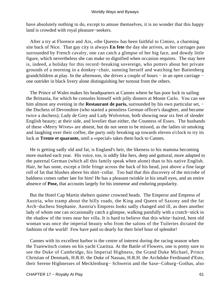have absolutely nothing to do, except to amuse themselves, it is no wonder that this happy land is crowded with royal pleasure−seekers.

 After a try at Florence and Aix, «the Queen» has been faithful to Cimiez, a charming site back of Nice. That gay city is always **En fete** the day she arrives, as her carriages pass surrounded by French cavalry, one can catch a glimpse of her big face, and dowdy little figure, which nevertheless she can make so dignified when occasion requires. The stay here is, indeed, a holiday for this record−breaking sovereign, who potters about her private grounds of a morning in a donkey−chair, sunning herself and watching her Battenberg grandchildren at play. In the afternoon, she drives a couple of hours – in an open carriage – one outrider in black livery alone distinguishing her turnout from the others.

 The Prince of Wales makes his headquarters at Cannes where he has poor luck in sailing the Brittania, for which he consoles himself with jolly dinners at Monte Carlo. You can see him almost any evening in the **Restaurant de paris,** surrounded by his own particular set, − the Duchess of Devonshire (who started a penniless German officer's daughter, and became twice a duchess); Lady de Grey and Lady Wolverton, both showing near six feet of slender English beauty; at their side, and lovelier than either, the Countess of Essex. The husbands of these «Merry Wives» are absent, but do not seem to be missed, as the ladies sit smoking and laughing over their coffee, the party only breaking up towards eleven o'clock to try its luck at **Trente et quarante,** until a «special» takes them back to Cannes.

 He is getting sadly old and fat, is England's heir, the likeness to his mamma becoming more marked each year. His voice, too, is oddly like hers, deep and guttural, more adapted to the paternal German (which all this family speak when alone) than to his native English. Hair, he has none, except a little fringe across the back of his head, just above a fine large roll of fat that blushes above his shirt−collar. Too bad that this discovery of the microbe of baldness comes rather late for him! He has a pleasant twinkle in his small eyes, and an entire absence of **Pose,** that accounts largely for his immense and enduring popularity.

 But the Hotel Cap Martin shelters quieter crowned heads. The Emperor and Empress of Austria, who tramp about the hilly roads, the King and Queen of Saxony and the fat Arch−duchess Stephanie. Austria's Empress looks sadly changed and ill, as does another lady of whom one can occasionally catch a glimpse, walking painfully with a crutch−stick in the shadow of the trees near her villa. It is hard to believe that this white−haired, bent old woman was once the imperial beauty who from the salons of the Tuileries dictated the fashions of the world! Few have paid so dearly for their brief hour of splendor!

 Cannes with its excellent harbor is the centre of interest during the racing season when the Tsarewitsch comes on his yacht Czaritza. At the Battle of Flowers, one is pretty sure to see the Duke of Cambridge, his Imperial Highness, the Grand Duke Michael, Prince Christian of Denmark, H.R.H. the Duke of Nassau, H.R.H. the Archduke Ferdinand d'Este, their Serene Highnesses of Mecklenburg− Schwerin and the Saxe−Coburg−Gothas, also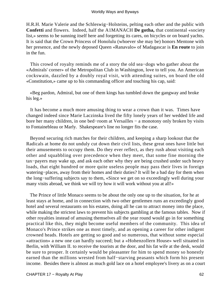H.R.H. Marie Valerie and the Schleswig−Holsteins, pelting each other and the public with **Confetti** and flowers. Indeed, half the A1MANACH **De gotha,** that continental «society list,» seems to be sunning itself here and forgetting its cares, on bicycles or on board yachts. It is said that the Crown Princess of Honolulu (whoever she may be) honors Mentone with her presence, and the newly deposed Queen «Ranavalo» of Madagascar is **En route** to join in the fun.

 This crowd of royalty reminds me of a story the old sea−dogs who gather about the «Admirals' corner» of the Metropolitan Club in Washington, love to tell you. An American cockswain, dazzled by a doubly royal visit, with attending suites, on board the old «Constitution,» came up to his commanding officer and touching his cap, said:

 «Beg pardon, Admiral, but one of them kings has tumbled down the gangway and broke his leg.»

 It has become a much more amusing thing to wear a crown than it was. Times have changed indeed since Marie Laczinska lived the fifty lonely years of her wedded life and bore her many children, in one bed−room at Versailles − a monotony only broken by visits to Fontainebleau or Marly. Shakespeare's line no longer fits the case.

 Beyond securing rich matches for their children, and keeping a sharp lookout that the Radicals at home do not unduly cut down their civil lists, these great ones have little but their amusements to occupy them. Do they ever reflect, as they rush about visiting each other and squabbling over precedence when they meet, that some fine morning the tax−payers may wake up, and ask each other why they are being crushed under such heavy loads, that eight hundred or more quite useless people may pass their lives in foreign watering−places, away from their homes and their duties? It will be a bad day for them when the long−suffering subjects say to them, «Since we get on so exceedingly well during your many visits abroad, we think we will try how it will work without you at all!»

 The Prince of little Monaco seems to be about the only one up to the situation, for he at least stays at home, and in connection with two other gentlemen runs an exceedingly good hotel and several restaurants on his estates, doing all he can to attract money into the place, while making the strictest laws to prevent his subjects gambling at the famous tables. Now if other royalties instead of amusing themselves all the year round would go in for something practical like this, they might become useful members of the community. This idea of Monaco's Prince strikes one as most timely, and as opening a career for other indigent crowned heads. Hotels are getting so good and so numerous, that without some especial «attraction» a new one can hardly succeed; but a «Hohenzollern House» well situated in Berlin, with William II. to receive the tourists at the door, and his fat wife at the desk, would be sure to prosper. It certainly would be pleasanter for him to spend money so honestly earned than the millions wrested from half−starving peasants which form his present income. Besides there is almost as much gold lace on a hotel employee's livery as on a court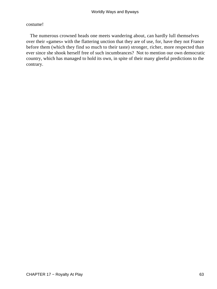### costume!

 The numerous crowned heads one meets wandering about, can hardly lull themselves over their «games» with the flattering unction that they are of use, for, have they not France before them (which they find so much to their taste) stronger, richer, more respected than ever since she shook herself free of such incumbrances? Not to mention our own democratic country, which has managed to hold its own, in spite of their many gleeful predictions to the contrary.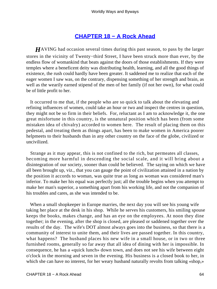# **[CHAPTER 18 − A Rock Ahead](#page-143-0)**

*H*AVING had occasion several times during this past season, to pass by the larger stores in the vicinity of Twenty−third Street, I have been struck more than ever, by the endless flow of womankind that beats against the doors of those establishments. If they were temples where a beneficent deity was distributing health, learning, and all the good things of existence, the rush could hardly have been greater. It saddened me to realize that each of the eager women I saw was, on the contrary, dispensing something of her strength and brain, as well as the wearily earned stipend of the men of her family (if not her own), for what could be of little profit to her.

 It occurred to me that, if the people who are so quick to talk about the elevating and refining influences of women, could take an hour or two and inspect the centres in question, they might not be so firm in their beliefs. For, reluctant as I am to acknowledge it, the one great misfortune in this country, is the unnatural position which has been (from some mistaken idea of chivalry) accorded to women here. The result of placing them on this pedestal, and treating them as things apart, has been to make women in America poorer helpmeets to their husbands than in any other country on the face of the globe, civilized or uncivilized.

 Strange as it may appear, this is not confined to the rich, but permeates all classes, becoming more harmful in descending the social scale, and it will bring about a disintegration of our society, sooner than could be believed. The saying on which we have all been brought up, viz., that you can gauge the point of civilization attained in a nation by the position it accords to woman, was quite true as long as woman was considered man's inferior. To make her his equal was perfectly just; all the trouble begins when you attempt to make her man's superior, a something apart from his working life, and not the companion of his troubles and cares, as she was intended to be.

 When a small shopkeeper in Europe marries, the next day you will see his young wife taking her place at the desk in his shop. While he serves his customers, his smiling spouse keeps the books, makes change, and has an eye on the employees. At noon they dine together; in the evening, after the shop is closed, are pleased or saddened together over the results of the day. The wife's DOT almost always goes into the business, so that there is a community of interest to unite them, and their lives are passed together. In this country, what happens? The husband places his new wife in a small house, or in two or three furnished rooms, generally so far away that all idea of dining with her is impossible. In consequence, he has a «quick lunch» down town, and does not see his wife between eight o'clock in the morning and seven in the evening. His business is a closed book to her, in which she can have no interest, for her weary husband naturally revolts from talking «shop,»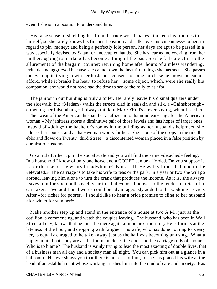even if she is in a position to understand him.

 His false sense of shielding her from the rude world makes him keep his troubles to himself, so she rarely knows his financial position and sulks over his «meanness» to her, in regard to pin−money; and being a perfectly idle person, her days are apt to be passed in a way especially devised by Satan for unoccupied hands. She has learned no cooking from her mother; «going to market» has become a thing of the past. So she falls a victim to the allurements of the bargain−counter; returning home after hours of aimless wandering, irritable and aggrieved because she cannot own the beautiful things she has seen. She passes the evening in trying to win her husband's consent to some purchase he knows he cannot afford, while it breaks his heart to refuse her − some object, which, were she really his companion, she would not have had the time to see or the folly to ask for.

 The janitor in our building is truly a toiler. He rarely leaves his dismal quarters under the sidewalk, but «Madam» walks the streets clad in sealskin and silk, a «Gainsborough» crowning her false «bang.» I always think of Max O'Rell's clever saying, when I see her: «The sweat of the American husband crystallizes into diamond ear−rings for the American woman.» My janitress sports a diminutive pair of those jewels and has hopes of larger ones! Instead of «doing» the bachelor's rooms in the building as her husband's helpmeet, she «does» her spouse, and a char−woman works for her. She is one of the drops in the tide that ebbs and flows on Twenty−third Street − a discontented woman placed in a false position by our absurd customs.

 Go a little further up in the social scale and you will find the same «detached» feeling. In a household I know of only one horse and a COUPE can be afforded. Do you suppose it is for the use of the weary breadwinner? Not at all. He walks from his home to the «elevated.» The carriage is to take his wife to teas or the park. In a year or two she will go abroad, leaving him alone to turn the crank that produces the income. As it is, she always leaves him for six months each year in a half−closed house, to the tender mercies of a caretaker. Two additional words could be advantageously added to the wedding service. After «for richer for poorer,» I should like to hear a bride promise to cling to her husband «for winter for summer!»

 Make another step up and stand in the entrance of a house at two A.M., just as the cotillion is commencing, and watch the couples leaving. The husband, who has been in Wall Street all day, knows that he must be there again at nine next morning. He is furious at the lateness of the hour, and dropping with fatigue. His wife, who has done nothing to weary her, is equally enraged to be taken away just as the ball was becoming amusing. What a happy, united pair they are as the footman closes the door and the carriage rolls off home! Who is to blame? The husband is vainly trying to lead the most exacting of double lives, that of a business man all day and a society man all night. You can pick him out at a glance in a ballroom. His eye shows you that there is no rest for him, for he has placed his wife at the head of an establishment whose working crushes him into the mud of care and anxiety. Has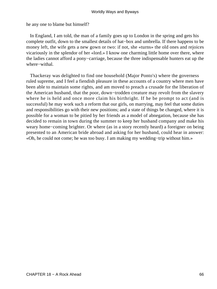he any one to blame but himself?

 In England, I am told, the man of a family goes up to London in the spring and gets his complete outfit, down to the smallest details of hat−box and umbrella. If there happens to be money left, the wife gets a new gown or two: if not, she «turns» the old ones and rejoices vicariously in the splendor of her «lord.» I know one charming little home over there, where the ladies cannot afford a pony−carriage, because the three indispensable hunters eat up the where−withal.

 Thackeray was delighted to find one household (Major Ponto's) where the governess ruled supreme, and I feel a fiendish pleasure in these accounts of a country where men have been able to maintain some rights, and am moved to preach a crusade for the liberation of the American husband, that the poor, down−trodden creature may revolt from the slavery where he is held and once more claim his birthright. If he be prompt to act (and is successful) he may work such a reform that our girls, on marrying, may feel that some duties and responsibilities go with their new positions; and a state of things be changed, where it is possible for a woman to be pitied by her friends as a model of abnegation, because she has decided to remain in town during the summer to keep her husband company and make his weary home−coming brighter. Or where (as in a story recently heard) a foreigner on being presented to an American bride abroad and asking for her husband, could hear in answer: «Oh, he could not come; he was too busy. I am making my wedding−trip without him.»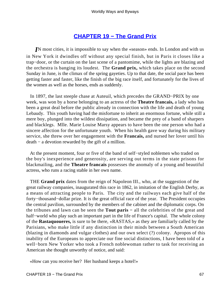# **[CHAPTER 19 − The Grand Prix](#page-143-0)**

*IN* most cities, it is impossible to say when the «season» ends. In London and with us in New York it dwindles off without any special finish, but in Paris it closes like a trap−door, or the curtain on the last scene of a pantomime, while the lights are blazing and the orchestra is banging its loudest. The **Grand prix,** which takes place on the second Sunday in June, is the climax of the spring gayeties. Up to that date, the social pace has been getting faster and faster, like the finish of the big race itself, and fortunately for the lives of the women as well as the horses, ends as suddenly.

 In 1897, the last steeple chase at Auteuil, which precedes the GRAND−PRIX by one week, was won by a horse belonging to an actress of the **Theatre francais,** a lady who has been a great deal before the public already in connection with the life and death of young Lebaudy. This youth having had the misfortune to inherit an enormous fortune, while still a mere boy, plunged into the wildest dissipation, and became the prey of a band of sharpers and blacklegs. Mlle. Marie Louise Marsy appears to have been the one person who had a sincere affection for the unfortunate youth. When his health gave way during his military service, she threw over her engagement with the **Francais,** and nursed her lover until his death − a devotion rewarded by the gift of a million.

 At the present moment, four or five of the band of self−styled noblemen who traded on the boy's inexperience and generosity, are serving out terms in the state prisons for blackmailing, and the **Theatre francais** possesses the anomaly of a young and beautiful actress, who runs a racing stable in her own name.

 THE **Grand prix** dates from the reign of Napoleon III., who, at the suggestion of the great railway companies, inaugurated this race in 1862, in imitation of the English Derby, as a means of attracting people to Paris. The city and the railways each give half of the forty−thousand−dollar prize. It is the great official race of the year. The President occupies the central pavilion, surrounded by the members of the cabinet and the diplomatic corps. On the tribunes and lawn can be seen the **Tout paris −** all the celebrities of the great and half−world who play such an important part in the life of France's capital. The whole colony of the **Rastaquoueres,** is sure to be there, «RASTAS,» as they are familiarly called by the Parisians, who make little if any distinction in their minds between a South American (blazing in diamonds and vulgar clothes) and our own select (?) colony. Apropos of this inability of the Europeans to appreciate our fine social distinctions, I have been told of a well−born New Yorker who took a French noblewoman rather to task for receiving an American she thought unworthy of notice, and said:

«How can you receive her? Her husband keeps a hotel!»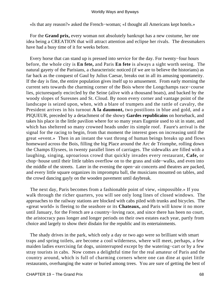«Is that any reason?» asked the French−woman; «I thought all Americans kept hotels.»

 For the **Grand prix,** every woman not absolutely bankrupt has a new costume, her one idea being a CREATION that will attract attention and eclipse her rivals. The dressmakers have had a busy time of it for weeks before.

 Every horse that can stand up is pressed into service for the day. For twenty−four hours before, the whole city is **En fete,** and Paris **En fete** is always a sight worth seeing. The natural gayety of the Parisians, a characteristic noticed (if we are to believe the historians) as far back as the conquest of Gaul by Julius Caesar, breaks out in all its amusing spontaneity. If the day is fine, the entire population gives itself up to amusement. From early morning the current sets towards the charming corner of the Bois where the Longchamps race−course lies, picturesquely encircled by the Seine (alive with a thousand boats), and backed by the woody slopes of Suresnes and St. Cloud. By noon every corner and vantage point of the landscape is seized upon, when, with a blare of trumpets and the rattle of cavalry, the President arrives in his turnout **A la daumont,** two postilions in blue and gold, and a PIQUEUR, preceded by a detachment of the showy **Gardes republicains** on horseback, and takes his place in the little pavilion where for so many years Eugenie used to sit in state, and which has sheltered so many crowned heads under its simple roof. Faure's arrival is the signal for the racing to begin, from that moment the interest goes on increasing until the great «event.» Then in an instant the vast throng of human beings breaks up and flows homeward across the Bois, filling the big Place around the Arc de Triomphe, rolling down the Champs Elysees, in twenty parallel lines of carriages. The sidewalks are filled with a laughing, singing, uproarious crowd that quickly invades every restaurant, **Cafe,** or chop−house until their little tables overflow on to the grass and side−walks, and even into the middle of the streets. Later in the evening the open−air concerts and theatres are packed, and every little square organizes its impromptu ball, the musicians mounted on tables, and the crowd dancing gayly on the wooden pavement until daybreak.

 The next day, Paris becomes from a fashionable point of view, «impossible.» If you walk through the richer quarters, you will see only long lines of closed windows. The approaches to the railway stations are blocked with cabs piled with trunks and bicycles. The «great world» is fleeing to the seashore or its **Chateaux,** and Paris will know it no more until January, for the French are a country−loving race, and since there has been no court, the aristocracy pass longer and longer periods on their own estates each year, partly from choice and largely to show their disdain for the republic and its entertainments.

 The shady drives in the park, which only a day or two ago were so brilliant with smart traps and spring toilets, are become a cool wilderness, where will meet, perhaps, a few maiden ladies exercising fat dogs, uninterrupted except by the watering−cart or by a few stray tourists in cabs. Now comes a delightful time for the real amateur of Paris and the country around, which is full of charming corners where one can dine at quiet little restaurants, overhanging the water or buried among trees. You are sure of getting the best of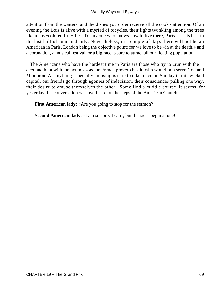attention from the waiters, and the dishes you order receive all the cook's attention. Of an evening the Bois is alive with a myriad of bicycles, their lights twinkling among the trees like many−colored fire−flies. To any one who knows how to live there, Paris is at its best in the last half of June and July. Nevertheless, in a couple of days there will not be an American in Paris, London being the objective point; for we love to be «in at the death,» and a coronation, a musical festival, or a big race is sure to attract all our floating population.

 The Americans who have the hardest time in Paris are those who try to «run with the deer and hunt with the hounds,» as the French proverb has it, who would fain serve God and Mammon. As anything especially amusing is sure to take place on Sunday in this wicked capital, our friends go through agonies of indecision, their consciences pulling one way, their desire to amuse themselves the other. Some find a middle course, it seems, for yesterday this conversation was overheard on the steps of the American Church:

**First American lady:** «Are you going to stop for the sermon?»

**Second American lady:** «I am so sorry I can't, but the races begin at one!»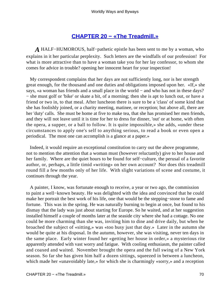## **[CHAPTER 20 − «The Treadmill.»](#page-144-0)**

*A* HALF−HUMOROUS, half−pathetic epistle has been sent to me by a woman, who explains in it her particular perplexity. Such letters are the windfalls of our profession! For what is more attractive than to have a woman take you for her lay confessor, to whom she comes for advice in trouble? opening her innocent heart for your inspection!

 My correspondent complains that her days are not sufficiently long, nor is her strength great enough, for the thousand and one duties and obligations imposed upon her. «If,» she says, «a woman has friends and a small place in the world – and who has not in these days? − she must golf or 'bike' or skate a bit, of a morning; then she is apt to lunch out, or have a friend or two in, to that meal. After luncheon there is sure to be a 'class' of some kind that she has foolishly joined, or a charity meeting, matinee, or reception; but above all, there are her 'duty' calls. She must be home at five to make tea, that she has promised her men friends, and they will not leave until it is time for her to dress for dinner, 'out' or at home, with often the opera, a supper, or a ball to follow. It is quite impossible,» she adds, «under these circumstances to apply one's self to anything serious, to read a book or even open a periodical. The most one can accomplish is a glance at a paper.»

 Indeed, it would require an exceptional constitution to carry out the above programme, not to mention the attention that a woman must (however reluctantly) give to her house and her family. Where are the quiet hours to be found for self−culture, the perusal of a favorite author, or, perhaps, a little timid «writing» on her own account? Nor does this treadmill round fill a few months only of her life. With slight variations of scene and costume, it continues through the year.

 A painter, I know, was fortunate enough to receive, a year or two ago, the commission to paint a well−known beauty. He was delighted with the idea and convinced that he could make her portrait the best work of his life, one that would be the stepping−stone to fame and fortune. This was in the spring. He was naturally burning to begin at once, but found to his dismay that the lady was just about starting for Europe. So he waited, and at her suggestion installed himself a couple of months later at the seaside city where she had a cottage. No one could be more charming than she was, inviting him to dine and drive daily, but when he broached the subject of «sitting,» was «too busy just that day.» Later in the autumn she would be quite at his disposal. In the autumn, however, she was visiting, never ten days in the same place. Early winter found her «getting her house in order,» a mysterious rite apparently attended with vast worry and fatigue. With cooling enthusiasm, the painter called and coaxed and waited. November brought the opera and the full swing of a New York season. So far she has given him half a dozen sittings, squeezed in between a luncheon, which made her «unavoidably late,» for which she is charmingly «sorry,» and a reception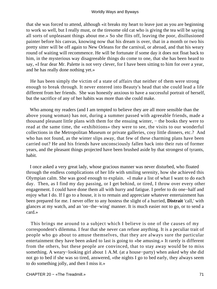that she was forced to attend, although «it breaks my heart to leave just as you are beginning to work so well, but I really must, or the tiresome old cat who is giving the tea will be saying all sorts of unpleasant things about me.» So she flits off, leaving the poor, disillusioned painter before his canvas, knowing now that his dream is over, that in a month or two his pretty sitter will be off again to New Orleans for the carnival, or abroad, and that his weary round of waiting will recommence. He will be fortunate if some day it does not float back to him, in the mysterious way disagreeable things do come to one, that she has been heard to say, «I fear dear Mr. Palette is not very clever, for I have been sitting to him for over a year, and he has really done nothing yet.»

 He has been simply the victim of a state of affairs that neither of them were strong enough to break through. It never entered into Beauty's head that she could lead a life different from her friends. She was honestly anxious to have a successful portrait of herself, but the sacrifice of any of her habits was more than she could make.

 Who among my readers (and I am tempted to believe they are all more sensible than the above young woman) has not, during a summer passed with agreeable friends, made a thousand pleasant little plans with them for the ensuing winter, − the books they were to read at the same time, the «exhibitions» they were to see, the visits to our wonderful collections in the Metropolitan Museum or private galleries, cosy little dinners, etc.? And who has not found, as the winter slips away, that few of these charming plans have been carried out? He and his friends have unconsciously fallen back into their ruts of former years, and the pleasant things projected have been brushed aside by that strongest of tyrants, habit.

 I once asked a very great lady, whose gracious manner was never disturbed, who floated through the endless complications of her life with smiling serenity, how she achieved this Olympian calm. She was good enough to explain. «I make a list of what I want to do each day. Then, as I find my day passing, or I get behind, or tired, I throw over every other engagement. I could have done them all with hurry and fatigue. I prefer to do one−half and enjoy what I do. If I go to a house, it is to remain and appreciate whatever entertainment has been prepared for me. I never offer to any hostess the slight of a hurried, **Distrait** 'call,' with glances at my watch, and an 'on−the−wing' manner. It is much easier not to go, or to send a card.»

 This brings me around to a subject which I believe is one of the causes of my correspondent's dilemma. I fear that she never can refuse anything. It is a peculiar trait of people who go about to amuse themselves, that they are always sure the particular entertainment they have been asked to last is going to «be amusing.» It rarely is different from the others, but these people are convinced, that to stay away would be to miss something. A weary−looking girl about 1 A.M. (at a house−party) when asked why she did not go to bed if she was so tired, answered, «the nights I go to bed early, they always seem to do something jolly, and then I miss it.»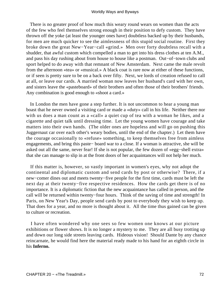There is no greater proof of how much this weary round wears on women than the acts of the few who feel themselves strong enough in their position to defy custom. They have thrown off the yoke (at least the younger ones have) doubtless backed up by their husbands, for men are much quicker to see the aimlessness of this stupid social routine. First they broke down the great New−Year−call «grind.» Men over forty doubtless recall with a shudder, that awful custom which compelled a man to get into his dress clothes at ten A.M., and pass his day rushing about from house to house like a postman. Out−of−town clubs and sport helped to do away with that remnant of New Amsterdam. Next came the male revolt from the afternoon «tea» or «musical.» A black coat is rare now at either of these functions, or if seen is pretty sure to be on a back over fifty. Next, we lords of creation refused to call at all, or leave our cards. A married woman now leaves her husband's card with her own, and sisters leave the «pasteboard» of their brothers and often those of their brothers' friends. Any combination is good enough to «shoot a card.»

 In London the men have gone a step further. It is not uncommon to hear a young man boast that he never owned a visiting card or made a «duty» call in his life. Neither there nor with us does a man count as a «call» a quiet cup of tea with a woman he likes, and a cigarette and quiet talk until dressing time. Let the young women have courage and take matters into their own hands. (The older ones are hopeless and will go on pushing this Juggernaut car over each other's weary bodies, until the end of the chapter.) Let them have the courage occasionally to «refuse» something, to keep themselves free from aimless engagements, and bring this paste− board war to a close. If a woman is attractive, she will be asked out all the same, never fear! If she is not popular, the few dozen of «egg−shell extra» that she can manage to slip in at the front doors of her acquaintances will not help her much.

 If this matter is, however, so vastly important in women's eyes, why not adopt the continental and diplomatic custom and send cards by post or otherwise? There, if a new−comer dines out and meets twenty−five people for the first time, cards must be left the next day at their twenty−five respective residences. How the cards get there is of no importance. It is a diplomatic fiction that the new acquaintance has called in person, and the call will be returned within twenty−four hours. Think of the saving of time and strength! In Paris, on New Year's Day, people send cards by post to everybody they wish to keep up. That does for a year, and no more is thought about it. All the time thus gained can be given to culture or recreation.

 I have often wondered why one sees so few women one knows at our picture exhibitions or flower shows. It is no longer a mystery to me. They are all busy trotting up and down our long side streets leaving cards. Hideous vision! Should Dante by any chance reincarnate, he would find here the material ready made to his hand for an eighth circle in his **Inferno.**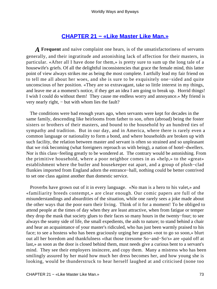## **[CHAPTER 21 − «Like Master Like Man.»](#page-144-0)**

*A* **Frequent** and naive complaint one hears, is of the unsatisfactoriness of servants generally, and their ingratitude and astonishing lack of affection for their masters, in particular. «After all I have done for them,» is pretty sure to sum up the long tale of a housewife's griefs. Of all the delightful inconsistencies that grace the female mind, this latter point of view always strikes me as being the most complete. I artfully lead my fair friend on to tell me all about her woes, and she is sure to be exquisitely one−sided and quite unconscious of her position. «They are so extravagant, take so little interest in my things, and leave me at a moment's notice, if they get an idea I am going to break up. Horrid things! I wish I could do without them! They cause me endless worry and annoyance.» My friend is very nearly right, − but with whom lies the fault?

 The conditions were bad enough years ago, when servants were kept for decades in the same family, descending like heirlooms from father to son, often (abroad) being the foster sisters or brothers of their masters, and bound to the household by an hundred ties of sympathy and tradition. But in our day, and in America, where there is rarely even a common language or nationality to form a bond, and where households are broken up with such facility, the relation between master and servant is often so strained and so unpleasant that we risk becoming (what foreigners reproach us with being), a nation of hotel−dwellers. Nor is this class−feeling greatly to be wondered at. The contrary would be astonishing. From the primitive household, where a poor neighbor comes in as «help,» to the «great» establishment where the butler and housekeeper eat apart, and a group of plush−clad flunkies imported from England adorn the entrance−hall, nothing could be better contrived to set one class against another than domestic service.

 Proverbs have grown out of it in every language. «No man is a hero to his valet,» and «familiarity breeds contempt,» are clear enough. Our comic papers are full of the misunderstandings and absurdities of the situation, while one rarely sees a joke made about the other ways that the poor earn their living. Think of it for a moment! To be obliged to attend people at the times of day when they are least attractive, when from fatigue or temper they drop the mask that society glues to their faces so many hours in the twenty−four; to see always the seamy side of life, the small expedients, the aids to nature; to stand behind a chair and hear an acquaintance of your master's ridiculed, who has just been warmly praised to his face; to see a hostess who has been graciously urging her guests «not to go so soon,» blurt out all her boredom and thankfulness «that those tiresome So−and−So's» are «paid off at last,» as soon as the door is closed behind them, must needs give a curious bent to a servant's mind. They see their employers insincere, and copy them. Many a mistress who has been smilingly assured by her maid how much her dress becomes her, and how young she is looking, would be thunderstruck to hear herself laughed at and criticised (none too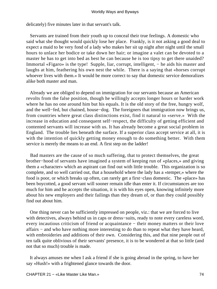delicately) five minutes later in that servant's talk.

 Servants are trained from their youth up to conceal their true feelings. A domestic who said what she thought would quickly lose her place. Frankly, is it not asking a good deal to expect a maid to be very fond of a lady who makes her sit up night after night until the small hours to unlace her bodice or take down her hair; or imagine a valet can be devoted to a master he has to get into bed as best he can because he is too tipsy to get there unaided? Immortal «Figaro» is the type! Supple, liar, corrupt, intelligent, − he aids his master and laughs at him, feathering his own nest the while. There is a saying that «horses corrupt whoever lives with them.» It would be more correct to say that domestic service demoralizes alike both master and man.

 Already we are obliged to depend on immigration for our servants because an American revolts from the false position, though he willingly accepts longer hours or harder work where he has no one around him but his equals. It is the old story of the free, hungry wolf, and the well−fed, but chained, house−dog. The foreigners that immigration now brings us, from countries where great class distinctions exist, find it natural to «serve.» With the increase in education and consequent self−respect, the difficulty of getting efficient and contented servants will increase with us. It has already become a great social problem in England. The trouble lies beneath the surface. If a superior class accept service at all, it is with the intention of quickly getting money enough to do something better. With them service is merely the means to an end. A first step on the ladder!

 Bad masters are the cause of so much suffering, that to protect themselves, the great brother−hood of servants have imagined a system of keeping run of «places,» and giving them a «character» which an aspirant can find out with little trouble. This organization is so complete, and so well carried out, that a household where the lady has a «temper,» where the food is poor, or which breaks up often, can rarely get a first−class domestic. The «place» has been boycotted, a good servant will sooner remain idle than enter it. If circumstances are too much for him and he accepts the situation, it is with his eyes open, knowing infinitely more about his new employers and their failings than they dream of, or than they could possibly find out about him.

 One thing never can be sufficiently impressed on people, viz.: that we are forced to live with detectives, always behind us in caps or dress−suits, ready to note every careless word, every incautious criticism of friend or acquaintance − their money matters or their love affairs − and who have nothing more interesting to do than to repeat what they have heard, with embroideries and additions of their own. Considering this, and that nine people out of ten talk quite oblivious of their servants' presence, it is to be wondered at that so little (and not that so much) trouble is made.

 It always amuses me when I ask a friend if she is going abroad in the spring, to have her say «Hush!» with a frightened glance towards the door.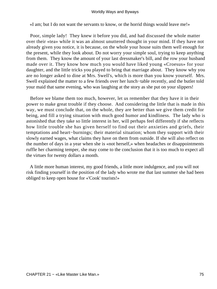«I am; but I do not want the servants to know, or the horrid things would leave me!»

 Poor, simple lady! They knew it before you did, and had discussed the whole matter over their «tea» while it was an almost unuttered thought in your mind. If they have not already given you notice, it is because, on the whole your house suits them well enough for the present, while they look about. Do not worry your simple soul, trying to keep anything from them. They know the amount of your last dressmaker's bill, and the row your husband made over it. They know how much you would have liked young «Croesus» for your daughter, and the little tricks you played to bring that marriage about. They know why you are no longer asked to dine at Mrs. Swell's, which is more than you know yourself. Mrs. Swell explained the matter to a few friends over her lunch−table recently, and the butler told your maid that same evening, who was laughing at the story as she put on your slippers!

 Before we blame them too much, however, let us remember that they have it in their power to make great trouble if they choose. And considering the little that is made in this way, we must conclude that, on the whole, they are better than we give them credit for being, and fill a trying situation with much good humor and kindliness. The lady who is astonished that they take so little interest in her, will perhaps feel differently if she reflects how little trouble she has given herself to find out their anxieties and griefs, their temptations and heart−burnings; their material situation; whom they support with their slowly earned wages, what claims they have on them from outside. If she will also reflect on the number of days in a year when she is «not herself,» when headaches or disappointments ruffle her charming temper, she may come to the conclusion that it is too much to expect all the virtues for twenty dollars a month.

 A little more human interest, my good friends, a little more indulgence, and you will not risk finding yourself in the position of the lady who wrote me that last summer she had been obliged to keep open house for «'Cook' tourists!»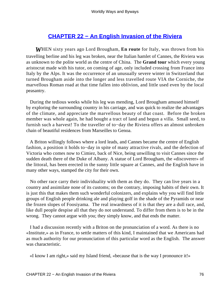# **[CHAPTER 22 − An English Invasion of the Riviera](#page-144-0)**

*W*HEN sixty years ago Lord Brougham, **En route** for Italy, was thrown from his travelling berline and his leg was broken, near the Italian hamlet of Cannes, the Riviera was as unknown to the polite world as the centre of China. The **Grand tour** which every young aristocrat made with his tutor, on coming of age, only included crossing from France into Italy by the Alps. It was the occurrence of an unusually severe winter in Switzerland that turned Brougham aside into the longer and less travelled route VIA the Corniche, the marvellous Roman road at that time fallen into oblivion, and little used even by the local peasantry.

 During the tedious weeks while his leg was mending, Lord Brougham amused himself by exploring the surrounding country in his carriage, and was quick to realize the advantages of the climate, and appreciate the marvellous beauty of that coast. Before the broken member was whole again, he had bought a tract of land and begun a villa. Small seed, to furnish such a harvest! To the traveller of to−day the Riviera offers an almost unbroken chain of beautiful residences from Marseilles to Genoa.

 A Briton willingly follows where a lord leads, and Cannes became the centre of English fashion, a position it holds to−day in spite of many attractive rivals, and the defection of Victoria who comes now to Cimiez, back of Nice, being unwilling to visit Cannes since the sudden death there of the Duke of Albany. A statue of Lord Brougham, the «discoverer» of the littoral, has been erected in the sunny little square at Cannes, and the English have in many other ways, stamped the city for their own.

 No other race carry their individuality with them as they do. They can live years in a country and assimilate none of its customs; on the contrary, imposing habits of their own. It is just this that makes them such wonderful colonizers, and explains why you will find little groups of English people drinking ale and playing golf in the shade of the Pyramids or near the frozen slopes of Foosiyama. The real inwardness of it is that they are a dull race, and, like dull people despise all that they do not understand. To differ from them is to be in the wrong. They cannot argue with you; they simply know, and that ends the matter.

 I had a discussion recently with a Briton on the pronunciation of a word. As there is no «Institute,» as in France, to settle matters of this kind, I maintained that we Americans had as much authority for our pronunciation of this particular word as the English. The answer was characteristic.

«I know I am right,» said my Island friend, «because that is the way I pronounce it!»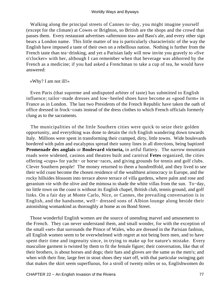Walking along the principal streets of Cannes to−day, you might imagine yourself (except for the climate) at Cowes or Brighton, so British are the shops and the crowd that passes them. Every restaurant advertises «afternoon tea» and Bass's ale, and every other sign bears a London name. This little matter of tea is particularly characteristic of the way the English have imposed a taste of their own on a rebellious nation. Nothing is further from the French taste than tea−drinking, and yet a Parisian lady will now invite you gravely to «five o'clocker» with her, although I can remember when that beverage was abhorred by the French as a medicine; if you had asked a Frenchman to take a cup of tea, he would have answered:

«Why? I am not ill!»

 Even Paris (that supreme and undisputed arbiter of taste) has submitted to English influence; tailor−made dresses and low−heeled shoes have become as «good form» in France as in London. The last two Presidents of the French Republic have taken the oath of office dressed in frock−coats instead of the dress clothes to which French officials formerly clung as to the sacraments.

 The municipalities of the little Southern cities were quick to seize their golden opportunity, and everything was done to detain the rich English wandering down towards Italy. Millions were spent in transforming their cramped, dirty, little towns. Wide boulevards bordered with palm and eucalyptus spread their sunny lines in all directions, being baptized **Promenade des anglais** or **Boulevard victoria,** in artful flattery. The narrow mountain roads were widened, casinos and theatres built and carnival **Fetes** organized, the cities offering «cups» for yacht− or horse−races, and giving grounds for tennis and golf clubs. Clever Southern people! The money returned to them a hundredfold, and they lived to see their wild coast become the chosen residence of the wealthiest aristocracy in Europe, and the rocky hillsides blossom into terrace above terrace of villa gardens, where palm and rose and geranium vie with the olive and the mimosa to shade the white villas from the sun. To−day, no little town on the coast is without its English chapel, British club, tennis ground, and golf links. On a fair day at Monte Carlo, Nice, or Cannes, the prevailing conversation is in English, and the handsome, well− dressed sons of Albion lounge along beside their astonishing womankind as thoroughly at home as on Bond Street.

 Those wonderful English women are the source of unending marvel and amusement to the French. They can never understand them, and small wonder, for with the exception of the small «set» that surrounds the Prince of Wales, who are dressed in the Parisian fashion, all English women seem to be overwhelmed with regret at not being born men, and to have spent their time and ingenuity since, in trying to make up for nature's mistake. Every masculine garment is twisted by them to fit the female figure; their conversation, like that of their brothers, is about horses and dogs; their hats and gloves are the same as the men's; and when with their fine, large feet in stout shoes they start off, with that particular swinging gait that makes the skirt seem superfluous, for a stroll of twenty miles or so, Englishwomen do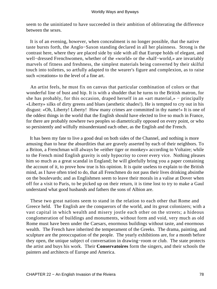seem to the uninitiated to have succeeded in their ambition of obliterating the difference between the sexes.

 It is of an evening, however, when concealment is no longer possible, that the native taste bursts forth, the Anglo−Saxon standing declared in all her plainness. Strong is the contrast here, where they are placed side by side with all that Europe holds of elegant, and well−dressed Frenchwomen, whether of the «world» or the «half−world,» are invariably marvels of fitness and freshness, the simplest materials being converted by their skilful touch into toilettes, so artfully adapted to the wearer's figure and complexion, as to raise such «creations» to the level of a fine art.

 An artist feels, he must fix on canvas that particular combination of colors or that wonderful line of bust and hip. It is with a shudder that he turns to the British matron, for she has probably, for this occasion, draped herself in an «art material,» – principally «Liberty» silks of dirty greens and blues (aesthetic shades!). He is tempted to cry out in his disgust: «Oh, Liberty! Liberty! How many crimes are committed in thy name!» It is one of the oddest things in the world that the English should have elected to live so much in France, for there are probably nowhere two peoples so diametrically opposed on every point, or who so persistently and wilfully misunderstand each other, as the English and the French.

 It has been my fate to live a good deal on both sides of the Channel, and nothing is more amusing than to hear the absurdities that are gravely asserted by each of their neighbors. To a Briton, a Frenchman will always be «either tiger or monkey» according to Voltaire; while to the French mind English gravity is only hypocrisy to cover every vice. Nothing pleases him so much as a great scandal in England; he will gleefully bring you a paper containing the account of it, to prove how true is his opinion. It is quite useless to explain to the British mind, as I have often tried to do, that all Frenchmen do not pass their lives drinking absinthe on the boulevards; and as Englishmen seem to leave their morals in a valise at Dover when off for a visit to Paris, to be picked up on their return, it is time lost to try to make a Gaul understand what good husbands and fathers the sons of Albion are.

 These two great nations seem to stand in the relation to each other that Rome and Greece held. The English are the conquerors of the world, and its great colonizers; with a vast capital in which wealth and misery jostle each other on the streets; a hideous conglomeration of buildings and monuments, without form and void, very much as old Rome must have been under the Caesars, enormous buildings without taste, and enormous wealth. The French have inherited the temperament of the Greeks. The drama, painting, and sculpture are the preoccupation of the people. The yearly exhibitions are, for a month before they open, the unique subject of conversation in drawing−room or club. The state protects the artist and buys his work. Their **Conservatoires** form the singers, and their schools the painters and architects of Europe and America.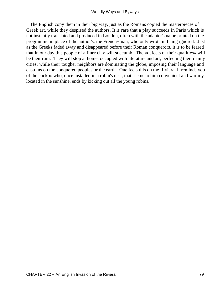The English copy them in their big way, just as the Romans copied the masterpieces of Greek art, while they despised the authors. It is rare that a play succeeds in Paris which is not instantly translated and produced in London, often with the adapter's name printed on the programme in place of the author's, the French−man, who only wrote it, being ignored. Just as the Greeks faded away and disappeared before their Roman conquerors, it is to be feared that in our day this people of a finer clay will succumb. The «defects of their qualities» will be their ruin. They will stop at home, occupied with literature and art, perfecting their dainty cities; while their tougher neighbors are dominating the globe, imposing their language and customs on the conquered peoples or the earth. One feels this on the Riviera. It reminds you of the cuckoo who, once installed in a robin's nest, that seems to him convenient and warmly located in the sunshine, ends by kicking out all the young robins.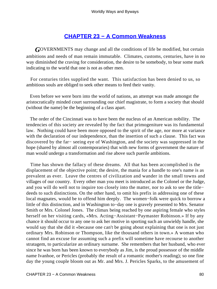## **[CHAPTER 23 − A Common Weakness](#page-144-0)**

*G*OVERNMENTS may change and all the conditions of life be modified, but certain ambitions and needs of man remain immutable. Climates, customs, centuries, have in no way diminished the craving for consideration, the desire to be somebody, to bear some mark indicating to the world that one is not as other men.

 For centuries titles supplied the want. This satisfaction has been denied to us, so ambitious souls are obliged to seek other means to feed their vanity.

 Even before we were born into the world of nations, an attempt was made amongst the aristocratically minded court surrounding our chief magistrate, to form a society that should (without the name) be the beginning of a class apart.

 The order of the Cincinnati was to have been the nucleus of an American nobility. The tendencies of this society are revealed by the fact that primogeniture was its fundamental law. Nothing could have been more opposed to the spirit of the age, nor more at variance with the declaration of our independence, than the insertion of such a clause. This fact was discovered by the far− seeing eye of Washington, and the society was suppressed in the hope (shared by almost all contemporaries) that with new forms of government the nature of man would undergo a transformation and rise above such puerile ambitions.

 Time has shown the fallacy of these dreams. All that has been accomplished is the displacement of the objective point; the desire, the mania for a handle to one's name is as prevalent as ever. Leave the centres of civilization and wander in the small towns and villages of our country. Every other man you meet is introduced as the Colonel or the Judge, and you will do well not to inquire too closely into the matter, nor to ask to see the title− deeds to such distinctions. On the other hand, to omit his prefix in addressing one of these local magnates, would be to offend him deeply. The women−folk were quick to borrow a little of this distinction, and in Washington to−day one is gravely presented to Mrs. Senator Smith or Mrs. Colonel Jones. The climax being reached by one aspiring female who styles herself on her visiting cards, «Mrs. Acting−Assistant−Paymaster Robinson.» If by any chance it should occur to any one to ask her motive in sporting such an unwieldy handle, she would say that she did it «because one can't be going about explaining that one is not just ordinary Mrs. Robinson or Thompson, like the thousand others in town.» A woman who cannot find an excuse for assuming such a prefix will sometime have recourse to another stratagem, to particularize an ordinary surname. She remembers that her husband, who ever since he was born has been known to everybody as Jim, is the proud possessor of the middle name Ivanhoe, or Pericles (probably the result of a romantic mother's reading); so one fine day the young couple bloom out as Mr. and Mrs. J. Pericles Sparks, to the amusement of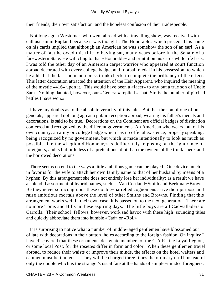their friends, their own satisfaction, and the hopeless confusion of their tradespeople.

 Not long ago a Westerner, who went abroad with a travelling show, was received with enthusiasm in England because it was thought «The Honorable» which preceded his name on his cards implied that although an American he was somehow the son of an earl. As a matter of fact he owed this title to having sat, many years before in the Senate of a far−western State. He will cling to that «Honorable» and print it on his cards while life lasts. I was told the other day of an American carpet warrior who appeared at court function abroad decorated with every college badge, and football medal in his possession, to which he added at the last moment a brass trunk check, to complete the brilliancy of the effect. This latter decoration attracted the attention of the Heir Apparent, who inquired the meaning of the mystic «416» upon it. This would have been a «facer» to any but a true son of Uncle Sam. Nothing daunted, however, our «General» replied «That, Sir, is the number of pitched battles I have won.»

 I have my doubts as to the absolute veracity of this tale. But that the son of one of our generals, appeared not long ago at a public reception abroad, wearing his father's medals and decorations, is said to be true. Decorations on the Continent are official badges of distinction conferred and recognized by the different governments. An American who wears, out of his own country, an army or college badge which has no official existence, properly speaking, being recognized by no government, but which is made intentionally to look as much as possible like the «Legion d'Honneur,» is deliberately imposing on the ignorance of foreigners, and is but little less of a pretentious idiot than the owners of the trunk check and the borrowed decorations.

 There seems no end to the ways a little ambitious game can be played. One device much in favor is for the wife to attach her own family name to that of her husband by means of a hyphen. By this arrangement she does not entirely lose her individuality; as a result we have a splendid assortment of hybrid names, such as Van Cortland−Smith and Beekman−Brown. Be they never so incongruous these double−barrelled cognomens serve their purpose and raise ambitious mortals above the level of other Smiths and Browns. Finding that this arrangement works well in their own case, it is passed on to the next generation. There are no more Toms and Bills in these aspiring days. The little boys are all Cadwalladers or Carrolls. Their school−fellows, however, work sad havoc with these high−sounding titles and quickly abbreviate them into humble «Cad» or «Rol.»

 It is surprising to notice what a number of middle−aged gentlemen have blossomed out of late with decorations in their button−holes according to the foreign fashion. On inquiry I have discovered that these ornaments designate members of the G.A.R., the Loyal Legion, or some local Post, for the rosettes differ in form and color. When these gentlemen travel abroad, to reduce their waists or improve their minds, the effects on the hotel waiters and cabmen must be immense. They will be charged three times the ordinary tariff instead of only the double which is the stranger's usual fate at the hands of simple−minded foreigners.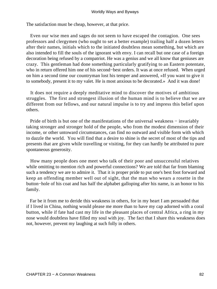The satisfaction must be cheap, however, at that price.

 Even our wise men and sages do not seem to have escaped the contagion. One sees professors and clergymen (who ought to set a better example) trailing half a dozen letters after their names, initials which to the initiated doubtless mean something, but which are also intended to fill the souls of the ignorant with envy. I can recall but one case of a foreign decoration being refused by a compatriot. He was a genius and we all know that geniuses are crazy. This gentleman had done something particularly gratifying to an Eastern potentate, who in return offered him one of his second−best orders. It was at once refused. When urged on him a second time our countryman lost his temper and answered, «If you want to give it to somebody, present it to my valet. He is most anxious to be decorated.» And it was done!

 It does not require a deeply meditative mind to discover the motives of ambitious struggles. The first and strongest illusion of the human mind is to believe that we are different from our fellows, and our natural impulse is to try and impress this belief upon others.

Pride of birth is but one of the manifestations of the universal weakness – invariably taking stronger and stronger hold of the people, who from the modest dimension of their income, or other untoward circumstances, can find no outward and visible form with which to dazzle the world. You will find that a desire to shine is the secret of most of the tips and presents that are given while travelling or visiting, for they can hardly be attributed to pure spontaneous generosity.

 How many people does one meet who talk of their poor and unsuccessful relatives while omitting to mention rich and powerful connections? We are told that far from blaming such a tendency we are to admire it. That it is proper pride to put one's best foot forward and keep an offending member well out of sight, that the man who wears a rosette in the button−hole of his coat and has half the alphabet galloping after his name, is an honor to his family.

 Far be it from me to deride this weakness in others, for in my heart I am persuaded that if I lived in China, nothing would please me more than to have my cap adorned with a coral button, while if fate had cast my life in the pleasant places of central Africa, a ring in my nose would doubtless have filled my soul with joy. The fact that I share this weakness does not, however, prevent my laughing at such folly in others.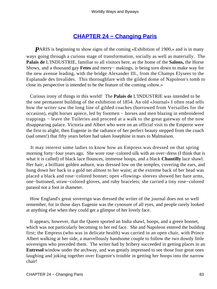# **[CHAPTER 24 − Changing Paris](#page-144-0)**

**P**ARIS is beginning to show signs of the coming «Exhibition of 1900,» and is in many ways going through a curious stage of transformation, socially as well as materially. The **Palais de** L'INDUSTRIE, familiar to all visitors here, as the home of the **Salons,** the Horse Shows, and a thousand gay **Fetes** and merry− makings, is being torn down to make way for the new avenue leading, with the bridge Alexander III., from the Champs Elysees to the Esplanade des Invalides. This thoroughfare with the gilded dome of Napoleon's tomb to close its perspective is intended to be the feature of the coming «show.»

 Curious irony of things in this world! The **Palais de** L'INDUSTRIE was intended to be the one permanent building of the exhibition of 1854. An old «Journal» I often read tells how the writer saw the long line of gilded coaches (borrowed from Versailles for the occasion), eight horses apiece, led by footmen − horses and men blazing in embroidered trappings − leave the Tuileries and proceed at a walk to the great gateway of the now disappearing palace. Victoria and Albert who were on an official visit to the Emperor were the first to alight; then Eugenie in the radiance of her perfect beauty stepped from the coach (sad omen!) that fifty years before had taken Josephine in tears to Malmaison.

 It may interest some ladies to know how an Empress was dressed on that spring morning forty−four years ago. She wore rose−colored silk with an over−dress (I think that is what it is called) of black lace flounces, immense hoops, and a black **Chantilly** lace shawl. Her hair, a brilliant golden auburn, was dressed low on the temples, covering the ears, and hung down her back in a gold net almost to her waist; at the extreme back of her head was placed a black and rose−colored bonnet; open «flowing» sleeves showed her bare arms, one−buttoned, straw−colored gloves, and ruby bracelets; she carried a tiny rose−colored parasol not a foot in diameter.

 How England's great sovereign was dressed the writer of the journal does not so well remember, for in those days Eugenie was the cynosure of all eyes, and people rarely looked at anything else when they could get a glimpse of her lovely face.

 It appears, however, that the Queen sported an India shawl, hoops, and a green bonnet, which was not particularly becoming to her red face. She and Napoleon entered the building first; the Empress (who was in delicate health) was carried in an open chair, with Prince Albert walking at her side, a marvellously handsome couple to follow the two dowdy little sovereigns who preceded them. The writer had by bribery succeeded in getting places in an **Entresol** window under the archway, and was greatly impressed to see those four great ones laughing and joking together over Eugenie's trouble in getting her hoops into the narrow chair!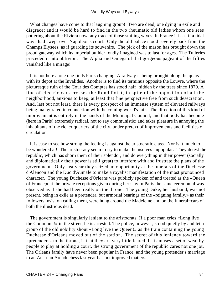What changes have come to that laughing group! Two are dead, one dying in exile and disgrace; and it would be hard to find in the two rheumatic old ladies whom one sees pottering about the Riviera now, any trace of those smiling wives. In France it is as if a tidal wave had swept over Napoleon's court. Only the old palace stood severely back from the Champs Elysees, as if guarding its souvenirs. The pick of the mason has brought down the proud gateway which its imperial builder fondly imagined was to last for ages. The Tuileries preceded it into oblivion. The Alpha and Omega of that gorgeous pageant of the fifties vanished like a mirage!

 It is not here alone one finds Paris changing. A railway is being brought along the quais with its depot at the Invalides. Another is to find its terminus opposite the Louvre, where the picturesque ruin of the Cour des Comptes has stood half−hidden by the trees since 1870. A line of electric cars crosses the Rond Point, in spite of the opposition of all the neighborhood, anxious to keep, at least that fine perspective free from such desecration. And, last but not least, there is every prospect of an immense system of elevated railways being inaugurated in connection with the coming world's fair. The direction of this kind of improvement is entirely in the hands of the Municipal Council, and that body has become (here in Paris) extremely radical, not to say communistic; and takes pleasure in annoying the inhabitants of the richer quarters of the city, under pretext of improvements and facilities of circulation.

 It is easy to see how strong the feeling is against the aristocratic class. Nor is it much to be wondered at! The aristocracy seem to try to make themselves unpopular. They detest the republic, which has shorn them of their splendor, and do everything in their power (socially and diplomatically their power is still great) to interfere with and frustrate the plans of the government. Only last year they seized an opportunity at the funerals of the Duchesse d'Alencon and the Duc d'Aumale to make a royalist manifestation of the most pronounced character. The young Duchesse d'Orleans was publicly spoken of and treated as the «Queen of France;» at the private receptions given during her stay in Paris the same ceremonial was observed as if she had been really on the throne. The young Duke, her husband, was not present, being in exile as a pretender, but armorial bearings of the «reigning family,» as their followers insist on calling them, were hung around the Madeleine and on the funeral−cars of both the illustrious dead.

 The government is singularly lenient to the aristocrats. If a poor man cries «Long live the Commune!» in the street, he is arrested. The police, however, stood quietly by and let a group of the old nobility shout «Long live the Queen!» as the train containing the young Duchesse d'Orleans moved out of the station. The secret of this leniency toward the «pretenders» to the throne, is that they are very little feared. If it amuses a set of wealthy people to play at holding a court, the strong government of the republic cares not one jot. The Orleans family have never been popular in France, and the young pretender's marriage to an Austrian Archduchess last year has not improved matters.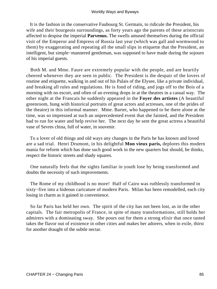It is the fashion in the conservative Faubourg St. Germain, to ridicule the President, his wife and their bourgeois surroundings, as forty years ago the parents of these aristocrats affected to despise the imperial **Parvenus.** The swells amused themselves during the official visit of the Emperor and Empress of Russia last year (which was gall and wormwood to them) by exaggerating and repeating all the small slips in etiquette that the President, an intelligent, but simple−mannered gentleman, was supposed to have made during the sojourn of his imperial guests.

 Both M. and Mme. Faure are extremely popular with the people, and are heartily cheered whenever they are seen in public. The President is the despair of the lovers of routine and etiquette, walking in and out of his Palais of the Elysee, like a private individual, and breaking all rules and regulations. He is fond of riding, and jogs off to the Bois of a morning with no escort, and often of an evening drops in at the theatres in a casual way. The other night at the Francais he suddenly appeared in the **Foyer des artistes** (A beautiful greenroom, hung with historical portraits of great actors and actresses, one of the prides of the theatre) in this informal manner. Mme. Bartet, who happened to be there alone at the time, was so impressed at such an unprecedented event that she fainted, and the President had to run for water and help revive her. The next day he sent the great actress a beautiful vase of Sevres china, full of water, in souvenir.

 To a lover of old things and old ways any changes in the Paris he has known and loved are a sad trial. Henri Drumont, in his delightful **Mon vieux paris,** deplores this modern mania for reform which has done such good work in the new quarters but should, he thinks, respect the historic streets and shady squares.

 One naturally feels that the sights familiar in youth lose by being transformed and doubts the necessity of such improvements.

 The Rome of my childhood is no more! Half of Cairo was ruthlessly transformed in sixty−five into a hideous caricature of modern Paris. Milan has been remodelled, each city losing in charm as it gained in convenience.

 So far Paris has held her own. The spirit of the city has not been lost, as in the other capitals. The fair metropolis of France, in spite of many transformations, still holds her admirers with a dominating sway. She pours out for them a strong elixir that once tasted takes the flavor out of existence in other cities and makes her adorers, when in exile, thirst for another draught of the subtle nectar.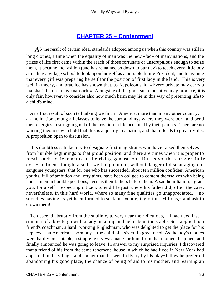### **[CHAPTER 25 − Contentment](#page-144-0)**

AS the result of certain ideal standards adopted among us when this country was still in long clothes, a time when the equality of man was the new «fad» of many nations, and the prizes of life first came within the reach of those fortunate or unscrupulous enough to seize them, it became the fashion (and has remained so down to our day) to teach every little boy attending a village school to look upon himself as a possible future President, and to assume that every girl was preparing herself for the position of first lady in the land. This is very well in theory, and practice has shown that, as Napoleon said, «Every private may carry a marshal's baton in his knapsack.» Alongside of the good such incentive may produce, it is only fair, however, to consider also how much harm may lie in this way of presenting life to a child's mind.

 As a first result of such tall talking we find in America, more than in any other country, an inclination among all classes to leave the surroundings where they were born and bend their energies to struggling out of the position in life occupied by their parents. There are not wanting theorists who hold that this is a quality in a nation, and that it leads to great results. A proposition open to discussion.

 It is doubtless satisfactory to designate first magistrates who have raised themselves from humble beginnings to that proud position, and there are times when it is proper to recall such achievements to the rising generation. But as youth is proverbially over−confident it might also be well to point out, without danger of discouraging our sanguine youngsters, that for one who has succeeded, about ten million confident American youths, full of ambition and lofty aims, have been obliged to content themselves with being honest men in humble positions, even as their fathers before them. A sad humiliation, I grant you, for a self− respecting citizen, to end life just where his father did; often the case, nevertheless, in this hard world, where so many fine qualities go unappreciated, – no societies having as yet been formed to seek out «mute, inglorious Miltons,» and ask to crown them!

To descend abruptly from the sublime, to very near the ridiculous, – I had need last summer of a boy to go with a lady on a trap and help about the stable. So I applied to a friend's coachman, a hard−working Englishman, who was delighted to get the place for his nephew − an American−born boy − the child of a sister, in great need. As the boy's clothes were hardly presentable, a simple livery was made for him; from that moment he pined, and finally announced he was going to leave. In answer to my surprised inquiries, I discovered that a friend of his from the same tenement−house in which he had lived in New York had appeared in the village, and sooner than be seen in livery by his play−fellow he preferred abandoning his good place, the chance of being of aid to his mother, and learning an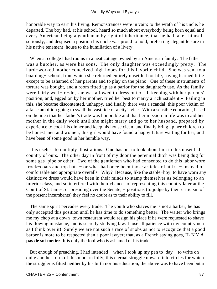honorable way to earn his living. Remonstrances were in vain; to the wrath of his uncle, he departed. The boy had, at his school, heard so much about everybody being born equal and every American being a gentleman by right of inheritance, that he had taken himself seriously, and despised a position his uncle was proud to hold, preferring elegant leisure in his native tenement−house to the humiliation of a livery.

 When at college I had rooms in a neat cottage owned by an American family. The father was a butcher, as were his sons. The only daughter was exceedingly pretty. The hard−worked mother conceived high hopes for this favorite child. She was sent to a boarding− school, from which she returned entirely unsettled for life, having learned little except to be ashamed of her parents and to play on the piano. One of these instruments of torture was bought, and a room fitted up as a parlor for the daughter's use. As the family were fairly well−to−do, she was allowed to dress out of all keeping with her parents' position, and, egged on by her mother, tried her best to marry a rich «student.» Failing in this, she became discontented, unhappy, and finally there was a scandal, this poor victim of a false ambition going to swell the vast tide of a city's vice. With a sensible education, based on the idea that her father's trade was honorable and that her mission in life was to aid her mother in the daily work until she might marry and go to her husband, prepared by experience to cook his dinner and keep his house clean, and finally bring up her children to be honest men and women, this girl would have found a happy future waiting for her, and have been of some good in her humble way.

 It is useless to multiply illustrations. One has but to look about him in this unsettled country of ours. The other day in front of my door the perennial ditch was being dug for some gas−pipe or other. Two of the gentlemen who had consented to do this labor wore frock−coats and top hats − or what had once been those articles of attire − instead of comfortable and appropriate overalls. Why? Because, like the stable−boy, to have worn any distinctive dress would have been in their minds to stamp themselves as belonging to an inferior class, and so interfered with their chances of representing this country later at the Court of St. James, or presiding over the Senate, − positions (to judge by their criticism of the present incumbents) they feel no doubt as to their ability to fill.

 The same spirit pervades every trade. The youth who shaves me is not a barber; he has only accepted this position until he has time to do something better. The waiter who brings me my chop at a down−town restaurant would resign his place if he were requested to shave his flowing mustache, and is secretly studying law. I lose all patience with my countrymen as I think over it! Surely we are not such a race of snobs as not to recognize that a good barber is more to be respected than a poor lawyer; that, as a French saying goes, IL N'Y **A pas de sot metier.** It is only the fool who is ashamed of his trade.

 But enough of preaching. I had intended − when I took up my pen to−day − to write on quite another form of this modern folly, this eternal struggle upward into circles for which the struggler is fitted neither by his birth nor his education; the above was to have been but a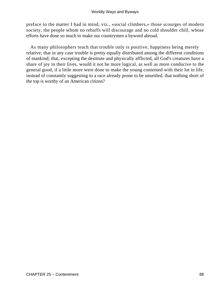preface to the matter I had in mind, viz., «social climbers,» those scourges of modern society, the people whom no rebuffs will discourage and no cold shoulder chill, whose efforts have done so much to make our countrymen a byword abroad.

 As many philosophers teach that trouble only is positive, happiness being merely relative; that in any case trouble is pretty equally distributed among the different conditions of mankind; that, excepting the destitute and physically afflicted, all God's creatures have a share of joy in their lives, would it not be more logical, as well as more conducive to the general good, if a little more were done to make the young contented with their lot in life, instead of constantly suggesting to a race already prone to be unsettled, that nothing short of the top is worthy of an American citizen?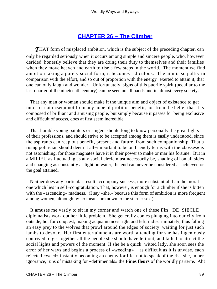### **[CHAPTER 26 − The Climber](#page-144-0)**

**THAT** form of misplaced ambition, which is the subject of the preceding chapter, can only be regarded seriously when it occurs among simple and sincere people, who, however derided, honestly believe that they are doing their duty to themselves and their families when they move heaven and earth to rise a few steps in the world. The moment we find ambition taking a purely social form, it becomes ridiculous. The aim is so paltry in comparison with the effort, and so out of proportion with the energy−exerted to attain it, that one can only laugh and wonder! Unfortunately, signs of this puerile spirit (peculiar to the last quarter of the nineteenth century) can be seen on all hands and in almost every society.

 That any man or woman should make it the unique aim and object of existence to get into a certain «set,» not from any hope of profit or benefit, nor from the belief that it is composed of brilliant and amusing people, but simply because it passes for being exclusive and difficult of access, does at first seem incredible.

 That humble young painters or singers should long to know personally the great lights of their professions, and should strive to be accepted among them is easily understood, since the aspirants can reap but benefit, present and future, from such companionship. That a rising politician should deem it all−important to be on friendly terms with the «bosses» is not astonishing, for those magnates have it in their power to make or mar his fortune. But in a MILIEU as fluctuating as any social circle must necessarily be, shading off on all sides and changing as constantly as light on water, the end can never be considered as achieved or the goal attained.

 Neither does any particular result accompany success, more substantial than the moral one which lies in self−congratulation. That, however, is enough for a climber if she is bitten with the «ascending» madness. (I say «she,» because this form of ambition is more frequent among women, although by no means unknown to the sterner sex.)

 It amuses me vastly to sit in my corner and watch one of these **Fin−** DE−SIECLE diplomatists work out her little problem. She generally comes plunging into our city from outside, hot for conquest, making acquaintances right and left, indiscriminately; thus falling an easy prey to the wolves that prowl around the edges of society, waiting for just such lambs to devour. Her first entertainments are worth attending for she has ingeniously contrived to get together all the people she should have left out, and failed to attract the social lights and powers of the moment. If she be a quick−witted lady, she soon sees the error of her ways and begins a process of «weeding» − as difficult as it is unwise, each rejected «weed» instantly becoming an enemy for life, not to speak of the risk she, in her ignorance, runs of mistaking for «detrimentals» the **Fines fleurs** of the worldly parterre. Ah!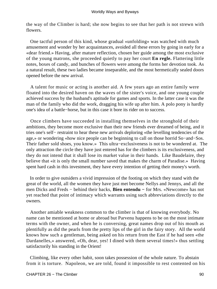the way of the Climber is hard; she now begins to see that her path is not strewn with flowers.

 One tactful person of this kind, whose gradual «unfolding» was watched with much amusement and wonder by her acquaintances, avoided all these errors by going in early for a «dear friend.» Having, after mature reflection, chosen her guide among the most exclusive of the young matrons, she proceeded quietly to pay her court **En regle.** Flattering little notes, boxes of candy, and bunches of flowers were among the forms her devotion took. As a natural result, these two ladies became inseparable, and the most hermetically sealed doors opened before the new arrival.

 A talent for music or acting is another aid. A few years ago an entire family were floated into the desired haven on the waves of the sister's voice, and one young couple achieved success by the husband's aptitude for games and sports. In the latter case it was the man of the family who did the work, dragging his wife up after him. A polo pony is hardly one's idea of a battle−horse, but in this case it bore its rider on to success.

 Once climbers have succeeded in installing themselves in the stronghold of their ambitions, they become more exclusive than their new friends ever dreamed of being, and it tries one's self− restraint to hear these new arrivals deploring «the levelling tendencies of the age,» or wondering «how nice people can be beginning to call on those horrid So−and−Sos. Their father sold shoes, you know.» This ultra−exclusiveness is not to be wondered at. The only attraction the circle they have just entered has for the climbers is its exclusiveness, and they do not intend that it shall lose its market value in their hands. Like Baudelaire, they believe that «it is only the small number saved that makes the charm of Paradise.» Having spent hard cash in this investment, they have every intention of getting their money's worth.

 In order to give outsiders a vivid impression of the footing on which they stand with the great of the world, all the women they have just met become Nellys and Jennys, and all the men Dicks and Freds − behind their backs, **Bien entendu −** for Mrs. «Newcome» has not yet reached that point of intimacy which warrants using such abbreviations directly to the owners.

 Another amiable weakness common to the climber is that of knowing everybody. No name can be mentioned at home or abroad but Parvenu happens to be on the most intimate terms with the owner, and when he is conversing, great names drop out of his mouth as plentifully as did the pearls from the pretty lips of the girl in the fairy story. All the world knows how such a gentleman, being asked on his return from the East if he had seen «the Dardanelles,» answered, «Oh, dear, yes! I dined with them several times!» thus settling satisfactorily his standing in the Orient!

 Climbing, like every other habit, soon takes possession of the whole nature. To abstain from it is torture. Napoleon, we are told, found it impossible to rest contented on his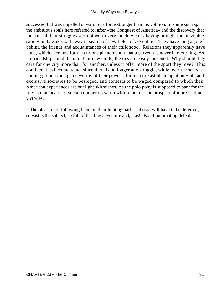successes, but was impelled onward by a force stronger than his volition. In some such spirit the ambitious souls here referred to, after «the Conquest of America» and the discovery that the fruit of their struggles was not worth very much, victory having brought the inevitable satiety in its wake, sail away in search of new fields of adventure. They have long ago left behind the friends and acquaintances of their childhood. Relations they apparently have none, which accounts for the curious phenomenon that a parvenu is never in mourning. As no friendships bind them to their new circle, the ties are easily loosened. Why should they care for one city more than for another, unless it offer more of the sport they love? This continent has become tame, since there is no longer any struggle, while over the sea vast hunting grounds and game worthy of their powder, form an irresistible temptation − old and exclusive societies to be besieged, and contests to be waged compared to which their American experiences are but light skirmishes. As the polo pony is supposed to pant for the fray, so the hearts of social conquerors warm within them at the prospect of more brilliant victories.

 The pleasure of following them on their hunting parties abroad will have to be deferred, so vast is the subject, so full of thrilling adventure and, alas! also of humiliating defeat.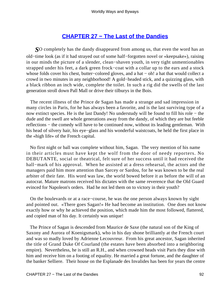# **[CHAPTER 27 − The Last of the Dandies](#page-144-0)**

*S*O completely has the dandy disappeared from among us, that even the word has an old−time look (as if it had strayed out of some half−forgotten novel or «keepsake»), raising in our minds the picture of a slender, clean−shaven youth, in very tight unmentionables strapped under his feet, a dark green frock−coat with a collar up to the ears and a stock whose folds cover his chest, butter−colored gloves, and a hat − oh! a hat that would collect a crowd in two minutes in any neighborhood! A gold−headed stick, and a quizzing glass, with a black ribbon an inch wide, complete the toilet. In such a rig did the swells of the last generation stroll down Pall Mall or drive their tilburys in the Bois.

 The recent illness of the Prince de Sagan has made a strange and sad impression in many circles in Paris, for he has always been a favorite, and is the last surviving type of a now extinct species. He is the last Dandy! No understudy will be found to fill his role − the dude and the swell are whole generations away from the dandy, of which they are but feeble reflections − the comedy will have to be continued now, without its leading gentleman. With his head of silvery hair, his eye−glass and his wonderful waistcoats, he held the first place in the «high life» of the French capital.

 No first night or ball was complete without him, Sagan. The very mention of his name in their articles must have kept the wolf from the door of needy reporters. No DEBUTANTE, social or theatrical, felt sure of her success until it had received the hall−mark of his approval. When he assisted at a dress rehearsal, the actors and the managers paid him more attention than Sarcey or Sardou, for he was known to be the real arbiter of their fate. His word was law, the world bowed before it as before the will of an autocrat. Mature matrons received his dictates with the same reverence that the Old Guard evinced for Napoleon's orders. Had he not led them on to victory in their youth?

 On the boulevards or at a race−course, he was the one person always known by sight and pointed out. «There goes Sagan!» He had become an institution. One does not know exactly how or why he achieved the position, which made him the most followed, flattered, and copied man of his day. It certainly was unique!

 The Prince of Sagan is descended from Maurice de Saxe (the natural son of the King of Saxony and Aurora of Koenigsmark), who in his day shone brilliantly at the French court and was so madly loved by Adrienne Lecouvreur. From his great ancestor, Sagan inherited the title of Grand Duke Of Courland (the estates have been absorbed into a neighboring empire). Nevertheless, he is still an R.H., and when crowned heads visit Paris they dine with him and receive him on a footing of equality. He married a great fortune, and the daughter of the banker Selliere. Their house on the Esplanade des Invalides has been for years the centre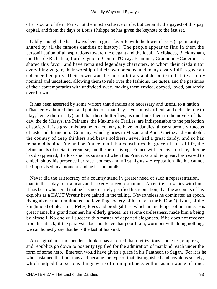of aristocratic life in Paris; not the most exclusive circle, but certainly the gayest of this gay capital, and from the days of Louis Philippe he has given the keynote to the fast set.

 Oddly enough, he has always been a great favorite with the lower classes (a popularity shared by all the famous dandies of history). The people appear to find in them the personification of all aspirations toward the elegant and the ideal. Alcibiades, Buckingham, the Duc de Richelieu, Lord Seymour, Comte d'Orsay, Brummel, Grammont−Caderousse, shared this favor, and have remained legendary characters, to whom their disdain for everything vulgar, their worship of their own persons, and many costly follies gave an ephemeral empire. Their power was the more arbitrary and despotic in that it was only nominal and undefined, allowing them to rule over the fashions, the tastes, and the pastimes of their contemporaries with undivided sway, making them envied, obeyed, loved, but rarely overthrown.

 It has been asserted by some writers that dandies are necessary and useful to a nation (Thackeray admired them and pointed out that they have a most difficult and delicate role to play, hence their rarity), and that these butterflies, as one finds them in the novels of that day, the de Marsys, the Pelhams, the Maxime de Trailles, are indispensable to the perfection of society. It is a great misfortune to a country to have no dandies, those supreme virtuosos of taste and distinction. Germany, which glories in Mozart and Kant, Goethe and Humboldt, the country of deep thinkers and brave soldiers, never had a great dandy, and so has remained behind England or France in all that constitutes the graceful side of life, the refinements of social intercourse, and the art of living. France will perceive too late, after he has disappeared, the loss she has sustained when this Prince, Grand Seigneur, has ceased to embellish by his presence her race−courses and «first nights.» A reputation like his cannot be improvised in a moment, and he has no pupils.

 Never did the aristocracy of a country stand in greater need of such a representation, than in these days of tramcars and «fixed− price» restaurants. An entire «art» dies with him. It has been whispered that he has not entirely justified his reputation, that the accounts of his exploits as a HAUT **Viveur** have gained in the telling. Nevertheless he dominated an epoch, rising above the tumultuous and levelling society of his day, a tardy Don Quixote, of the knighthood of pleasures, **Fetes,** loves and prodigalities, which are no longer of our time. His great name, his grand manner, his elderly graces, his serene carelessness, made him a being by himself. No one will succeed this master of departed elegances. If he does not recover from his attack, if the paralysis does not leave that poor brain, worn out with doing nothing, we can honestly say that he is the last of his kind.

 An original and independent thinker has asserted that civilizations, societies, empires, and republics go down to posterity typified for the admiration of mankind, each under the form of some hero. Emerson would have given a place in his Pantheon to Sagan. For it is he who sustained the traditions and became the type of that distinguished and frivolous society, which judged that serious things were of no importance, enthusiasm a waste of time,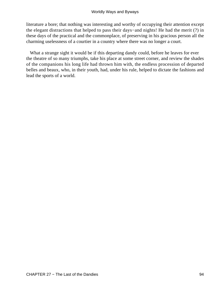literature a bore; that nothing was interesting and worthy of occupying their attention except the elegant distractions that helped to pass their days−and nights! He had the merit (?) in these days of the practical and the commonplace, of preserving in his gracious person all the charming uselessness of a courtier in a country where there was no longer a court.

 What a strange sight it would be if this departing dandy could, before he leaves for ever the theatre of so many triumphs, take his place at some street corner, and review the shades of the companions his long life had thrown him with, the endless procession of departed belles and beaux, who, in their youth, had, under his rule, helped to dictate the fashions and lead the sports of a world.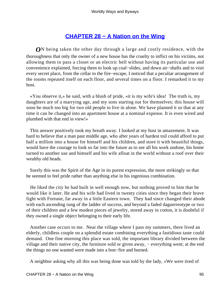# **[CHAPTER 28 − A Nation on the Wing](#page-144-0)**

*O*N being taken the other day through a large and costly residence, with the thoroughness that only the owner of a new house has the cruelty to inflict on his victims, not allowing them to pass a closet or an electric bell without having its particular use and convenience explained, forcing them to look up coal−slides, and down air−shafts and to visit every secret place, from the cellar to the fire−escape, I noticed that a peculiar arrangement of the rooms repeated itself on each floor, and several times on a floor. I remarked it to my host.

 «You observe it,» he said, with a blush of pride, «it is my wife's idea! The truth is, my daughters are of a marrying age, and my sons starting out for themselves; this house will soon be much too big for two old people to live in alone. We have planned it so that at any time it can be changed into an apartment house at a nominal expense. It is even wired and plumbed with that end in view!»

 This answer positively took my breath away. I looked at my host in amazement. It was hard to believe that a man past middle age, who after years of hardest toil could afford to put half a million into a house for himself and his children, and store it with beautiful things, would have the courage to look so far into the future as to see all his work undone, his home turned to another use and himself and his wife afloat in the world without a roof over their wealthy old heads.

 Surely this was the Spirit of the Age in its purest expression, the more strikingly so that he seemed to feel pride rather than anything else in his ingenious combination.

 He liked the city he had built in well enough now, but nothing proved to him that he would like it later. He and his wife had lived in twenty cities since they began their brave fight with Fortune, far away in a little Eastern town. They had since changed their abode with each ascending rung of the ladder of success, and beyond a faded daguerreotype or two of their children and a few modest pieces of jewelry, stored away in cotton, it is doubtful if they owned a single object belonging to their early life.

 Another case occurs to me. Near the village where I pass my summers, there lived an elderly, childless couple on a splendid estate combining everything a fastidious taste could demand. One fine morning this place was sold, the important library divided between the village and their native city, the furniture sold or given away, − everything went; at the end the things no one wanted were made into a bon−fire and burned.

A neighbor asking why all this was being done was told by the lady, «We were tired of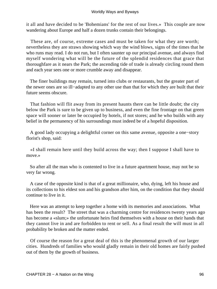it all and have decided to be 'Bohemians' for the rest of our lives.» This couple are now wandering about Europe and half a dozen trunks contain their belongings.

 These are, of course, extreme cases and must be taken for what they are worth; nevertheless they are straws showing which way the wind blows, signs of the times that he who runs may read. I do not run, but I often saunter up our principal avenue, and always find myself wondering what will be the future of the splendid residences that grace that thoroughfare as it nears the Park; the ascending tide of trade is already circling round them and each year sees one or more crumble away and disappear.

 The finer buildings may remain, turned into clubs or restaurants, but the greater part of the newer ones are so ill−adapted to any other use than that for which they are built that their future seems obscure.

 That fashion will flit away from its present haunts there can be little doubt; the city below the Park is sure to be given up to business, and even the fine frontage on that green space will sooner or later be occupied by hotels, if not stores; and he who builds with any belief in the permanency of his surroundings must indeed be of a hopeful disposition.

 A good lady occupying a delightful corner on this same avenue, opposite a one−story florist's shop, said:

 «I shall remain here until they build across the way; then I suppose I shall have to move.»

 So after all the man who is contented to live in a future apartment house, may not be so very far wrong.

 A case of the opposite kind is that of a great millionaire, who, dying, left his house and its collections to his eldest son and his grandson after him, on the condition that they should continue to live in it.

 Here was an attempt to keep together a home with its memories and associations. What has been the result? The street that was a charming centre for residences twenty years ago has become a «slum;» the unfortunate heirs find themselves with a house on their hands that they cannot live in and are forbidden to rent or sell. As a final result the will must in all probability be broken and the matter ended.

 Of course the reason for a great deal of this is the phenomenal growth of our larger cities. Hundreds of families who would gladly remain in their old homes are fairly pushed out of them by the growth of business.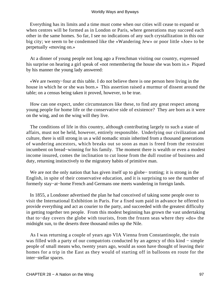Everything has its limits and a time must come when our cities will cease to expand or when centres will be formed as in London or Paris, where generations may succeed each other in the same homes. So far, I see no indications of any such crystallization in this our big city; we seem to be condemned like the «Wandering Jew» or poor little «Joe» to be perpetually «moving on.»

 At a dinner of young people not long ago a Frenchman visiting our country, expressed his surprise on hearing a girl speak of «not remembering the house she was born in.» Piqued by his manner the young lady answered:

 «We are twenty−four at this table. I do not believe there is one person here living in the house in which he or she was born.» This assertion raised a murmur of dissent around the table; on a census being taken it proved, however, to be true.

 How can one expect, under circumstances like these, to find any great respect among young people for home life or the conservative side of existence? They are born as it were on the wing, and on the wing will they live.

 The conditions of life in this country, although contributing largely to such a state of affairs, must not be held, however, entirely responsible. Underlying our civilization and culture, there is still strong in us a wild nomadic strain inherited from a thousand generations of wandering ancestors, which breaks out so soon as man is freed from the restraint incumbent on bread−winning for his family. The moment there is wealth or even a modest income insured, comes the inclination to cut loose from the dull routine of business and duty, returning instinctively to the migratory habits of primitive man.

 We are not the only nation that has given itself up to globe− trotting; it is strong in the English, in spite of their conservative education, and it is surprising to see the number of formerly stay−at−home French and Germans one meets wandering in foreign lands.

 In 1855, a Londoner advertised the plan he had conceived of taking some people over to visit the International Exhibition in Paris. For a fixed sum paid in advance he offered to provide everything and act as courier to the party, and succeeded with the greatest difficulty in getting together ten people. From this modest beginning has grown the vast undertaking that to−day covers the globe with tourists, from the frozen seas where they «do» the midnight sun, to the deserts three thousand miles up the Nile.

 As I was returning a couple of years ago VIA Vienna from Constantinople, the train was filled with a party of our compatriots conducted by an agency of this kind – simple people of small means who, twenty years ago, would as soon have thought of leaving their homes for a trip in the East as they would of starting off in balloons en route for the inter−stellar spaces.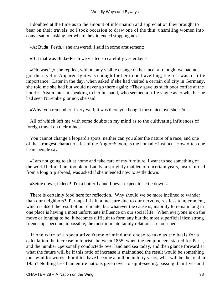I doubted at the time as to the amount of information and appreciation they brought to bear on their travels, so I took occasion to draw one of the thin, unsmiling women into conversation, asking her where they intended stopping next.

«At Buda−Pesth,» she answered. I said in some amusement:

«But that was Buda−Pesth we visited so carefully yesterday.»

 «Oh, was it,» she replied, without any visible change on her face, «I thought we had not got there yet.» Apparently it was enough for her to be travelling; the rest was of little importance. Later in the day, when asked if she had visited a certain old city in Germany, she told me she had but would never go there again: «They gave us such poor coffee at the hotel.» Again later in speaking to her husband, who seemed a trifle vague as to whether he had seen Nuremberg or not, she said:

«Why, you remember it very well; it was there you bought those nice overshoes!»

 All of which left me with some doubts in my mind as to the cultivating influences of foreign travel on their minds.

 You cannot change a leopard's spots, neither can you alter the nature of a race, and one of the strongest characteristics of the Anglo−Saxon, is the nomadic instinct. How often one hears people say:

 «I am not going to sit at home and take care of my furniture. I want to see something of the world before I am too old.» Lately, a sprightly maiden of uncertain years, just returned from a long trip abroad, was asked if she intended now to settle down.

«Settle down, indeed! I'm a butterfly and I never expect to settle down.»

 There is certainly food here for reflection. Why should we be more inclined to wander than our neighbors? Perhaps it is in a measure due to our nervous, restless temperament, which is itself the result of our climate; but whatever the cause is, inability to remain long in one place is having a most unfortunate influence on our social life. When everyone is on the move or longing to be, it becomes difficult to form any but the most superficial ties; strong friendships become impossible, the most intimate family relations are loosened.

 If one were of a speculative frame of mind and chose to take as the basis for a calculation the increase in tourists between 1855, when the ten pioneers started for Paris, and the number «personally conducted» over land and sea today, and then glance forward at what the future will be if this ratio of increase is maintained the result would be something too awful for words. For if ten have become a million in forty years, what will be the total in 1955? Nothing less than entire nations given over to sight−seeing, passing their lives and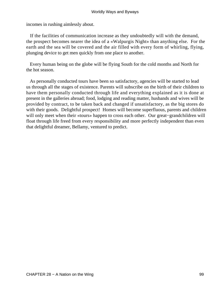incomes in rushing aimlessly about.

 If the facilities of communication increase as they undoubtedly will with the demand, the prospect becomes nearer the idea of a «Walpurgis Night» than anything else. For the earth and the sea will be covered and the air filled with every form of whirling, flying, plunging device to get men quickly from one place to another.

 Every human being on the globe will be flying South for the cold months and North for the hot season.

 As personally conducted tours have been so satisfactory, agencies will be started to lead us through all the stages of existence. Parents will subscribe on the birth of their children to have them personally conducted through life and everything explained as it is done at present in the galleries abroad; food, lodging and reading matter, husbands and wives will be provided by contract, to be taken back and changed if unsatisfactory, as the big stores do with their goods. Delightful prospect! Homes will become superfluous, parents and children will only meet when their «tours» happen to cross each other. Our great−grandchildren will float through life freed from every responsibility and more perfectly independent than even that delightful dreamer, Bellamy, ventured to predict.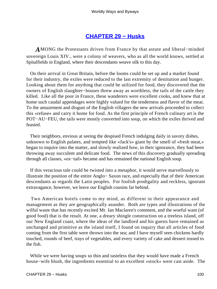## **[CHAPTER 29 − Husks](#page-144-0)**

*A*MONG the Protestants driven from France by that astute and liberal−minded sovereign Louis XIV., were a colony of weavers, who as all the world knows, settled at Spitalfields in England, where their descendants weave silk to this day.

 On their arrival in Great Britain, before the looms could be set up and a market found for their industry, the exiles were reduced to the last extremity of destitution and hunger. Looking about them for anything that could be utilized for food, they discovered that the owners of English slaughter−houses threw away as worthless, the tails of the cattle they killed. Like all the poor in France, these wanderers were excellent cooks, and knew that at home such caudal appendages were highly valued for the tenderness and flavor of the meat. To the amazement and disgust of the English villagers the new arrivals proceeded to collect this «refuse» and carry it home for food. As the first principle of French culinary art is the POT−AU−FEU, the tails were mostly converted into soup, on which the exiles thrived and feasted.

 Their neighbors, envious at seeing the despised French indulging daily in savory dishes, unknown to English palates, and tempted like «Jack's» giant by the smell of «fresh meat,» began to inquire into the matter, and slowly realized how, in their ignorance, they had been throwing away succulent and delicate food. The news of this discovery gradually spreading through all classes, «ox−tail» became and has remained the national English soup.

 If this veracious tale could be twisted into a metaphor, it would serve marvellously to illustrate the position of the entire Anglo− Saxon race, and especially that of their American descendants as regards the Latin peoples. For foolish prodigality and reckless, ignorant extravagance, however, we leave our English cousins far behind.

 Two American hotels come to my mind, as different in their appearance and management as they are geographically asunder. Both are types and illustrations of the wilful waste that has recently excited Mr. Ian Maclaren's comment, and the woeful want (of good food) that is the result. At one, a dreary shingle construction on a treeless island, off our New England coast, where the ideas of the landlord and his guests have remained as unchanged and primitive as the island itself, I found on inquiry that all articles of food coming from the first table were thrown into the sea; and I have myself seen chickens hardly touched, rounds of beef, trays of vegetables, and every variety of cake and dessert tossed to the fish.

While we were having soups so thin and tasteless that they would have made a French house−wife blush, the ingredients essential to an excellent «stock» were cast aside. The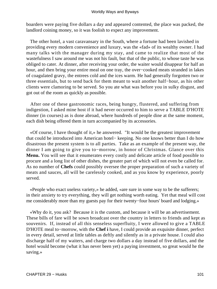boarders were paying five dollars a day and appeared contented, the place was packed, the landlord coining money, so it was foolish to expect any improvement.

 The other hotel, a vast caravansary in the South, where a fortune had been lavished in providing every modern convenience and luxury, was the «fad» of its wealthy owner. I had many talks with the manager during my stay, and came to realize that most of the wastefulness I saw around me was not his fault, but that of the public, to whose taste he was obliged to cater. At dinner, after receiving your order, the waiter would disappear for half an hour, and then bring your entire meal on one tray, the over−cooked meats stranded in lakes of coagulated gravy, the entrees cold and the ices warm. He had generally forgotten two or three essentials, but to send back for them meant to wait another half−hour, as his other clients were clamoring to be served. So you ate what was before you in sulky disgust, and got out of the room as quickly as possible.

 After one of these gastronomic races, being hungry, flustered, and suffering from indigestion, I asked mine host if it had never occurred to him to serve a TABLE D'HOTE dinner (in courses) as is done abroad, where hundreds of people dine at the same moment, each dish being offered them in turn accompanied by its accessories.

 «Of course, I have thought of it,» he answered. "It would be the greatest improvement that could be introduced into American hotel− keeping. No one knows better than I do how disastrous the present system is to all parties. Take as an example of the present way, the dinner I am going to give you to−morrow, in honor of Christmas. Glance over this **Menu.** You will see that it enumerates every costly and delicate article of food possible to procure and a long list of other dishes, the greater part of which will not even be called for. As no number of **Chefs** could possibly oversee the proper preparation of such a variety of meats and sauces, all will be carelessly cooked, and as you know by experience, poorly served.

 «People who exact useless variety,» he added, «are sure in some way to be the sufferers; in their anxiety to try everything, they will get nothing worth eating. Yet that meal will cost me considerably more than my guests pay for their twenty−four hours' board and lodging.»

 «Why do it, you ask? Because it is the custom, and because it will be an advertisement. These bills of fare will be sown broadcast over the country in letters to friends and kept as souvenirs. If, instead of all this senseless superfluity, I were allowed to give a TABLE D'HOTE meal to−morrow, with the **Chef i** have, I could provide an exquisite dinner, perfect in every detail, served at little tables as deftly and silently as in a private house. I could also discharge half of my waiters, and charge two dollars a day instead of five dollars, and the hotel would become (what it has never been yet) a paying investment, so great would he the saving.»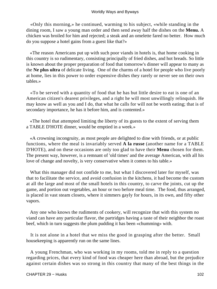«Only this morning,» he continued, warming to his subject, «while standing in the dining room, I saw a young man order and then send away half the dishes on the **Menu.** A chicken was broiled for him and rejected; a steak and an omelette fared no better. How much do you suppose a hotel gains from a guest like that?»

 «The reason Americans put up with such poor viands in hotels is, that home cooking in this country is so rudimentary, consisting principally of fried dishes, and hot breads. So little is known about the proper preparation of food that tomorrow's dinner will appear to many as the **Ne plus ultra** of delicate living. One of the charms of a hotel for people who live poorly at home, lies in this power to order expensive dishes they rarely or never see on their own tables.»

 «To be served with a quantity of food that he has but little desire to eat is one of an American citizen's dearest privileges, and a right he will most unwillingly relinquish. He may know as well as you and I do, that what he calls for will not be worth eating; that is of secondary importance, he has it before him, and is contented.»

 «The hotel that attempted limiting the liberty of its guests to the extent of serving them a TABLE D'HOTE dinner, would be emptied in a week.»

 «A crowning incongruity, as most people are delighted to dine with friends, or at public functions, where the meal is invariably served **A la russe** (another name for a TABLE D'HOTE), and on these occasions are only too glad to have their **Menu** chosen for them. The present way, however, is a remnant of 'old times' and the average American, with all his love of change and novelty, is very conservative when it comes to his table.»

 What this manager did not confide to me, but what I discovered later for myself, was that to facilitate the service, and avoid confusion in the kitchens, it had become the custom at all the large and most of the small hotels in this country, to carve the joints, cut up the game, and portion out vegetables, an hour or two before meal time. The food, thus arranged, is placed in vast steam closets, where it simmers gayly for hours, in its own, and fifty other vapors.

 Any one who knows the rudiments of cookery, will recognize that with this system no viand can have any particular flavor, the partridges having a taste of their neighbor the roast beef, which in turn suggests the plum pudding it has been «chumming» with.

 It is not alone in a hotel that we miss the good in grasping after the better. Small housekeeping is apparently run on the same lines.

 A young Frenchman, who was working in my rooms, told me in reply to a question regarding prices, that every kind of food was cheaper here than abroad, but the prejudice against certain dishes was so strong in this country that many of the best things in the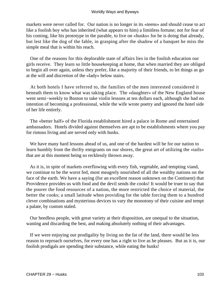markets were never called for. Our nation is no longer in its «teens» and should cease to act like a foolish boy who has inherited (what appears to him) a limitless fortune; not for fear of his coming, like his prototype in the parable, to live on «husks» for he is doing that already, but lest like the dog of the fable, in grasping after the shadow of a banquet he miss the simple meal that is within his reach.

 One of the reasons for this deplorable state of affairs lies in the foolish education our girls receive. They learn so little housekeeping at home, that when married they are obliged to begin all over again, unless they prefer, like a majority of their friends, to let things as go at the will and discretion of the «lady» below stairs.

 At both hotels I have referred to, the families of the men interested considered it beneath them to know what was taking place. The «daughter» of the New England house went semi−weekly to Boston to take violin lessons at ten dollars each, although she had no intention of becoming a professional, while the wife wrote poetry and ignored the hotel side of her life entirely.

 The «better half» of the Florida establishment hired a palace in Rome and entertained ambassadors. Hotels divided against themselves are apt to be establishments where you pay for riotous living and are served only with husks.

 We have many hard lessons ahead of us, and one of the hardest will be for our nation to learn humbly from the thrifty emigrants on our shores, the great art of utilizing the «tails» that are at this moment being so recklessly thrown away.

 As it is, in spite of markets overflowing with every fish, vegetable, and tempting viand, we continue to be the worst fed, most meagrely nourished of all the wealthy nations on the face of the earth. We have a saying (for an excellent reason unknown on the Continent) that Providence provides us with food and the devil sends the cooks! It would be truer to say that the poorer the food resources of a nation, the more restricted the choice of material, the better the cooks; a small latitude when providing for the table forcing them to a hundred clever combinations and mysterious devices to vary the monotony of their cuisine and tempt a palate, by custom staled.

 Our heedless people, with great variety at their disposition, are unequal to the situation, wasting and discarding the best, and making absolutely nothing of their advantages.

 If we were enjoying our prodigality by living on the fat of the land, there would be less reason to reproach ourselves, for every one has a right to live as he pleases. But as it is, our foolish prodigals are spending their substance, while eating the husks!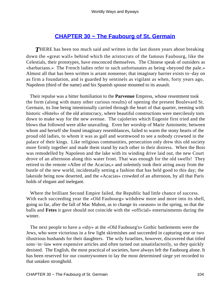# **[CHAPTER 30 − The Faubourg of St. Germain](#page-144-0)**

**THERE** has been too much said and written in the last dozen years about breaking down the «great wall» behind which the aristocrats of the famous Faubourg, like the Celestials, their prototypes, have ensconced themselves. The Chinese speak of outsiders as «barbarians.» The French ladies refer to such unfortunates as being «beyond the pale.» Almost all that has been written is arrant nonsense; that imaginary barrier exists to−day on as firm a foundation, and is guarded by sentinels as vigilant as when, forty years ago, Napoleon (third of the name) and his Spanish spouse mounted to its assault.

 Their repulse was a bitter humiliation to the **Parvenue** Empress, whose resentment took the form (along with many other curious results) of opening the present Boulevard St. Germain, its line being intentionally carried through the heart of that quarter, teeming with historic «Hotels» of the old aristocracy, where beautiful constructions were mercilessly torn down to make way for the new avenue. The cajoleries which Eugenie first tried and the blows that followed were alike unavailing. Even her worship of Marie Antoinette, between whom and herself she found imaginary resemblances, failed to warm the stony hearts of the proud old ladies, to whom it was as gall and wormwood to see a nobody crowned in the palace of their kings. Like religious communities, persecution only drew this old society more firmly together and made them stand by each other in their distress. When the Bois was remodelled by Napoleon and the lake with its winding drive laid out, the new Court drove of an afternoon along this water front. That was enough for the old swells! They retired to the remote «Allee of the Acacias,» and solemnly took their airing away from the bustle of the new world, incidentally setting a fashion that has held good to this day; the lakeside being now deserted, and the «Acacias» crowded of an afternoon, by all that Paris holds of elegant and inelegant.

 Where the brilliant Second Empire failed, the Republic had little chance of success. With each succeeding year the «Old Faubourg» withdrew more and more into its shell, going so far, after the fall of Mac Mahon, as to change its «season» to the spring, so that the balls and **Fetes** it gave should not coincide with the «official» entertainments during the winter.

 The next people to have a «shy» at the «Old Faubourg's» Gothic battlements were the Jews, who were victorious in a few light skirmishes and succeeded in capturing one or two illustrious husbands for their daughters. The wily Israelites, however, discovered that titled sons−in−law were expensive articles and often turned out unsatisfactorily, so they quickly desisted. The English, the most practical of societies, have always left the Faubourg alone. It has been reserved for our countrywomen to lay the most determined siege yet recorded to that untaken stronghold.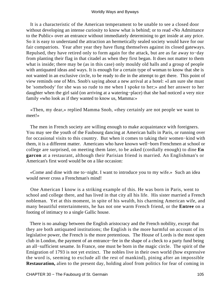It is a characteristic of the American temperament to be unable to see a closed door without developing an intense curiosity to know what is behind; or to read «No Admittance to the Public» over an entrance without immediately determining to get inside at any price. So it is easy to understand the attraction an hermetically sealed society would have for our fair compatriots. Year after year they have flung themselves against its closed gateways. Repulsed, they have retired only to form again for the attack, but are as far away to−day from planting their flag in that citadel as when they first began. It does not matter to them what is inside; there may be (as in this case) only mouldy old halls and a group of people with antiquated ideas and ways. It is enough for a certain type of woman to know that she is not wanted in an exclusive circle, to be ready to die in the attempt to get there. This point of view reminds one of Mrs. Snob's saying about a new arrival at a hotel: «I am sure she must be 'somebody' for she was so rude to me when I spoke to her;» and her answer to her daughter when the girl said (on arriving at a watering−place) that she had noticed a very nice family «who look as if they wanted to know us, Mamma:»

 «Then, my dear,» replied Mamma Snob, «they certainly are not people we want to meet!»

 The men in French society are willing enough to make acquaintance with foreigners. You may see the youth of the Faubourg dancing at American balls in Paris, or running over for occasional visits to this country. But when it comes to taking their women−kind with them, it is a different matter. Americans who have known well−born Frenchmen at school or college are surprised, on meeting them later, to be asked (cordially enough) to dine **En garcon** at a restaurant, although their Parisian friend is married. An Englishman's or American's first word would be on a like occasion:

 «Come and dine with me to−night. I want to introduce you to my wife.» Such an idea would never cross a Frenchman's mind!

 One American I know is a striking example of this. He was born in Paris, went to school and college there, and has lived in that city all his life. His sister married a French nobleman. Yet at this moment, in spite of his wealth, his charming American wife, and many beautiful entertainments, he has not one warm French friend, or the **Entree** on a footing of intimacy to a single Gallic house.

 There is no analogy between the English aristocracy and the French nobility, except that they are both antiquated institutions; the English is the more harmful on account of its legislative power, the French is the more pretentious. The House of Lords is the most open club in London, the payment of an entrance−fee in the shape of a check to a party fund being an all−sufficient sesame. In France, one must be born in the magic circle. The spirit of the Emigration of 1793 is not yet extinct. The nobles live in their own world (how expressive the word is, seeming to exclude all the rest of mankind), pining after an impossible **Restauration,** alien to the present day, holding aloof from politics for fear of coming in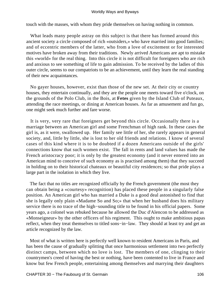touch with the masses, with whom they pride themselves on having nothing in common.

 What leads many people astray on this subject is that there has formed around this ancient society a circle composed of rich «outsiders,» who have married into good families; and of eccentric members of the latter, who from a love of excitement or for interested motives have broken away from their traditions. Newly arrived Americans are apt to mistake this «world» for the real thing. Into this circle it is not difficult for foreigners who are rich and anxious to see something of life to gain admission. To be received by the ladies of this outer circle, seems to our compatriots to be an achievement, until they learn the real standing of their new acquaintances.

 No gayer houses, however, exist than those of the new set. At their city or country houses, they entertain continually, and they are the people one meets toward five o'clock, on the grounds of the Polo Club, in the Bois, at **Fetes** given by the Island Club of Puteaux, attending the race meetings, or dining at American houses. As far as amusement and fun go, one might seek much further and fare worse.

 It is very, very rare that foreigners get beyond this circle. Occasionally there is a marriage between an American girl and some Frenchman of high rank. In these cases the girl is, as it were, swallowed up. Her family see little of her, she rarely appears in general society, and, little by little, she is lost to her old friends and relations. I know of several cases of this kind where it is to be doubted if a dozen Americans outside of the girls' connections know that such women exist. The fall in rents and land values has made the French aristocracy poor; it is only by the greatest economy (and it never entered into an American mind to conceive of such economy as is practised among them) that they succeed in holding on to their historical chateaux or beautiful city residences; so that pride plays a large part in the isolation in which they live.

 The fact that no titles are recognized officially by the French government (the most they can obtain being a «courtesy» recognition) has placed these people in a singularly false position. An American girl who has married a Duke is a good deal astonished to find that she is legally only plain «Madame So and So;» that when her husband does his military service there is no trace of the high−sounding title to be found in his official papers. Some years ago, a colonel was rebuked because he allowed the Duc d'Alencon to be addressed as «Monseigneur» by the other officers of his regiment. This ought to make ambitious papas reflect, when they treat themselves to titled sons−in−law. They should at least try and get an article recognized by the law.

 Most of what is written here is perfectly well known to resident Americans in Paris, and has been the cause of gradually splitting that once harmonious settlement into two perfectly distinct camps, between which no love is lost. The members of one, clinging to their countrymen's creed of having the best or nothing, have been contented to live in France and know but few French people, entertaining among themselves and marrying their daughters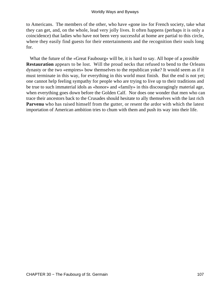to Americans. The members of the other, who have «gone in» for French society, take what they can get, and, on the whole, lead very jolly lives. It often happens (perhaps it is only a coincidence) that ladies who have not been very successful at home are partial to this circle, where they easily find guests for their entertainments and the recognition their souls long for.

 What the future of the «Great Faubourg» will be, it is hard to say. All hope of a possible **Restauration** appears to be lost. Will the proud necks that refused to bend to the Orleans dynasty or the two «empires» bow themselves to the republican yoke? It would seem as if it must terminate in this way, for everything in this world must finish. But the end is not yet; one cannot help feeling sympathy for people who are trying to live up to their traditions and be true to such immaterial idols as «honor» and «family» in this discouragingly material age, when everything goes down before the Golden Calf. Nor does one wonder that men who can trace their ancestors back to the Crusades should hesitate to ally themselves with the last rich **Parvenu** who has raised himself from the gutter, or resent the ardor with which the latest importation of American ambition tries to chum with them and push its way into their life.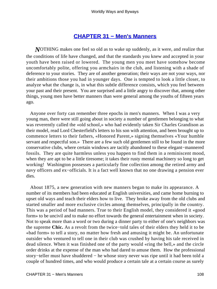### **[CHAPTER 31 − Men's Manners](#page-144-0)**

*N*OTHING makes one feel so old as to wake up suddenly, as it were, and realize that the conditions of life have changed, and that the standards you knew and accepted in your youth have been raised or lowered. The young men you meet have somehow become uncomfortably polite, offering you armchairs in the club, and listening with a shade of deference to your stories. They are of another generation; their ways are not your ways, nor their ambitions those you had in younger days. One is tempted to look a little closer, to analyze what the change is, in what this subtle difference consists, which you feel between your past and their present. You are surprised and a little angry to discover that, among other things, young men have better manners than were general among the youths of fifteen years ago.

 Anyone over forty can remember three epochs in men's manners. When I was a very young man, there were still going about in society a number of gentlemen belonging to what was reverently called the «old school,» who had evidently taken Sir Charles Grandison as their model, read Lord Chesterfield's letters to his son with attention, and been brought up to commence letters to their fathers, «Honored Parent,» signing themselves «Your humble servant and respectful son.» There are a few such old gentlemen still to be found in the more conservative clubs, where certain windows are tacitly abandoned to these elegant−mannered fossils. They are quite harmless unless you happen to find them in a reminiscent mood, when they are apt to be a little tiresome; it takes their rusty mental machinery so long to get working! Washington possesses a particularly fine collection among the retired army and navy officers and ex–officials. It is a fact well known that no one drawing a pension ever dies.

 About 1875, a new generation with new manners began to make its appearance. A number of its members had been educated at English universities, and came home burning to upset old ways and teach their elders how to live. They broke away from the old clubs and started smaller and more exclusive circles among themselves, principally in the country. This was a period of bad manners. True to their English model, they considered it «good form» to be uncivil and to make no effort towards the general entertainment when in society. Not to speak more than a word or two during a dinner party to either of one's neighbors was the supreme **Chic.** As a revolt from the twice−told tales of their elders they held it to be «bad form» to tell a story, no matter how fresh and amusing it might be. An unfortunate outsider who ventured to tell one in their club was crushed by having his tale received in dead silence. When it was finished one of the party would «ring the bell,» and the circle order drinks at the expense of the man who had dared to amuse them. How the professional story−teller must have shuddered − he whose story never was ripe until it had been told a couple of hundred times, and who would produce a certain tale at a certain course as surely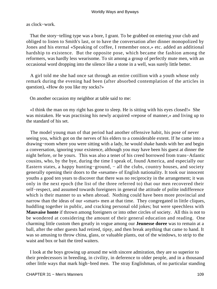as clock−work.

 That the story−telling type was a bore, I grant. To be grabbed on entering your club and obliged to listen to Smith's last, or to have the conversation after dinner monopolized by Jones and his eternal «Speaking of coffee, I remember once,» etc. added an additional hardship to existence. But the opposite pose, which became the fashion among the reformers, was hardly less wearisome. To sit among a group of perfectly mute men, with an occasional word dropping into the silence like a stone in a well, was surely little better.

 A girl told me she had once sat through an entire cotillion with a youth whose only remark during the evening had been (after absorbed contemplation of the articles in question), «How do you like my socks?»

On another occasion my neighbor at table said to me:

 «I think the man on my right has gone to sleep. He is sitting with his eyes closed!» She was mistaken. He was practising his newly acquired «repose of manner,» and living up to the standard of his set.

 The model young man of that period had another offensive habit, his pose of never seeing you, which got on the nerves of his elders to a considerable extent. If he came into a drawing−room where you were sitting with a lady, he would shake hands with her and begin a conversation, ignoring your existence, although you may have been his guest at dinner the night before, or he yours. This was also a tenet of his creed borrowed from trans−Atlantic cousins, who, by the bye, during the time I speak of, found America, and especially our Eastern states, a happy hunting−ground, − all the clubs, country houses, and society generally opening their doors to the «sesame» of English nationality. It took our innocent youths a good ten years to discover that there was no reciprocity in the arrangement; it was only in the next epoch (the list of the three referred to) that our men recovered their self−respect, and assumed towards foreigners in general the attitude of polite indifference which is their manner to us when abroad. Nothing could have been more provincial and narrow than the ideas of our «smart» men at that time. They congregated in little cliques, huddling together in public, and cracking personal old jokes; but were speechless with **Mauvaise honte** if thrown among foreigners or into other circles of society. All this is not to be wondered at considering the amount of their general education and reading. One charming little custom then greatly in vogue among our **Jeunesse doree** was to remain at a ball, after the other guests had retired, tipsy, and then break anything that came to hand. It was so amusing to throw china, glass, or valuable plants, out of the windows, to strip to the waist and box or bait the tired waiters.

 I look at the boys growing up around me with sincere admiration, they are so superior to their predecessors in breeding, in civility, in deference to older people, and in a thousand other little ways that mark high−bred men. The stray Englishman, of no particular standing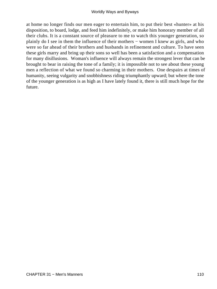at home no longer finds our men eager to entertain him, to put their best «hunter» at his disposition, to board, lodge, and feed him indefinitely, or make him honorary member of all their clubs. It is a constant source of pleasure to me to watch this younger generation, so plainly do I see in them the influence of their mothers − women I knew as girls, and who were so far ahead of their brothers and husbands in refinement and culture. To have seen these girls marry and bring up their sons so well has been a satisfaction and a compensation for many disillusions. Woman's influence will always remain the strongest lever that can be brought to bear in raising the tone of a family; it is impossible not to see about these young men a reflection of what we found so charming in their mothers. One despairs at times of humanity, seeing vulgarity and snobbishness riding triumphantly upward; but where the tone of the younger generation is as high as I have lately found it, there is still much hope for the future.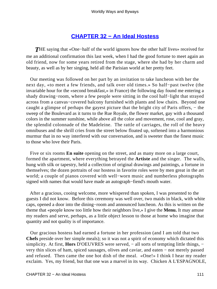### **[CHAPTER 32 − An Ideal Hostess](#page-144-0)**

*T*HE saying that «One−half of the world ignores how the other half lives» received for me an additional confirmation this last week, when I had the good fortune to meet again an old friend, now for some years retired from the stage, where she had by her charm and beauty, as well as by her singing, held all the Parisian world at her pretty feet.

 Our meeting was followed on her part by an invitation to take luncheon with her the next day, «to meet a few friends, and talk over old times.» So half−past twelve (the invariable hour for the «second breakfast,» in France) the following day found me entering a shady drawing−room, where a few people were sitting in the cool half−light that strayed across from a canvas−covered balcony furnished with plants and low chairs. Beyond one caught a glimpse of perhaps the gayest picture that the bright city of Paris offers, − the sweep of the Boulevard as it turns to the Rue Royale, the flower market, gay with a thousand colors in the summer sunshine, while above all the color and movement, rose, cool and gray, the splendid colonnade of the Madeleine. The rattle of carriages, the roll of the heavy omnibuses and the shrill cries from the street below floated up, softened into a harmonious murmur that in no way interfered with our conversation, and is sweeter than the finest music to those who love their Paris.

 Five or six rooms **En suite** opening on the street, and as many more on a large court, formed the apartment, where everything betrayed the **Artiste** and the singer. The walls, hung with silk or tapestry, held a collection of original drawings and paintings, a fortune in themselves; the dozen portraits of our hostess in favorite roles were by men great in the art world; a couple of pianos covered with well−worn music and numberless photographs signed with names that would have made an autograph−fiend's mouth water.

 After a gracious, cooing welcome, more whispered than spoken, I was presented to the guests I did not know. Before this ceremony was well over, two maids in black, with white caps, opened a door into the dining−room and announced luncheon. As this is written on the theme that «people know too little how their neighbors live,» I give the **Menu.** It may amuse my readers and serve, perhaps, as a little object lesson to those at home who imagine that quantity and not quality is of importance.

 Our gracious hostess had earned a fortune in her profession (and I am told that two **Chefs** preside over her simple meals); so it was not a spirit of economy which dictated this simplicity. At first, **Hors** D'OEUVRES were served, – all sorts of tempting little things, – very thin slices of ham, spiced sausages, olives and caviar, and eaten − not merely passed and refused. Then came the one hot dish of the meal. «One!» I think I hear my reader exclaim. Yes, my friend, but that one was a marvel in its way. Chicken A L'ESPAGNOLE,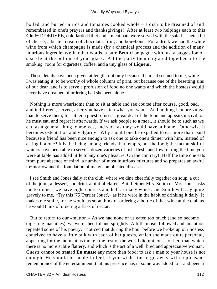boiled, and buried in rice and tomatoes cooked whole − a dish to be dreamed of and remembered in one's prayers and thanksgivings! After at least two helpings each to this **Chef−** D'OEUVRE, cold larded fillet and a meat pate were served with the salad. Then a bit of cheese, a beaten cream of chocolate, fruit, and bon−bons. For a drink we had the white wine from which champagne is made (by a chemical process and the addition of many injurious ingredients); in other words, a pure **Brut** champagne with just a suggestion of sparkle at the bottom of your glass. All the party then migrated together into the smoking−room for cigarettes, coffee, and a tiny glass of **Liqueur.**

 These details have been given at length, not only because the meal seemed to me, while I was eating it, to be worthy of whole columns of print, but because one of the besetting sins of our dear land is to serve a profusion of food no one wants and which the hostess would never have dreamed of ordering had she been alone.

 Nothing is more wearisome than to sit at table and see course after course, good, bad, and indifferent, served, after you have eaten what you want. And nothing is more vulgar than to serve them; for either a guest refuses a great deal of the food and appears uncivil, or he must eat, and regret it afterwards. If we ask people to a meal, it should be to such as we eat, as a general thing, ourselves, and such as they would have at home. Otherwise it becomes ostentation and vulgarity. Why should one be expelled to eat more than usual because a friend has been nice enough to ask one to take one's dinner with him, instead of eating it alone? It is the being among friends that tempts, not the food; the fact at skilful waiters have been able to serve a dozen varieties of fish, flesh, and fowl during the time you were at table has added little to any one's pleasure. On the contrary! Half the time one eats from pure absence of mind, a number of most injurious mixtures and so prepares an awful to−morrow and the foundation of many complicated diseases.

 I see Smith and Jones daily at the club, where we dine cheerfully together on soup, a cut of the joint, a dessert, and drink a pint of claret. But if either Mrs. Smith or Mrs. Jones asks me to dinner, we have eight courses and half as many wines, and Smith will say quite gravely to me, «Try this '75 'Perrier Jouet',» as if he were in the habit of drinking it daily. It makes me smile, for he would as soon think of ordering a bottle of that wine at the club as he would think of ordering a flask of nectar.

 But to return to our «mutton.» As we had none of us eaten too much (and so become digesting machines), we were cheerful and sprightly. A little music followed and an author repeated some of his poetry. I noticed that during the hour before we broke up our hostess contrived to have a little talk with each of her guests, which she made quite personal, appearing for the moment as though the rest of the world did not exist for her, than which there is no more subtle flattery, and which is the act of a well−bred and appreciative woman. Guests cannot be treated **En masse** any more than food; to ask a man to your house is not enough. He should be made to feel, if you wish him to go away with a pleasant remembrance of the entertainment, that his presence has in some way added to it and been a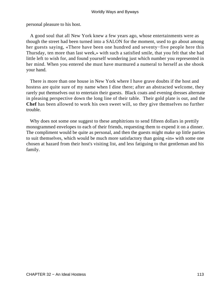personal pleasure to his host.

 A good soul that all New York knew a few years ago, whose entertainments were as though the street had been turned into a SALON for the moment, used to go about among her guests saying, «There have been one hundred and seventy−five people here this Thursday, ten more than last week,» with such a satisfied smile, that you felt that she had little left to wish for, and found yourself wondering just which number you represented in her mind. When you entered she must have murmured a numeral to herself as she shook your hand.

 There is more than one house in New York where I have grave doubts if the host and hostess are quite sure of my name when I dine there; after an abstracted welcome, they rarely put themselves out to entertain their guests. Black coats and evening dresses alternate in pleasing perspective down the long line of their table. Their gold plate is out, and the **Chef** has been allowed to work his own sweet will, so they give themselves no further trouble.

Why does not some one suggest to these amphitrions to send fifteen dollars in prettily monogrammed envelopes to each of their friends, requesting them to expend it on a dinner. The compliment would be quite as personal, and then the guests might make up little parties to suit themselves, which would be much more satisfactory than going «in» with some one chosen at hazard from their host's visiting list, and less fatiguing to that gentleman and his family.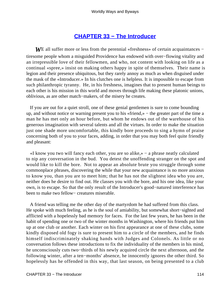### **[CHAPTER 33 − The Introducer](#page-144-0)**

*WE* all suffer more or less from the perennial «freshness» of certain acquaintances – tiresome people whom a misguided Providence has endowed with over−flowing vitality and an irrepressible love of their fellowmen, and who, not content with looking on life as a continual «spree,» insist on making others happy in spite of themselves. Their name is legion and their presence ubiquitous, but they rarely annoy as much as when disguised under the mask of the «Introducer.» In his clutches one is helpless. It is impossible to escape from such philanthropic tyranny. He, in his freshness, imagines that to present human beings to each other is his mission in this world and moves through life making these platonic unions, oblivious, as are other match−makers, of the misery he creates.

 If you are out for a quiet stroll, one of these genial gentlemen is sure to come bounding up, and without notice or warning present you to his «friend,» − the greater part of the time a man he has met only an hour before, but whom he endows out of the warehouse of his generous imagination with several talents and all the virtues. In order to make the situation just one shade more uncomfortable, this kindly bore proceeds to sing a hymn of praise concerning both of you to your faces, adding, in order that you may both feel quite friendly and pleasant:

 «I know you two will fancy each other, you are so alike,» − a phrase neatly calculated to nip any conversation in the bud. You detest the unoffending stranger on the spot and would like to kill the bore. Not to appear an absolute brute you struggle through some commonplace phrases, discovering the while that your new acquaintance is no more anxious to know you, than you are to meet him; that he has not the slightest idea who you are, neither does he desire to find out. He classes you with the bore, and his one idea, like your own, is to escape. So that the only result of the Introducer's good−natured interference has been to make two fellow− creatures miserable.

 A friend was telling me the other day of the martyrdom he had suffered from this class. He spoke with much feeling, as he is the soul of amiability, but somewhat short−sighted and afflicted with a hopelessly bad memory for faces. For the last few years, he has been in the habit of spending one or two of the winter months in Washington, where his friends put him up at one club or another. Each winter on his first appearance at one of these clubs, some kindly disposed old fogy is sure to present him to a circle of the members, and he finds himself indiscriminately shaking hands with Judges and Colonels. As little or no conversation follows these introductions to fix the individuality of the members in his mind, he unconsciously cuts two−thirds of his newly acquired circle the next afternoon, and the following winter, after a ten−months' absence, he innocently ignores the other third. So hopelessly has he offended in this way, that last season, on being presented to a club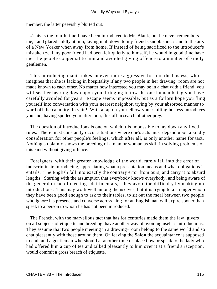member, the latter peevishly blurted out:

 «This is the fourth time I have been introduced to Mr. Blank, but he never remembers me,» and glared coldly at him, laying it all down to my friend's snobbishness and to the airs of a New Yorker when away from home. If instead of being sacrificed to the introducer's mistaken zeal my poor friend had been left quietly to himself, he would in good time have met the people congenial to him and avoided giving offence to a number of kindly gentlemen.

 This introducing mania takes an even more aggressive form in the hostess, who imagines that she is lacking in hospitality if any two people in her drawing−room are not made known to each other. No matter how interested you may be in a chat with a friend, you will see her bearing down upon you, bringing in tow the one human being you have carefully avoided for years. Escape seems impossible, but as a forlorn hope you fling yourself into conversation with your nearest neighbor, trying by your absorbed manner to ward off the calamity. In vain! With a tap on your elbow your smiling hostess introduces you and, having spoiled your afternoon, flits off in search of other prey.

 The question of introductions is one on which it is impossible to lay down any fixed rules. There must constantly occur situations where one's acts must depend upon a kindly consideration for other people's feelings, which after all, is only another name for tact. Nothing so plainly shows the breeding of a man or woman as skill in solving problems of this kind without giving offence.

 Foreigners, with their greater knowledge of the world, rarely fall into the error of indiscriminate introducing, appreciating what a presentation means and what obligations it entails. The English fall into exactly the contrary error from ours, and carry it to absurd lengths. Starting with the assumption that everybody knows everybody, and being aware of the general dread of meeting «detrimentals,» they avoid the difficulty by making no introductions. This may work well among themselves, but it is trying to a stranger whom they have been good enough to ask to their tables, to sit out the meal between two people who ignore his presence and converse across him; for an Englishman will expire sooner than speak to a person to whom he has not been introduced.

 The French, with the marvellous tact that has for centuries made them the law−givers on all subjects of etiquette and breeding, have another way of avoiding useless introductions. They assume that two people meeting in a drawing−room belong to the same world and so chat pleasantly with those around them. On leaving the **Salon** the acquaintance is supposed to end, and a gentleman who should at another time or place bow or speak to the lady who had offered him a cup of tea and talked pleasantly to him over it at a friend's reception, would commit a gross breach of etiquette.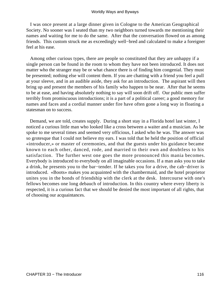I was once present at a large dinner given in Cologne to the American Geographical Society. No sooner was I seated than my two neighbors turned towards me mentioning their names and waiting for me to do the same. After that the conversation flowed on as among friends. This custom struck me as exceedingly well−bred and calculated to make a foreigner feel at his ease.

 Among other curious types, there are people so constituted that they are unhappy if a single person can be found in the room to whom they have not been introduced. It does not matter who the stranger may be or what chance there is of finding him congenial. They must be presented; nothing else will content them. If you are chatting with a friend you feel a pull at your sleeve, and in an audible aside, they ask for an introduction. The aspirant will then bring up and present the members of his family who happen to be near. After that he seems to be at ease, and having absolutely nothing to say will soon drift off. Our public men suffer terribly from promiscuous introductions; it is a part of a political career; a good memory for names and faces and a cordial manner under fire have often gone a long way in floating a statesman on to success.

 Demand, we are told, creates supply. During a short stay in a Florida hotel last winter, I noticed a curious little man who looked like a cross between a waiter and a musician. As he spoke to me several times and seemed very officious, I asked who he was. The answer was so grotesque that I could not believe my ears. I was told that he held the position of official «introducer,» or master of ceremonies, and that the guests under his guidance became known to each other, danced, rode, and married to their own and doubtless to his satisfaction. The further west one goes the more pronounced this mania becomes. Everybody is introduced to everybody on all imaginable occasions. If a man asks you to take a drink, he presents you to the bar−tender. If he takes you for a drive, the cab−driver is introduced. «Boots» makes you acquainted with the chambermaid, and the hotel proprietor unites you in the bonds of friendship with the clerk at the desk. Intercourse with one's fellows becomes one long debauch of introduction. In this country where every liberty is respected, it is a curious fact that we should be denied the most important of all rights, that of choosing our acquaintances.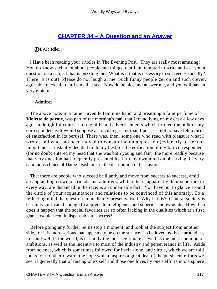### **[CHAPTER 34 − A Question and an Answer](#page-144-0)**

### *D*EAR **Idler:**

 I **Have** been reading your articles in The Evening Post. They are really most amusing! You do know such a lot about people and things, that I am tempted to write and ask you a question on a subject that is puzzling me. What is it that is necessary to succeed – socially? There! It is out! Please do not laugh at me. Such funny people get on and such clever, agreeable ones fail, that I am all at sea. Now do be nice and answer me, and you will have a very grateful

### **Admirer.**

 The above note, in a rather juvenile feminine hand, and breathing a faint perfume of **Violette de parme,** was part of the morning's mail that I found lying on my desk a few days ago, in delightful contrast to the bills and advertisements which formed the bulk of my correspondence. It would suppose a stoicism greater than I possess, not to have felt a thrill of satisfaction in its perusal. There was, then, some one who read with pleasure what I wrote, and who had been moved to consult me on a question (evidently to her) of importance. I instantly decided to do my best for the edification of my fair correspondent (for no doubt entered my head that she was both young and fair), the more readily because that very question had frequently presented itself to my own mind on observing the very capricious choice of Dame «Fashion» in the distribution of her favors.

 That there are people who succeed brilliantly and move from success to success, amid an applauding crowd of friends and admirers, while others, apparently their superiors in every way, are distanced in the race, is an undeniable fact. You have but to glance around the circle of your acquaintances and relations to be convinced of this anomaly. To a reflecting mind the question immediately presents itself, Why is this? General society is certainly cultivated enough to appreciate intelligence and superior endowments. How then does it happen that the social favorites are so often lacking in the qualities which at a first glance would seem indispensable to success?

 Before going any further let us stop a moment, and look at the subject from another side, for it is more serious than appears to be on the surface. To be loved by those around us, to stand well in the world, is certainly the most legitimate as well as the most common of ambitions, as well as the incentive to most of the industry and perseverance in life. Aside from science, which is sometimes followed for itself alone, and virtue, which we are told looks for no other reward, the hope which inspires a great deal of the persistent efforts we see, is generally that of raising one's self and those one loves by one's efforts into a sphere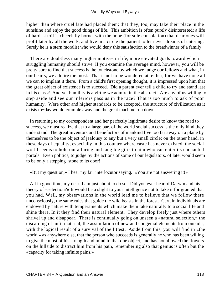higher than where cruel fate had placed them; that they, too, may take their place in the sunshine and enjoy the good things of life. This ambition is often purely disinterested; a life of hardest toil is cheerfully borne, with the hope (for sole consolation) that dear ones will profit later by all the work, and live in a circle the patient toiler never dreams of entering. Surely he is a stern moralist who would deny this satisfaction to the breadwinner of a family.

 There are doubtless many higher motives in life, more elevated goals toward which struggling humanity should strive. If you examine the average mind, however, you will be pretty sure to find that success is the touchstone by which we judge our fellows and what, in our hearts, we admire the most. That is not to be wondered at, either, for we have done all we can to implant it there. From a child's first opening thought, it is impressed upon him that the great object of existence is to succeed. Did a parent ever tell a child to try and stand last in his class? And yet humility is a virtue we admire in the abstract. Are any of us willing to step aside and see our inferiors pass us in the race? That is too much to ask of poor humanity. Were other and higher standards to be accepted, the structure of civilization as it exists to−day would crumble away and the great machine run down.

 In returning to my correspondent and her perfectly legitimate desire to know the road to success, we must realize that to a large part of the world social success is the only kind they understand. The great inventors and benefactors of mankind live too far away on a plane by themselves to be the object of jealousy to any but a very small circle; on the other hand, in these days of equality, especially in this country where caste has never existed, the social world seems to hold out alluring and tangible gifts to him who can enter its enchanted portals. Even politics, to judge by the actions of some of our legislators, of late, would seem to be only a stepping−stone to its door!

«But my question,» I hear my fair interlocutor saying. «You are not answering it!»

 All in good time, my dear. I am just about to do so. Did you ever hear of Darwin and his theory of «selection?» It would be a slight to your intelligence not to take it for granted that you had. Well, my observations in the world lead me to believe that we follow there unconsciously, the same rules that guide the wild beasts in the forest. Certain individuals are endowed by nature with temperaments which make them take naturally to a social life and shine there. In it they find their natural element. They develop freely just where others shrivel up and disappear. There is continually going on unseen a «natural selection,» the discarding of unfit material, the assimilation of new and congenial elements from outside, with the logical result of a survival of the fittest. Aside from this, you will find in «the world,» as anywhere else, that the person who succeeds is generally he who has been willing to give the most of his strength and mind to that one object, and has not allowed the flowers on the hillside to distract him from his path, remembering also that genius is often but the «capacity for taking infinite pains.»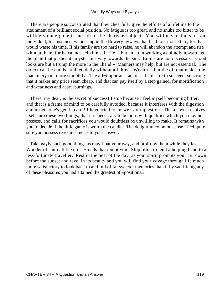There are people so constituted that they cheerfully give the efforts of a lifetime to the attainment of a brilliant social position. No fatigue is too great, and no snubs too bitter to be willingly undergone in pursuit of the cherished object. You will never find such an individual, for instance, wandering in the flowery byways that lead to art or letters, for that would waste his time. If his family are too hard to raise, he will abandon the attempt and rise without them, for he cannot help himself. He is but an atom working as blindly upward as the plant that pushes its mysterious way towards the sun. Brains are not necessary. Good looks are but a trump the more in the «hand.» Manners may help, but are not essential. The object can be and is attained daily without all three. Wealth is but the oil that makes the machinery run more smoothly. The all−important factor is the desire to succeed, so strong that it makes any price seem cheap, and that can pay itself by a step gained, for mortification and weariness and heart−burnings.

 There, my dear, is the secret of success! I stop because I feel myself becoming bitter, and that is a frame of mind to be carefully avoided, because it interferes with the digestion and upsets one's gentle calm! I have tried to answer your question. The answer resolves itself into these two things; that it is necessary to be born with qualities which you may not possess, and calls for sacrifices you would doubtless be unwilling to make. It remains with you to decide if the little game is worth the candle. The delightful common sense I feel quite sure you possess reassures me as to your answer.

 Take gayly such good things as may float your way, and profit by them while they last. Wander off into all the cross−roads that tempt you. Stop often to lend a helping hand to a less fortunate traveller. Rest in the heat of the day, as your spirit prompts you. Sit down before the sunset and revel in its beauty and you will find your voyage through life much more satisfactory to look back to and full of far sweeter memories than if by sacrificing any of these pleasures you had attained the greatest of «positions.»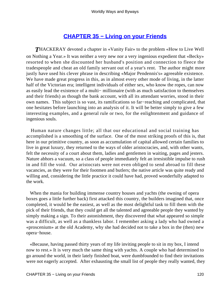## **[CHAPTER 35 − Living on your Friends](#page-144-0)**

*T*HACKERAY devoted a chapter in «Vanity Fair» to the problem «How to Live Well on Nothing a Year.» It was neither a very new nor a very ingenious expedient that «Becky» resorted to when she discounted her husband's position and connection to fleece the tradespeople and cheat an old family servant out of a year's rent. The author might more justly have used his clever phrase in describing «Major Pendennis's» agreeable existence. We have made great progress in this, as in almost every other mode of living, in the latter half of the Victorian era; intelligent individuals of either sex, who know the ropes, can now as easily lead the existence of a multi− millionaire (with as much satisfaction to themselves and their friends) as though the bank account, with all its attendant worries, stood in their own names. This subject is so vast, its ramifications so far−reaching and complicated, that one hesitates before launching into an analysis of it. It will be better simply to give a few interesting examples, and a general rule or two, for the enlightenment and guidance of ingenious souls.

 Human nature changes little; all that our educational and social training has accomplished is a smoothing of the surface. One of the most striking proofs of this is, that here in our primitive country, as soon as accumulation of capital allowed certain families to live in great luxury, they returned to the ways of older aristocracies, and, with other wants, felt the necessity of a court about them, ladies and gentlemen in waiting, pages and jesters. Nature abhors a vacuum, so a class of people immediately felt an irresistible impulse to rush in and fill the void. Our aristocrats were not even obliged to send abroad to fill these vacancies, as they were for their footmen and butlers; the native article was quite ready and willing and, considering the little practice it could have had, proved wonderfully adapted to the work.

 When the mania for building immense country houses and yachts (the owning of opera boxes goes a little further back) first attacked this country, the builders imagined that, once completed, it would be the easiest, as well as the most delightful task to fill them with the pick of their friends, that they could get all the talented and agreeable people they wanted by simply making a sign. To their astonishment, they discovered that what appeared so simple was a difficult, as well as a thankless labor. I remember asking a lady who had owned a «proscenium» at the old Academy, why she had decided not to take a box in the (then) new opera−house.

 «Because, having passed thirty years of my life inviting people to sit in my box, I intend now to rest.» It is very much the same thing with yachts. A couple who had determined to go around the world, in their lately finished boat, were dumbfounded to find their invitations were not eagerly accepted. After exhausting the small list of people they really wanted, they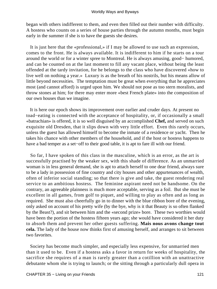began with others indifferent to them, and even then filled out their number with difficulty. A hostess who counts on a series of house parties through the autumn months, must begin early in the summer if she is to have the guests she desires.

 It is just here that the «professional,» if I may be allowed to use such an expression, comes to the front. He is always available. It is indifferent to him if he starts on a tour around the world or for a winter spree to Montreal. He is always amusing, good− humored, and can be counted on at the last moment to fill any vacant place, without being the least offended at the tardy invitation, for he belongs to the class who have discovered «how to live well on nothing a year.» Luxury is as the breath of his nostrils, but his means allow of little beyond necessities. The temptation must be great when everything that he appreciates most (and cannot afford) is urged upon him. We should not pose as too stern moralists, and throw stones at him; for there may enter more «best French plate» into the composition of our own houses than we imagine.

 It is here our epoch shows its improvement over earlier and cruder days. At present no toad−eating is connected with the acceptance of hospitality, or, if occasionally a small «batrachian» is offered, it is so well disguised by an accomplished **Chef,** and served on such exquisite old Dresden, that it slips down with very little effort. Even this rarely occurs, unless the guest has allowed himself to become the inmate of a residence or yacht. Then he takes his chance with other members of the household, and if the host or hostess happens to have a bad temper as a set−off to their good table, it is apt to fare ill with our friend.

 So far, I have spoken of this class in the masculine, which is an error, as the art is successfully practised by the weaker sex, with this shade of difference. As an unmarried woman is in less general demand, she is apt to attach herself to one dear friend, always sure to be a lady in possession of fine country and city houses and other appurtenances of wealth, often of inferior social standing; so that there is give and take, the guest rendering real service to an ambitious hostess. The feminine aspirant need not be handsome. On the contrary, an agreeable plainness is much more acceptable, serving as a foil. But she must be excellent in all games, from golf to piquet, and willing to play as often and as long as required. She must also cheerfully go in to dinner with the blue ribbon bore of the evening, only asked on account of his pretty wife (by the bye, why is it that Beauty is so often flanked by the Beast?), and sit between him and the «second prize» bore. These two worthies would have been the portion of the hostess fifteen years ago; she would have considered it her duty to absorb them and prevent her other guests suffering. **Mais nous avons change tout cela.** The lady of the house now thinks first of amusing herself, and arranges to sit between two favorites.

 Society has become much simpler, and especially less expensive, for unmarried men than it used to be. Even if a hostess asks a favor in return for weeks of hospitality, the sacrifice she requires of a man is rarely greater than a cotillion with an unattractive debutante whom she is trying to launch; or the sitting through a particularly dull opera in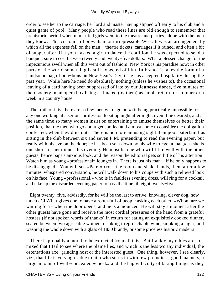order to see her to the carriage, her lord and master having slipped off early to his club and a quiet game of pool. Many people who read these lines are old enough to remember that prehistoric period when unmarried girls went to the theatre and parties, alone with the men they knew. This custom still prevails in our irrepressible West. It was an arrangement by which all the expenses fell on the man – theatre tickets, carriages if it rained, and often a bit of supper after. If a youth asked a girl to dance the cotillion, he was expected to send a bouquet, sure to cost between twenty and twenty−five dollars. What a blessed change for the impecunious swell when all this went out of fashion! New York is his paradise now; in other parts of the world something is still expected of him. In France it takes the form of a handsome bag of bon−bons on New Year's Day, if he has accepted hospitality during the past year. While here he need do absolutely nothing (unless he wishes to), the occasional leaving of a card having been suppressed of late by our **Jeunesse doree,** five minutes of their society in an opera box being estimated (by them) as ample return for a dinner or a week in a country house.

 The truth of it is, there are so few men who «go out» (it being practically impossible for any one working at a serious profession to sit up night after night, even if he desired), and at the same time so many women insist on entertaining to amuse themselves or better their position, that the men who go about get spoiled and almost come to consider the obligation conferred, when they dine out. There is no more amusing sight than poor paterfamilias sitting in the club between six and seven P.M. pretending to read the evening paper, but really with his eve on the door; he has been sent down by his wife to «get a man,» as she is one short for her dinner this evening. He must be one who will fit in well with the other guests; hence papa's anxious look, and the reason the editorial gets so little of his attention! Watch him as young «professional» lounges in. There is just his man − if he only happens to be disengaged! You will see «Pater» cross the room and shake hands, then, after a few minutes' whispered conversation, he will walk down to his coupe with such a relieved look on his face. Young «professional,» who is in faultless evening dress, will ring for a cocktail and take up the discarded evening paper to pass the time till eight twenty−five.

 Eight twenty−five, advisedly, for he will be the last to arrive, knowing, clever dog, how much eCLAT it gives one to have a room full of people asking each other, «Whom are we waiting for?» when the door opens, and he is announced. He will stay a moment after the other guests have gone and receive the most cordial pressures of the hand from a grateful hostess (if not spoken words of thanks) in return for eating an exquisitely cooked dinner, seated between two agreeable women, drinking irreproachable wine, smoking a cigar, and washing the whole down with a glass of 1830 brandy, or some priceless historic madeira.

 There is probably a moral to be extracted from all this. But frankly my ethics are so mixed that I fail to see where the blame lies, and which is the less worthy individual, the ostentatious axe−grinding host or the interested guest. One thing, however, I see clearly, viz., that life is very agreeable to him who starts in with few prejudices, good manners, a large amount of well−concealed «cheek» and the happy faculty of taking things as they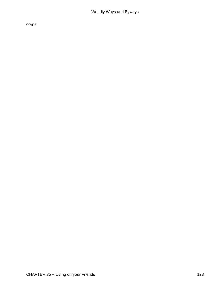come.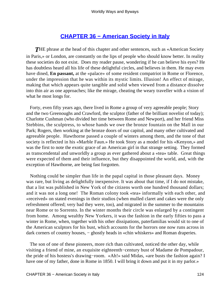## **[CHAPTER 36 − American Society in Italy](#page-144-0)**

**THE** phrase at the head of this chapter and other sentences, such as «American Society in Paris,» or London, are constantly on the lips of people who should know better. In reality these societies do not exist. Does my reader pause, wondering if he can believe his eyes? He has doubtless heard all his life of these delightful circles, and believes in them. He may even have dined, **En passant,** at the «palace» of some resident compatriot in Rome or Florence, under the impression that he was within its mystic limits. Illusion! An effect of mirage, making that which appears quite tangible and solid when viewed from a distance dissolve into thin air as one approaches; like the mirage, cheating the weary traveller with a vision of what he most longs for.

 Forty, even fifty years ago, there lived in Rome a group of very agreeable people; Story and the two Greenoughs and Crawford, the sculptor (father of the brilliant novelist of today); Charlotte Cushman (who divided her time between Rome and Newport), and her friend Miss Stebbins, the sculptress, to whose hands we owe the bronze fountain on the Mall in our Park; Rogers, then working at the bronze doors of our capitol, and many other cultivated and agreeable people. Hawthorne passed a couple of winters among them, and the tone of that society is reflected in his «Marble Faun.» He took Story as a model for his «Kenyon,» and was the first to note the exotic grace of an American girl in that strange setting. They formed as transcendental and unworldly a group as ever gathered about a «tea» table. Great things were expected of them and their influence, but they disappointed the world, and, with the exception of Hawthorne, are being fast forgotten.

 Nothing could be simpler than life in the papal capital in those pleasant days. Money was rare, but living as delightfully inexpensive. It was about that time, if I do not mistake, that a list was published in New York of the citizens worth one hundred thousand dollars; and it was not a long one! The Roman colony took «tea» informally with each other, and «received» on stated evenings in their studios (when mulled claret and cakes were the only refreshment offered; very bad they were, too), and migrated in the summer to the mountains near Rome or to Sorrento. In the winter months their circle was enlarged by a contingent from home. Among wealthy New Yorkers, it was the fashion in the early fifties to pass a winter in Rome, when, together with his other dissipations, paterfamilias would sit to one of the American sculptors for his bust, which accounts for the horrors one now runs across in dark corners of country houses, – ghostly heads in «chin whiskers» and Roman draperies.

 The son of one of these pioneers, more rich than cultivated, noticed the other day, while visiting a friend of mine, an exquisite eighteenth−century bust of Madame de Pompadour, the pride of his hostess's drawing−room. «Ah!» said Midas, «are busts the fashion again? I have one of my father, done in Rome in 1850. I will bring it down and put it in my parlor.»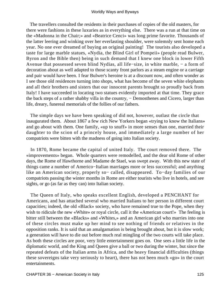The travellers consulted the residents in their purchases of copies of the old masters, for there were fashions in these luxuries as in everything else. There was a run at that time on the «Madonna in the Chair;» and «Beatrice Cenci» was long prime favorite. Thousands of the latter leering and winking over her everlasting shoulder, were solemnly sent home each year. No one ever dreamed of buying an original painting! The tourists also developed a taste for large marble statues, «Nydia, the Blind Girl of Pompeii» (people read Bulwer, Byron and the Bible then) being in such demand that I knew one block in lower Fifth Avenue that possessed seven blind Nydias, all life−size, in white marble, − a form of decoration about as well adapted to those scanty front parlors as a steam engine or a carriage and pair would have been. I fear Bulwer's heroine is at a discount now, and often wonder as I see those old residences turning into shops, what has become of the seven white elephants and all their brothers and sisters that our innocent parents brought so proudly back from Italy! I have succeeded in locating two statues evidently imported at that time. They grace the back steps of a rather shabby villa in the country, − Demosthenes and Cicero, larger than life, dreary, funereal memorials of the follies of our fathers.

 The simple days we have been speaking of did not, however, outlast the circle that inaugurated them. About 1867 a few rich New Yorkers began «trying to know the Italians» and go about with them. One family, «up to snuff» in more senses than one, married their daughter to the scion of a princely house, and immediately a large number of her compatriots were bitten with the madness of going into Italian society.

 In 1870, Rome became the capital of united Italy. The court removed there. The «improvements» began. Whole quarters were remodelled, and the dear old Rome of other days, the Rome of Hawthorne and Madame de Stael, was swept away. With this new state of things came a number of Americo−Italian marriages more or less successful; and anything like an American society, properly so− called, disappeared. To−day families of our compatriots passing the winter months in Rome are either tourists who live in hotels, and see sights, or go (as far as they can) into Italian society.

 The Queen of Italy, who speaks excellent English, developed a PENCHANT for Americans, and has attached several who married Italians to her person in different court capacities; indeed, the old «Black» society, who have remained true to the Pope, when they wish to ridicule the new «White» or royal circle, call it the «American court!» The feeling is bitter still between the «Blacks» and «Whites,» and an American girl who marries into one of these circles must make up her mind to see nothing of friends or relatives in the opposition ranks. It is said that an amalgamation is being brought about, but it is slow work; a generation will have to die out before much real mingling of the two courts will take place. As both these circles are poor, very little entertainment goes on. One sees a little life in the diplomatic world, and the King and Queen give a ball or two during the winter, but since the repeated defeats of the Italian arms in Africa, and the heavy financial difficulties (things these sovereigns take very seriously to heart), there has not been much «go» in the court entertainments.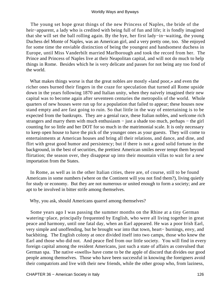The young set hope great things of the new Princess of Naples, the bride of the heir−apparent, a lady who is credited with being full of fun and life; it is fondly imagined that she will set the ball rolling again. By the bye, her first lady−in−waiting, the young Duchess del Monte of Naples, was an American girl, and a very pretty one, too. She enjoyed for some time the enviable distinction of being the youngest and handsomest duchess in Europe, until Miss Vanderbilt married Marlborough and took the record from her. The Prince and Princess of Naples live at their Neapolitan capital, and will not do much to help things in Rome. Besides which he is very delicate and passes for not being any too fond of the world.

 What makes things worse is that the great nobles are mostly «land poor,» and even the richer ones burned their fingers in the craze for speculation that turned all Rome upside down in the years following 1870 and Italian unity, when they naively imagined their new capital was to become again after seventeen centuries the metropolis of the world. Whole quarters of new houses were run up for a population that failed to appear; these houses now stand empty and are fast going to ruin. So that little in the way of entertaining is to be expected from the bankrupts. They are a genial race, these Italian nobles, and welcome rich strangers and marry them with much enthusiasm – just a shade too much, perhaps – the girl counting for so little and her DOT for so much in the matrimonial scale. It is only necessary to keep open house to have the pick of the younger ones as your guests. They will come to entertainments at American houses and bring all their relations, and dance, and dine, and flirt with great good humor and persistency; but if there is not a good solid fortune in the background, in the best of securities, the prettiest American smiles never tempt them beyond flirtation; the season over, they disappear up into their mountain villas to wait for a new importation from the States.

 In Rome, as well as in the other Italian cities, there are, of course, still to be found Americans in some numbers (where on the Continent will you not find them?), living quietly for study or economy. But they are not numerous or united enough to form a society; and are apt to be involved in bitter strife among themselves.

Why, you ask, should Americans quarrel among themselves?

 Some years ago I was passing the summer months on the Rhine at a tiny German watering−place, principally frequented by English, who were all living together in great peace and harmony, until one fatal day, when an Earl appeared. He was a poor Irish Earl, very simple and unoffending, but he brought war into that town, heart− burnings, envy, and backbiting. The English colony at once divided itself into two camps, those who knew the Earl and those who did not. And peace fled from our little society. You will find in every foreign capital among the resident Americans, just such a state of affairs as convulsed that German spa. The native «swells» have come to be the apple of discord that divides our good people among themselves. Those who have been successful in knowing the foreigners avoid their compatriots and live with their new friends, while the other group who, from laziness,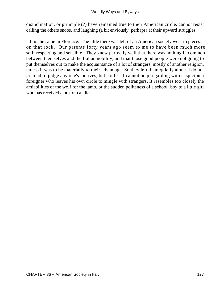disinclination, or principle (?) have remained true to their American circle, cannot resist calling the others snobs, and laughing (a bit enviously, perhaps) at their upward struggles.

 It is the same in Florence. The little there was left of an American society went to pieces on that rock. Our parents forty years ago seem to me to have been much more self−respecting and sensible. They knew perfectly well that there was nothing in common between themselves and the Italian nobility, and that those good people were not going to put themselves out to make the acquaintance of a lot of strangers, mostly of another religion, unless it was to be materially to their advantage. So they left them quietly alone. I do not pretend to judge any one's motives, but confess I cannot help regarding with suspicion a foreigner who leaves his own circle to mingle with strangers. It resembles too closely the amiabilities of the wolf for the lamb, or the sudden politeness of a school−boy to a little girl who has received a box of candies.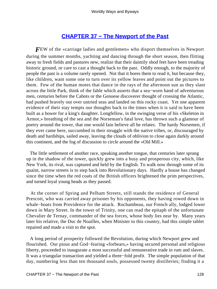### **[CHAPTER 37 − The Newport of the Past](#page-144-0)**

*F*EW of the «carriage ladies and gentlemen» who disport themselves in Newport during the summer months, yachting and dancing through the short season, then flitting away to fresh fields and pastures new, realize that their daintily shod feet have been treading historic ground, or care to cast a thought back to the past. Oddly enough, to the majority of people the past is a volume rarely opened. Not that it bores them to read it, but because they, like children, want some one to turn over its yellow leaves and point out the pictures to them. Few of the human motes that dance in the rays of the afternoon sun as they slant across the little Park, think of the fable which asserts that a sea−worn band of adventurous men, centuries before the Cabots or the Genoese discoverer thought of crossing the Atlantic, had pushed bravely out over untried seas and landed on this rocky coast. Yet one apparent evidence of their stay tempts our thoughts back to the times when it is said to have been built as a bower for a king's daughter. Longfellow, in the swinging verse of his «Skeleton in Armor,» breathing of the sea and the Norseman's fatal love, has thrown such a glamour of poetry around the tower, that one would fain believe all he relates. The hardy Norsemen, if they ever came here, succumbed in their struggle with the native tribes, or, discouraged by death and hardships, sailed away, leaving the clouds of oblivion to close again darkly around this continent, and the fog of discussion to circle around the «Old Mill.»

 The little settlement of another race, speaking another tongue, that centuries later sprang up in the shadow of the tower, quickly grew into a busy and prosperous city, which, like New York, its rival, was captured and held by the English. To walk now through some of its quaint, narrow streets is to step back into Revolutionary days. Hardly a house has changed since the time when the red coats of the British officers brightened the prim perspectives, and turned loyal young heads as they passed.

 At the corner of Spring and Pelham Streets, still stands the residence of General Prescott, who was carried away prisoner by his opponents, they having rowed down in whale−boats from Providence for the attack. Rochambeau, our French ally, lodged lower down in Mary Street. In the tower of Trinity, one can read the epitaph of the unfortunate Chevalier de Ternay, commander of the sea forces, whose body lies near by. Many years later his relative, the Duc de Noailles, when Minister to this country, had this simple tablet repaired and made a visit to the spot.

 A long period of prosperity followed the Revolution, during which Newport grew and flourished. Our pious and God−fearing «forbears,» having secured personal and religious liberty, proceeded to inaugurate a most successful and remunerative trade in rum and slaves. It was a triangular transaction and yielded a three−fold profit. The simple population of that day, numbering less than ten thousand souls, possessed twenty distilleries; finding it a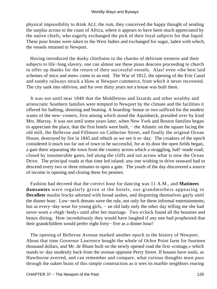physical impossibility to drink ALL the rum, they conceived the happy thought of sending the surplus across to the coast of Africa, where it appears to have been much appreciated by the native chiefs, who eagerly exchanged the pick of their loyal subjects for that liquid. These poor brutes were taken to the West Indies and exchanged for sugar, laden with which, the vessels returned to Newport.

 Having introduced the dusky chieftains to the charms of delirium tremens and their subjects to life−long slavery, one can almost see these pious deacons proceeding to church to offer up thanks for the return of their successful vessels. Alas! even «the best laid schemes of mice and men» come to an end. The War of 1812, the opening of the Erie Canal and sundry railways struck a blow at Newport commerce, from which it never recovered. The city sank into oblivion, and for over thirty years not a house was built there.

 It was not until near 1840 that the Middletons and Izzards and other wealthy and aristocratic Southern families were tempted to Newport by the climate and the facilities it offered for bathing, shooting and boating. A boarding−house or two sufficed for the modest wants of the new−comers, first among which stood the Aquidneck, presided over by kind Mrs. Murray. It was not until some years later, when New York and Boston families began to appreciate the place, that the first hotels were built, − the Atlantic on the square facing the old mill, the Bellevue and Fillmore on Catherine Street, and finally the original Ocean House, destroyed by fire in 1845 and rebuilt as we see it to−day. The croakers of the epoch considered it much too far out of town to be successful, for at its door the open fields began, a gate there separating the town from the country across which a straggling, half−made road, closed by innumerable gates, led along the cliffs and out across what is now the Ocean Drive. The principal roads at that time led inland; any one wishing to drive seaward had to descend every two or three minutes to open a gate. The youth of the day discovered a source of income in opening and closing these for pennies.

 Fashion had decreed that the correct hour for dancing was 11 A.M., and **Matinees dansantes** were regularly given at the hotels, our grandmothers appearing in **Decollete** muslin frocks adorned with broad sashes, and disporting themselves gayly until the dinner hour. Low−neck dresses were the rule, not only for these informal entertainments, but as every−day wear for young girls, − an old lady only the other day telling me she had never worn a «high−body» until after her marriage. Two o'clock found all the beauties and beaux dining. How incredulously they would have laughed if any one had prophesied that their grandchildren would prefer eight forty− five as a dinner hour!

 The opening of Bellevue Avenue marked another epoch in the history of Newport. About that time Governor Lawrence bought the whole of Ochre Point farm for fourteen thousand dollars, and Mr. de Rham built on the newly opened road the first «cottage,» which stands to−day modestly back from the avenue opposite Perry Street. If houses have souls, as Hawthorne averred, and can remember and compare, what curious thoughts must pass through the oaken brain of this simple construction as it sees its marble neighbors rearing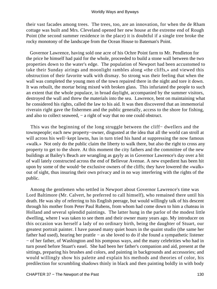their vast facades among trees. The trees, too, are an innovation, for when the de Rham cottage was built and Mrs. Cleveland opened her new house at the extreme end of Rough Point (the second summer residence in the place) it is doubtful if a single tree broke the rocky monotony of the landscape from the Ocean House to Bateman's Point.

 Governor Lawrence, having sold one acre of his Ochre Point farm to Mr. Pendleton for the price he himself had paid for the whole, proceeded to build a stone wall between the two properties down to the water's edge. The population of Newport had been accustomed to take their Sunday airings and moonlight rambles along «the cliffs,» and viewed this obstruction of their favorite walk with dismay. So strong was their feeling that when the wall was completed the young men of the town repaired there in the night and tore it down. It was rebuilt, the mortar being mixed with broken glass. This infuriated the people to such an extent that the whole populace, in broad daylight, accompanied by the summer visitors, destroyed the wall and threw the materials into the sea. Lawrence, bent on maintaining what he considered his rights, called the law to his aid. It was then discovered that an immemorial riverain right gave the fishermen and the public generally, access to the shore for fishing, and also to collect seaweed, − a right of way that no one could obstruct.

 This was the beginning of the long struggle between the cliff− dwellers and the townspeople; each new property−owner, disgusted at the idea that all the world can stroll at will across his well−kept lawns, has in turn tried his hand at suppressing the now famous «walk.» Not only do the public claim the liberty to walk there, but also the right to cross any property to get to the shore. At this moment the city fathers and the committee of the new buildings at Bailey's Beach are wrangling as gayly as in Governor Lawrence's day over a bit of wall lately constructed across the end of Bellevue Avenue. A new expedient has been hit upon by some of the would−be exclusive owners of the cliffs; they have lowered the «walk» out of sight, thus insuring their own privacy and in no way interfering with the rights of the public.

 Among the gentlemen who settled in Newport about Governor Lawrence's time was Lord Baltimore (Mr. Calvert, he preferred to call himself), who remained there until his death. He was shy of referring to his English peerage, but would willingly talk of his descent through his mother from Peter Paul Rubens, from whom had come down to him a chateau in Holland and several splendid paintings. The latter hung in the parlor of the modest little dwelling, where I was taken to see them and their owner many years ago. My introducer on this occasion was herself a lady of no ordinary birth, being the daughter of Stuart, our greatest portrait painter. I have passed many quiet hours in the quaint studio (the same her father had used), hearing her prattle − as she loved to do if she found a sympathetic listener − of her father, of Washington and his pompous ways, and the many celebrities who had in turn posed before Stuart's easel. She had been her father's companion and aid, present at the sittings, preparing his brushes and colors, and painting in backgrounds and accessories; and would willingly show his palette and explain his methods and theories of color, his predilection for scrumbling shadows thinly in black and then painting boldly in with body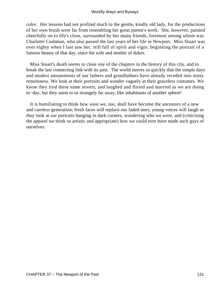color. Her lessons had not profited much to the gentle, kindly old lady, for the productions of her own brush were far from resembling her great parent's work. She, however, painted cheerfully on to life's close, surrounded by her many friends, foremost among whom was Charlotte Cushman, who also passed the last years of her life in Newport. Miss Stuart was over eighty when I last saw her, still full of spirit and vigor, beginning the portrait of a famous beauty of that day, since the wife and mother of dukes.

 Miss Stuart's death seems to close one of the chapters in the history of this city, and to break the last connecting link with its past. The world moves so quickly that the simple days and modest amusements of our fathers and grandfathers have already receded into misty remoteness. We look at their portraits and wonder vaguely at their graceless costumes. We know they trod these same streets, and laughed and flirted and married as we are doing to−day, but they seem to us strangely far away, like inhabitants of another sphere!

 It is humiliating to think how soon we, too, shall have become the ancestors of a new and careless generation; fresh faces will replace our faded ones, young voices will laugh as they look at our portraits hanging in dark corners, wondering who we were, and (criticising the apparel we think so artistic and appropriate) how we could ever have made such guys of ourselves.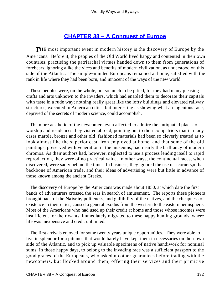### **[CHAPTER 38 − A Conquest of Europe](#page-144-0)**

*T*HE most important event in modern history is the discovery of Europe by the Americans. Before it, the peoples of the Old World lived happy and contented in their own countries, practising the patriarchal virtues handed down to them from generations of forebears, ignoring alike the vices and benefits of modern civilization, as understood on this side of the Atlantic. The simple−minded Europeans remained at home, satisfied with the rank in life where they had been born, and innocent of the ways of the new world.

 These peoples were, on the whole, not so much to be pitied, for they had many pleasing crafts and arts unknown to the invaders, which had enabled them to decorate their capitals with taste in a rude way; nothing really great like the lofty buildings and elevated railway structures, executed in American cities, but interesting as showing what an ingenious race, deprived of the secrets of modern science, could accomplish.

 The more aesthetic of the newcomers even affected to admire the antiquated places of worship and residences they visited abroad, pointing out to their compatriots that in many cases marble, bronze and other old−fashioned materials had been so cleverly treated as to look almost like the superior cast−iron employed at home, and that some of the old paintings, preserved with veneration in the museums, had nearly the brilliancy of modern chromos. As their authors had, however, neglected to use a process lending itself to rapid reproduction, they were of no practical value. In other ways, the continental races, when discovered, were sadly behind the times. In business, they ignored the use of «corners,» that backbone of American trade, and their ideas of advertising were but little in advance of those known among the ancient Greeks.

 The discovery of Europe by the Americans was made about 1850, at which date the first bands of adventurers crossed the seas in search of amusement. The reports these pioneers brought back of the **Naivete,** politeness, and gullibility of the natives, and the cheapness of existence in their cities, caused a general exodus from the western to the eastern hemisphere. Most of the Americans who had used up their credit at home and those whose incomes were insufficient for their wants, immediately migrated to these happy hunting grounds, where life was inexpensive and credit unlimited.

 The first arrivals enjoyed for some twenty years unique opportunities. They were able to live in splendor for a pittance that would barely have kept them in necessaries on their own side of the Atlantic, and to pick up valuable specimens of native handiwork for nominal sums. In those happy days, to belong to the invading race was a sufficient passport to the good graces of the Europeans, who asked no other guarantees before trading with the newcomers, but flocked around them, offering their services and their primitive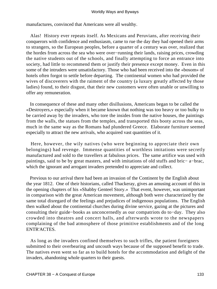manufactures, convinced that Americans were all wealthy.

 Alas! History ever repeats itself. As Mexicans and Peruvians, after receiving their conquerors with confidence and enthusiasm, came to rue the day they had opened their arms to strangers, so the European peoples, before a quarter of a century was over, realized that the hordes from across the sea who were over−running their lands, raising prices, crowding the native students out of the schools, and finally attempting to force an entrance into society, had little to recommend them or justify their presence except money. Even in this some of the intruders were unsatisfactory. Those who had been received into the «bosom» of hotels often forgot to settle before departing. The continental women who had provided the wives of discoverers with the raiment of the country (a luxury greatly affected by those ladies) found, to their disgust, that their new customers were often unable or unwilling to offer any remuneration.

 In consequence of these and many other disillusions, Americans began to be called the «Destroyers,» especially when it became known that nothing was too heavy or too bulky to be carried away by the invaders, who tore the insides from the native houses, the paintings from the walls, the statues from the temples, and transported this booty across the seas, much in the same way as the Romans had plundered Greece. Elaborate furniture seemed especially to attract the new arrivals, who acquired vast quantities of it.

 Here, however, the wily natives (who were beginning to appreciate their own belongings) had revenge. Immense quantities of worthless imitations were secretly manufactured and sold to the travellers at fabulous prices. The same artifice was used with paintings, said to be by great masters, and with imitations of old stuffs and bric− a−brac, which the ignorant and arrogant invaders pretended to appreciate and collect.

 Previous to our arrival there had been an invasion of the Continent by the English about the year 1812. One of their historians, called Thackeray, gives an amusing account of this in the opening chapters of his «Shabby Genteel Story.» That event, however, was unimportant in comparison with the great American movement, although both were characterized by the same total disregard of the feelings and prejudices of indigenous populations. The English then walked about the continental churches during divine service, gazing at the pictures and consulting their guide−books as unconcernedly as our compatriots do to−day. They also crowded into theatres and concert halls, and afterwards wrote to the newspapers complaining of the bad atmosphere of those primitive establishments and of the long ENTR'ACTES.

 As long as the invaders confined themselves to such trifles, the patient foreigners submitted to their overbearing and uncouth ways because of the supposed benefit to trade. The natives even went so far as to build hotels for the accommodation and delight of the invaders, abandoning whole quarters to their guests.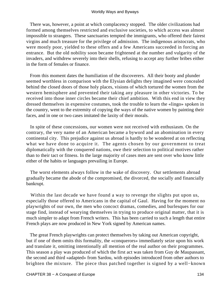There was, however, a point at which complacency stopped. The older civilizations had formed among themselves restricted and exclusive societies, to which access was almost impossible to strangers. These sanctuaries tempted the immigrants, who offered their fairest virgins and much treasure for the privilege of admission. The indigenous aristocrats, who were mostly poor, yielded to these offers and a few Americans succeeded in forcing an entrance. But the old nobility soon became frightened at the number and vulgarity of the invaders, and withdrew severely into their shells, refusing to accept any further bribes either in the form of females or finance.

 From this moment dates the humiliation of the discoverers. All their booty and plunder seemed worthless in comparison with the Elysian delights they imagined were concealed behind the closed doors of those holy places, visions of which tortured the women from the western hemisphere and prevented their taking any pleasure in other victories. To be received into those inner circles became their chief ambition. With this end in view they dressed themselves in expensive costumes, took the trouble to learn the «lingo» spoken in the country, went to the extremity of copying the ways of the native women by painting their faces, and in one or two cases imitated the laxity of their morals.

 In spite of these concessions, our women were not received with enthusiasm. On the contrary, the very name of an American became a byword and an abomination in every continental city. This prejudice against us abroad is hardly to be wondered at on reflecting what we have done to acquire it. The agents chosen by our government to treat diplomatically with the conquered nations, owe their selection to political motives rather than to their tact or fitness. In the large majority of cases men are sent over who know little either of the habits or languages prevailing in Europe.

 The worst elements always follow in the wake of discovery. Our settlements abroad gradually became the abode of the compromised, the divorced, the socially and financially bankrupt.

 Within the last decade we have found a way to revenge the slights put upon us, especially those offered to Americans in the capital of Gaul. Having for the moment no playwrights of our own, the men who concoct dramas, comedies, and burlesques for our stage find, instead of wearying themselves in trying to produce original matter, that it is much simpler to adapt from French writers. This has been carried to such a length that entire French plays are now produced in New York signed by American names.

 The great French playwrights can protect themselves by taking out American copyright, but if one of them omits this formality, the «conquerors» immediately seize upon his work and translate it, omitting intentionally all mention of the real author on their programmes. This season a play was produced of which the first act was taken from Guy de Maupassant, the second and third «adapted» from Sardou, with episodes introduced from other authors to brighten the mixture. The piece thus patched together is signed by a well−known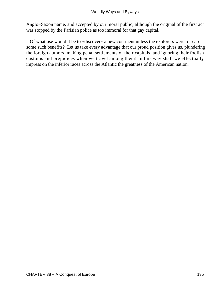Anglo−Saxon name, and accepted by our moral public, although the original of the first act was stopped by the Parisian police as too immoral for that gay capital.

 Of what use would it be to «discover» a new continent unless the explorers were to reap some such benefits? Let us take every advantage that our proud position gives us, plundering the foreign authors, making penal settlements of their capitals, and ignoring their foolish customs and prejudices when we travel among them! In this way shall we effectually impress on the inferior races across the Atlantic the greatness of the American nation.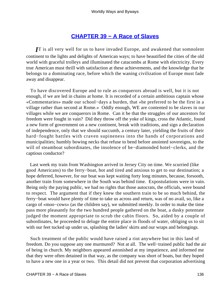### **[CHAPTER 39 − A Race of Slaves](#page-144-0)**

*I*T is all very well for us to have invaded Europe, and awakened that somnolent continent to the lights and delights of American ways; to have beautified the cities of the old world with graceful trolleys and illuminated the catacombs at Rome with electricity. Every true American must thrill with satisfaction at these achievements, and the knowledge that he belongs to a dominating race, before which the waning civilization of Europe must fade away and disappear.

 To have discovered Europe and to rule as conquerors abroad is well, but it is not enough, if we are led in chains at home. It is recorded of a certain ambitious captain whose «Commentaries» made our school−days a burden, that «he preferred to be the first in a village rather than second at Rome.» Oddly enough, WE are contented to be slaves in our villages while we are conquerors in Rome. Can it be that the struggles of our ancestors for freedom were fought in vain? Did they throw off the yoke of kings, cross the Atlantic, found a new form of government on a new continent, break with traditions, and sign a declaration of independence, only that we should succumb, a century later, yielding the fruits of their hard−fought battles with craven supineness into the hands of corporations and municipalities; humbly bowing necks that refuse to bend before anointed sovereigns, to the will of steamboat subordinates, the insolence of be−diamonded hotel−clerks, and the captious conductor?

 Last week my train from Washington arrived in Jersey City on time. We scurried (like good Americans) to the ferry−boat, hot and tired and anxious to get to our destination; a hope deferred, however, for our boat was kept waiting forty long minutes, because, forsooth, another train from somewhere in the South was behind time. Expostulations were in vain. Being only the paying public, we had no rights that those autocrats, the officials, were bound to respect. The argument that if they knew the southern train to be so much behind, the ferry−boat would have plenty of time to take us across and return, was of no avail, so, like a cargo of «moo−cows» (as the children say), we submitted meekly. In order to make the time pass more pleasantly for the two hundred people gathered on the boat, a dusky potentate judged the moment appropriate to scrub the cabin floors. So, aided by a couple of subordinates, he proceeded to deluge the entire place in floods of water, obliging us to sit with our feet tucked up under us, splashing the ladies' skirts and our wraps and belongings.

 Such treatment of the public would have raised a riot anywhere but in this land of freedom. Do you suppose any one murmured? Not at all. The well−trained public had the air of being in church. My neighbors appeared astonished at my impatience, and informed me that they were often detained in that way, as the company was short of boats, but they hoped to have a new one in a year or two. This detail did not prevent that corporation advertising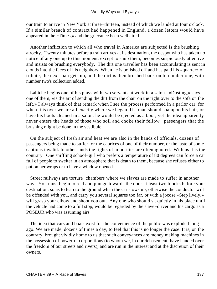our train to arrive in New York at three−thirteen, instead of which we landed at four o'clock. If a similar breach of contract had happened in England, a dozen letters would have appeared in the «Times,» and the grievance been well aired.

 Another infliction to which all who travel in America are subjected is the brushing atrocity. Twenty minutes before a train arrives at its destination, the despot who has taken no notice of any one up to this moment, except to snub them, becomes suspiciously attentive and insists on brushing everybody. The dirt one traveller has been accumulating is sent in clouds into the faces of his neighbors. When he is polished off and has paid his «quarter» of tribute, the next man gets up, and the dirt is then brushed back on to number one, with number two's collection added.

 Labiche begins one of his plays with two servants at work in a salon. «Dusting,» says one of them, «is the art of sending the dirt from the chair on the right over to the sofa on the left.» I always think of that remark when I see the process performed in a parlor car, for when it is over we are all exactly where we began. If a man should shampoo his hair, or have his boots cleaned in a salon, he would be ejected as a boor; yet the idea apparently never enters the heads of those who soil and choke their fellow− passengers that the brushing might be done in the vestibule.

 On the subject of fresh air and heat we are also in the hands of officials, dozens of passengers being made to suffer for the caprices of one of their number, or the taste of some captious invalid. In other lands the rights of minorities are often ignored. With us it is the contrary. One sniffling school−girl who prefers a temperature of 80 degrees can force a car full of people to swelter in an atmosphere that is death to them, because she refuses either to put on her wraps or to have a window opened.

 Street railways are torture−chambers where we slaves are made to suffer in another way. You must begin to reel and plunge towards the door at least two blocks before your destination, so as to leap to the ground when the car slows up; otherwise the conductor will be offended with you, and carry you several squares too far, or with a jocose «Step lively,» will grasp your elbow and shoot you out. Any one who should sit quietly in his place until the vehicle had come to a full stop, would be regarded by the slave−driver and his cargo as a POSEUR who was assuming airs.

 The idea that cars and boats exist for the convenience of the public was exploded long ago. We are made, dozens of times a day, to feel that this is no longer the case. It is, on the contrary, brought vividly home to us that such conveyances are money making machines in the possession of powerful corporations (to whom we, in our debasement, have handed over the freedom of our streets and rivers), and are run in the interest and at the discretion of their owners.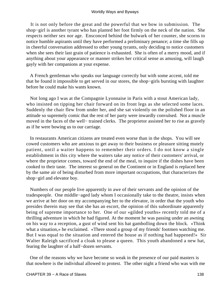It is not only before the great and the powerful that we bow in submission. The shop−girl is another tyrant who has planted her foot firmly on the neck of the nation. She respects neither sex nor age. Ensconced behind the bulwark of her counter, she scorns to notice humble aspirants until they have performed a preliminary penance; a time she fills up in cheerful conversation addressed to other young tyrants, only deciding to notice customers when she sees their last grain of patience is exhausted. She is often of a merry mood, and if anything about your appearance or manner strikes her critical sense as amusing, will laugh gayly with her companions at your expense.

 A French gentleman who speaks our language correctly but with some accent, told me that he found it impossible to get served in our stores, the shop−girls bursting with laughter before he could make his wants known.

 Not long ago I was at the Compagnie Lyonnaise in Paris with a stout American lady, who insisted on tipping her chair forward on its front legs as she selected some laces. Suddenly the chair flew from under her, and she sat violently on the polished floor in an attitude so supremely comic that the rest of her party were inwardly convulsed. Not a muscle moved in the faces of the well− trained clerks. The proprietor assisted her to rise as gravely as if he were bowing us to our carriage.

 In restaurants American citizens are treated even worse than in the shops. You will see cowed customers who are anxious to get away to their business or pleasure sitting mutely patient, until a waiter happens to remember their orders. I do not know a single establishment in this city where the waiters take any notice of their customers' arrival, or where the proprietor comes, toward the end of the meal, to inquire if the dishes have been cooked to their taste. The interest so general on the Continent or in England is replaced here by the same air of being disturbed from more important occupations, that characterizes the shop−girl and elevator boy.

 Numbers of our people live apparently in awe of their servants and the opinion of the tradespeople. One middle−aged lady whom I occasionally take to the theatre, insists when we arrive at her door on my accompanying her to the elevator, in order that the youth who presides therein may see that she has an escort, the opinion of this subordinate apparently being of supreme importance to her. One of our «gilded youths» recently told me of a thrilling adventure in which he had figured. At the moment he was passing under an awning on his way to a reception, a gust of wind sent his hat gambolling down the block. «Think what a situation,» he exclaimed. «There stood a group of my friends' footmen watching me. But I was equal to the situation and entered the house as if nothing had happened!» Sir Walter Raleigh sacrificed a cloak to please a queen. This youth abandoned a new hat, fearing the laughter of a half−dozen servants.

 One of the reasons why we have become so weak in the presence of our paid masters is that nowhere is the individual allowed to protest. The other night a friend who was with me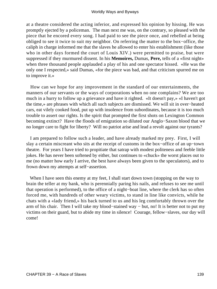at a theatre considered the acting inferior, and expressed his opinion by hissing. He was promptly ejected by a policeman. The man next me was, on the contrary, so pleased with the piece that he encored every song. I had paid to see the piece once, and rebelled at being obliged to see it twice to suit my neighbor. On referring the matter to the box−office, the caliph in charge informed me that the slaves he allowed to enter his establishment (like those who in other days formed the court of Louis XIV.) were permitted to praise, but were suppressed if they murmured dissent. In his **Memoires,** Dumas, **Pere,** tells of a «first night» when three thousand people applauded a play of his and one spectator hissed. «He was the only one I respected,» said Dumas, «for the piece was bad, and that criticism spurred me on to improve it.»

 How can we hope for any improvement in the standard of our entertainments, the manners of our servants or the ways of corporations when no one complains? We are too much in a hurry to follow up a grievance and have it righted. «It doesn't pay,» «I haven't got the time,» are phrases with which all such subjects are dismissed. We will sit in over−heated cars, eat vilely cooked food, put up with insolence from subordinates, because it is too much trouble to assert our rights. Is the spirit that prompted the first shots on Lexington Common becoming extinct? Have the floods of emigration so diluted our Anglo−Saxon blood that we no longer care to fight for liberty? Will no patriot arise and lead a revolt against our tyrants?

 I am prepared to follow such a leader, and have already marked my prey. First, I will slay a certain miscreant who sits at the receipt of customs in the box−office of an up−town theatre. For years I have tried to propitiate that satrap with modest politeness and feeble little jokes. He has never been softened by either, but continues to «chuck» the worst places out to me (no matter how early I arrive, the best have always been given to the speculators), and to frown down my attempts at self−assertion.

When I have seen this enemy at my feet, I shall start down town (stopping on the way to brain the teller at my bank, who is perennially paring his nails, and refuses to see me until that operation is performed), to the office of a night−boat line, where the clerk has so often forced me, with hundreds of other weary victims, to stand in line like convicts, while he chats with a «lady friend,» his back turned to us and his leg comfortably thrown over the arm of his chair. Then I will take my blood−stained way − but, no! It is better not to put my victims on their guard, but to abide my time in silence! Courage, fellow−slaves, our day will come!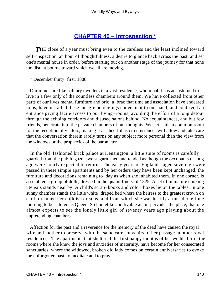## **[CHAPTER 40 − Introspection \\*](#page-144-0)**

**THE** close of a year must bring even to the careless and the least inclined toward self–inspection, an hour of thoughtfulness, a desire to glance back across the past, and set one's mental house in order, before starting out on another stage of the journey for that none too distant bourne toward which we all are moving.

\* December thirty−first, 1888.

 Our minds are like solitary dwellers in a vast residence, whom habit has accustomed to live in a few only of the countless chambers around them. We have collected from other parts of our lives mental furniture and bric−a−brac that time and association have endeared to us, have installed these meagre belongings convenient to our hand, and contrived an entrance giving facile access to our living−rooms, avoiding the effort of a long detour through the echoing corridors and disused salons behind. No acquaintances, and but few friends, penetrate into the private chambers of our thoughts. We set aside a common room for the reception of visitors, making it as cheerful as circumstances will allow and take care that the conversation therein rarely turns on any subject more personal than the view from the windows or the prophecies of the barometer.

 In the old−fashioned brick palace at Kensington, a little suite of rooms is carefully guarded from the public gaze, swept, garnished and tended as though the occupants of long ago were hourly expected to return. The early years of England's aged sovereign were passed in these simple apartments and by her orders they have been kept unchanged, the furniture and decorations remaining to−day as when she inhabited them. In one corner, is assembled a group of dolls, dressed in the quaint finery of 1825. A set of miniature cooking utensils stands near by. A child's scrap−books and color−boxes lie on the tables. In one sunny chamber stands the little white−draped bed where the heiress to the greatest crown on earth dreamed her childish dreams, and from which she was hastily aroused one June morning to be saluted as Queen. So homelike and livable an air pervades the place, that one almost expects to see the lonely little girl of seventy years ago playing about the unpretending chambers.

 Affection for the past and a reverence for the memory of the dead have caused the royal wife and mother to preserve with the same care souvenirs of her passage in other royal residences. The apartments that sheltered the first happy months of her wedded life, the rooms where she knew the joys and anxieties of maternity, have become for her consecrated sanctuaries, where the widowed, broken old lady comes on certain anniversaries to evoke the unforgotten past, to meditate and to pray.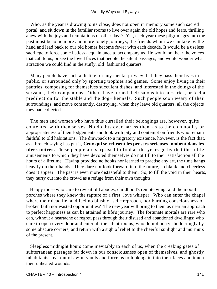Who, as the year is drawing to its close, does not open in memory some such sacred portal, and sit down in the familiar rooms to live over again the old hopes and fears, thrilling anew with the joys and temptations of other days? Yet, each year these pilgrimages into the past must become more and more lonely journeys; the friends whom we can take by the hand and lead back to our old homes become fewer with each decade. It would be a useless sacrilege to force some listless acquaintance to accompany us. He would not hear the voices that call to us, or see the loved faces that people the silent passages, and would wonder what attraction we could find in the stuffy, old−fashioned quarters.

 Many people have such a dislike for any mental privacy that they pass their lives in public, or surrounded only by sporting trophies and games. Some enjoy living in their pantries, composing for themselves succulent dishes, and interested in the doings of the servants, their companions. Others have turned their salons into nurseries, or feel a predilection for the stable and the dog− kennels. Such people soon weary of their surroundings, and move constantly, destroying, when they leave old quarters, all the objects they had collected.

 The men and women who have thus curtailed their belongings are, however, quite contented with themselves. No doubts ever harass them as to the commodity or appropriateness of their lodgements and look with pity and contempt on friends who remain faithful to old habitations. The drawback to a migratory existence, however, is the fact that, as a French saying has put it, **Ceux qui se refusent les pensees serieuses tombent dans les idees noires.** These people are surprised to find as the years go by that the futile amusements to which they have devoted themselves do not fill to their satisfaction all the hours of a lifetime. Having provided no books nor learned to practise any art, the time hangs heavily on their hands. They dare not look forward into the future, so blank and cheerless does it appear. The past is even more distasteful to them. So, to fill the void in their hearts, they hurry out into the crowd as a refuge from their own thoughts.

 Happy those who care to revisit old abodes, childhood's remote wing, and the moonlit porches where they knew the rapture of a first−love whisper. Who can enter the chapel where their dead lie, and feel no blush of self−reproach, nor burning consciousness of broken faith nor wasted opportunities? The new year will bring to them as near an approach to perfect happiness as can be attained in life's journey. The fortunate mortals are rare who can, without a heartache or regret, pass through their disused and abandoned dwellings; who dare to open every door and enter all the silent rooms; who do not hurry shudderingly by some obscure corners, and return with a sigh of relief to the cheerful sunlight and murmurs of the present.

 Sleepless midnight hours come inevitably to each of us, when the creaking gates of subterranean passages far down in our consciousness open of themselves, and ghostly inhabitants steal out of awful vaults and force us to look again into their faces and touch their unhealed wounds.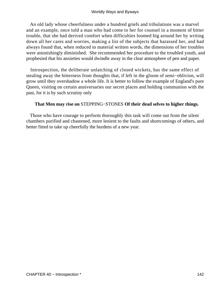An old lady whose cheerfulness under a hundred griefs and tribulations was a marvel and an example, once told a man who had come to her for counsel in a moment of bitter trouble, that she had derived comfort when difficulties loomed big around her by writing down all her cares and worries, making a list of the subjects that harassed her, and had always found that, when reduced to material written words, the dimensions of her troubles were astonishingly diminished. She recommended her procedure to the troubled youth, and prophesied that his anxieties would dwindle away in the clear atmosphere of pen and paper.

 Introspection, the deliberate unlatching of closed wickets, has the same effect of stealing away the bitterness from thoughts that, if left in the gloom of semi−oblivion, will grow until they overshadow a whole life. It is better to follow the example of England's pure Queen, visiting on certain anniversaries our secret places and holding communion with the past, for it is by such scrutiny only

### **That Men may rise on** STEPPING−STONES **Of their dead selves to higher things.**

 Those who have courage to perform thoroughly this task will come out from the silent chambers purified and chastened, more lenient to the faults and shortcomings of others, and better fitted to take up cheerfully the burdens of a new year.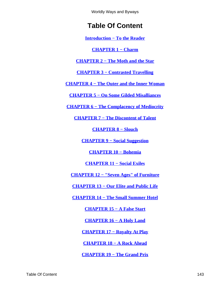# **Table Of Content**

**[Introduction − To the Reader](#page-3-0)**

**[CHAPTER 1 − Charm](#page-5-0)**

**[CHAPTER 2 − The Moth and the Star](#page-9-0)**

**[CHAPTER 3 − Contrasted Travelling](#page-12-0)**

**[CHAPTER 4 − The Outer and the Inner Woman](#page-15-0)**

**[CHAPTER 5 − On Some Gilded Misalliances](#page-19-0)**

**[CHAPTER 6 − The Complacency of Mediocrity](#page-23-0)**

**[CHAPTER 7 − The Discontent of Talent](#page-26-0)**

**[CHAPTER 8 − Slouch](#page-29-0)**

**[CHAPTER 9 − Social Suggestion](#page-33-0)**

**[CHAPTER 10 − Bohemia](#page-37-0)**

**[CHAPTER 11 − Social Exiles](#page-40-0)**

**[CHAPTER 12 − "Seven Ages" of Furniture](#page-43-0)**

**[CHAPTER 13 − Our Elite and Public Life](#page-47-0)**

**[CHAPTER 14 − The Small Summer Hotel](#page-50-0)**

**[CHAPTER 15 − A False Start](#page-53-0)**

**[CHAPTER 16 − A Holy Land](#page-57-0)**

**[CHAPTER 17 − Royalty At Play](#page-60-0)**

**[CHAPTER 18 − A Rock Ahead](#page-64-0)**

**[CHAPTER 19 − The Grand Prix](#page-67-0)**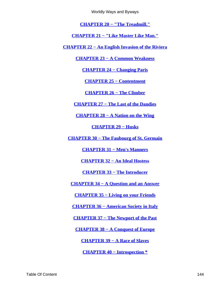Worldly Ways and Byways

**[CHAPTER 20 − "The Treadmill."](#page-70-0)**

**[CHAPTER 21 − "Like Master Like Man."](#page-73-0)**

**[CHAPTER 22 − An English Invasion of the Riviera](#page-76-0)**

**[CHAPTER 23 − A Common Weakness](#page-80-0)**

**[CHAPTER 24 − Changing Paris](#page-83-0)**

**[CHAPTER 25 − Contentment](#page-86-0)**

**[CHAPTER 26 − The Climber](#page-89-0)**

**[CHAPTER 27 − The Last of the Dandies](#page-92-0)**

**[CHAPTER 28 − A Nation on the Wing](#page-95-0)**

**[CHAPTER 29 − Husks](#page-100-0)**

**[CHAPTER 30 − The Faubourg of St. Germain](#page-104-0)**

**[CHAPTER 31 − Men's Manners](#page-108-0)**

**[CHAPTER 32 − An Ideal Hostess](#page-111-0)**

**[CHAPTER 33 − The Introducer](#page-114-0)**

**[CHAPTER 34 − A Question and an Answer](#page-117-0)**

**[CHAPTER 35 − Living on your Friends](#page-120-0)**

**[CHAPTER 36 − American Society in Italy](#page-124-0)**

**[CHAPTER 37 − The Newport of the Past](#page-128-0)**

**[CHAPTER 38 − A Conquest of Europe](#page-132-0)**

**[CHAPTER 39 − A Race of Slaves](#page-136-0)**

**[CHAPTER 40 − Introspection \\*](#page-140-0)**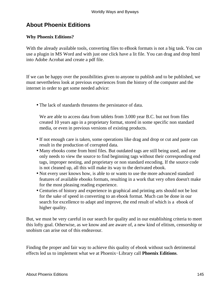## **About Phoenix Editions**

### **Why Phoenix Editions?**

With the already available tools, converting files to eBook formats is not a big task. You can use a plugin in MS Word and with just one click have a lit file. You can drag and drop html into Adobe Acrobat and create a pdf file.

If we can be happy over the possibilities given to anyone to publish and to be published, we must nevertheless look at previous experiences from the history of the computer and the internet in order to get some needed advice:

• The lack of standards threatens the persistance of data.

We are able to access data from tablets from 3.000 year B.C. but not from files created 10 years ago in a proprietary format, stored in some specific non standard media, or even in previous versions of existing products.

- If not enough care is taken, some operations like drag and drop or cut and paste can result in the production of corrupted data.
- Many ebooks come from html files. But outdated tags are still being used, and one only needs to view the source to find beginning tags without their corresponding end tags, improper nesting, and proprietary or non standard encoding. If the source code is not cleaned up, all this will make its way to the derivated ebook.
- Not every user knows how, is able to or wants to use the more advanced standard features of available ebooks formats, resulting in a work that very often doesn't make for the most pleasing reading experience.
- Centuries of history and experience in graphical and printing arts should not be lost for the sake of speed in converting to an ebook format. Much can be done in our search for excellence to adapt and improve, the end result of which is a ebook of higher quality.

But, we must be very careful in our search for quality and in our establishing criteria to meet this lofty goal. Otherwise, as we know and are aware of, a new kind of elitism, censorship or snobism can arise out of this endeavour.

Finding the proper and fair way to achieve this quality of ebook without such detrimental effects led us to implement what we at Phoenix−Library call **Phoenix Editions**.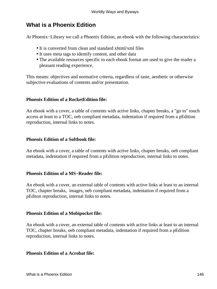### **What is a Phoenix Edition**

At Phoenix−Library we call a Phoenix Edition, an ebook with the following characteristics:

- It is converted from clean and standard xhtml/xml files
- It uses meta tags to identify content, and other data
- The available resources specific to each ebook format are used to give the reader a pleasant reading experience.

This means: objectives and normative criteria, regardless of taste, aesthetic or otherwise subjective evaluations of contents and/or presentation.

### **Phoenix Edition of a RocketEdition file:**

An ebook with a cover, a table of contents with active links, chapter breaks, a "go to" touch access at least to a TOC, oeb compliant metadata, indentation if required from a pEdition reproduction, internal links to notes.

#### **Phoenix Edition of a Softbook file:**

An ebook with a cover, a table of contents with active links, chapter breaks, oeb compliant metadata, indentation if required from a pEdition reproduction, internal links to notes.

#### **Phoenix Edition of a MS−Reader file:**

An ebook with a cover, an external table of contents with active links at least to an internal TOC, chapter breaks, images, oeb compliant metadata, indentation if required from a pEditon reproduction, internal links to notes.

#### **Phoenix Edition of a Mobipocket file:**

An ebook with a cover, an external table of contents with active links at least to an internal TOC, chapter breaks, oeb compliant metadata, indentation if required from a pEdition reproduction, internal links to notes.

#### **Phoenix Edition of a Acrobat file:**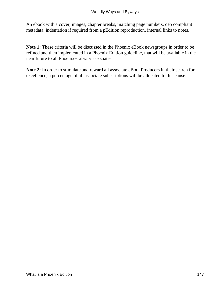An ebook with a cover, images, chapter breaks, matching page numbers, oeb compliant metadata, indentation if required from a pEdition reproduction, internal links to notes.

**Note 1:** These criteria will be discussed in the Phoenix eBook newsgroups in order to be refined and then implemented in a Phoenix Edition guideline, that will be available in the near future to all Phoenix−Library associates.

**Note 2:** In order to stimulate and reward all associate eBookProducers in their search for excellence, a percentage of all associate subscriptions will be allocated to this cause.